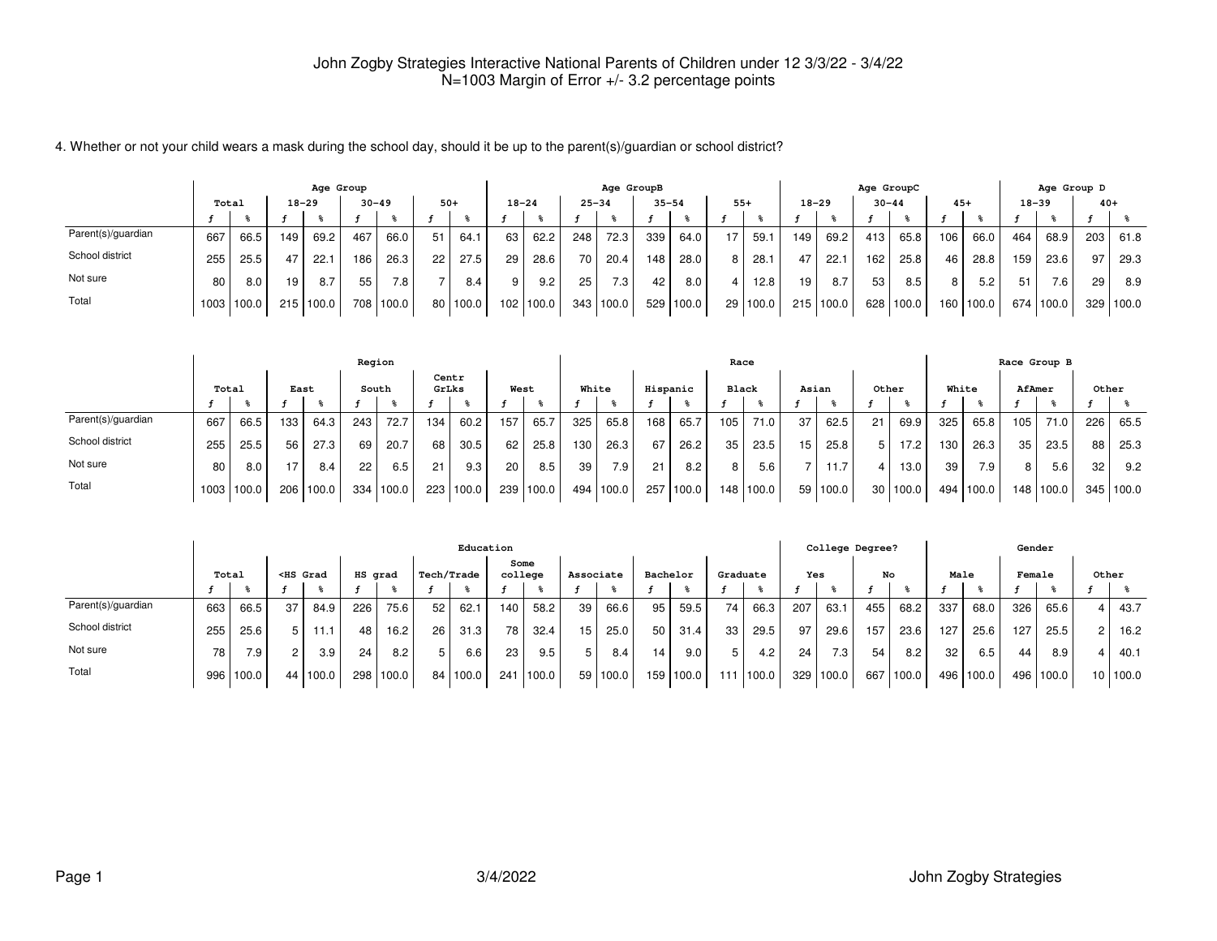4. Whether or not your child wears a mask during the school day, should it be up to the parent(s)/guardian or school district?

|                    |       |       |     | Age Group |           |           |       |          |          |           |           | Age GroupB |           |       |       |          |           |           | Age GroupC |       |                  |       |           | Age Group D      |       |           |
|--------------------|-------|-------|-----|-----------|-----------|-----------|-------|----------|----------|-----------|-----------|------------|-----------|-------|-------|----------|-----------|-----------|------------|-------|------------------|-------|-----------|------------------|-------|-----------|
|                    | Total |       |     | 18–29     | $30 - 49$ |           | $50+$ |          |          | $18 - 24$ | $25 - 34$ |            | $35 - 54$ |       | $55+$ |          | $18 - 29$ |           | $30 - 44$  |       | $45+$            |       | $18 - 39$ |                  | $40+$ |           |
|                    |       |       |     |           |           |           |       |          |          |           |           |            |           |       |       |          |           |           |            |       |                  |       |           |                  |       |           |
| Parent(s)/guardian | 667   | 66.5  | 149 | 69.2      | 467       | 66.0      | 51    | 64.1     | 63       | 62.2      | 248       | 72.3       | 339       | 64.0  | 17.   | 59.1     | 149       | 69.2      | 413        | 65.8  | 106              | 66.0  | 464       | 68.9             | 203   | 61.8      |
| School district    | 255   | 25.5  |     | 22.1      | 186       | 26.3      | 22    | 27.5     | 29       | 28.6      | 70 I      | 20.4       | 148       | 28.0  | 8     | 28.1     | 47        | 22.1      | 162        | 25.8  | 46               | 28.8  | 159       | 23.6             | 97    | 29.3      |
| Not sure           | 80    | 8.0   | 19  | 8.7       | 55        | 7.8       |       | 8.4      | $Q \mid$ | 9.2       | 25        | 7.3        | 42        | 8.0   | 4     | 12.8     | 19        | 8.7       | 53         | 8.5   | 8                | 5.2   | 51        | 7.6 <sub>1</sub> | 29    | 8.9       |
| Total              | 1003  | 100.0 | 215 | 100.0     |           | 708 100.0 |       | 80 100.0 |          | 102 100.0 | 343       | 100.0      | 529       | 100.0 |       | 29 100.0 |           | 215 100.0 | 628        | 100.0 | 160 <sub>1</sub> | 100.0 | 674       | 100.0            |       | 329 100.0 |

|                    |       |                |      |       | Region |           |       |       |      |           |       |       |                  |           | Race  |             |       |          |       |        |       |       |                  | Race Group B      |       |       |
|--------------------|-------|----------------|------|-------|--------|-----------|-------|-------|------|-----------|-------|-------|------------------|-----------|-------|-------------|-------|----------|-------|--------|-------|-------|------------------|-------------------|-------|-------|
|                    | Total |                | East |       |        | South     | GrLks | Centr | West |           | White |       |                  | Hispanic  | Black |             | Asian |          | Other |        | White |       | AfAmer           |                   | Other |       |
|                    |       |                |      |       |        |           |       |       |      |           |       |       |                  |           |       |             |       |          |       |        |       |       |                  |                   |       |       |
| Parent(s)/guardian | 667   | 66.5           | 133  | 64.3  | 243    | 72.7      | 134   | 60.2  | 157  | 65.7      | 325   | 65.8  | 168 <sub>1</sub> | 65.7      | 105   | $71.0$      | 37    | 62.5     | 21    | 69.9   | 325   | 65.8  | 105              | 71.0 <sub>1</sub> | 226   | 65.5  |
| School district    | 255   | 25.5           | 56   | 27.3  | 69     | 20.7      | 68    | 30.5  | 62   | 25.8      | 130   | 26.3  | 67               | 26.2      | 35    | 23.5        | 15    | 25.8     | 5     | 17.2   | 130   | 26.3  | 35               | 23.5              | 88    | 25.3  |
| Not sure           | 80    | 8.0            |      | 8.4   | 22     | 6.5       | 21    | 9.3   | 20   | 8.5       | 39    | 7.9   | 21               | 8.2       | 8     | 5.6         |       | 11.7     |       | 13.0   | 39    | 7.9   | 8                | 5.6               | 32    | 9.2   |
| Total              |       | $1003$   100.0 | 206  | 100.0 |        | 334 100.0 | 223   | 100.0 |      | 239 100.0 | 494   | 100.0 |                  | 257 100.0 |       | 148   100.0 |       | 59 100.0 | 30    | 1100.0 | 494 l | 100.0 | 148 <sub>1</sub> | 100.0             | 345   | 100.0 |

|                    |       |       |                                                                                                                                                                                                                                                                                                         |            |         |       |            |          | Education |        |                 |            |                 |           |                 |                  |                  | College Degree?  |     |             |      |           | Gender |           |          |
|--------------------|-------|-------|---------------------------------------------------------------------------------------------------------------------------------------------------------------------------------------------------------------------------------------------------------------------------------------------------------|------------|---------|-------|------------|----------|-----------|--------|-----------------|------------|-----------------|-----------|-----------------|------------------|------------------|------------------|-----|-------------|------|-----------|--------|-----------|----------|
|                    | Total |       | <hs grad<="" th=""><th></th><th>HS grad</th><th></th><th>Tech/Trade</th><th></th><th>college</th><th>Some</th><th>Associate</th><th></th><th>Bachelor</th><th></th><th>Graduate</th><th></th><th>Yes</th><th></th><th>No</th><th></th><th>Male</th><th></th><th>Female</th><th></th><th>Other</th></hs> |            | HS grad |       | Tech/Trade |          | college   | Some   | Associate       |            | Bachelor        |           | Graduate        |                  | Yes              |                  | No  |             | Male |           | Female |           | Other    |
|                    |       |       |                                                                                                                                                                                                                                                                                                         |            |         |       |            |          |           |        |                 |            |                 |           |                 |                  |                  |                  |     |             |      |           |        |           |          |
| Parent(s)/guardian | 663   | 66.5  | 37                                                                                                                                                                                                                                                                                                      | 84.9       | 226     | 75.6  | 52         | 62.1     | 140       | 58.2   | 39              | 66.6       | 95              | 59.5      | 74              | 66.3             | 207              | 63.              | 455 | 68.2        | 337  | 68.0      | 326    | 65.6      | 43.7     |
| School district    | 255   | 25.6  | 5                                                                                                                                                                                                                                                                                                       | 1.1        | 48      | 16.2  | 26         | 31.3     | 78 I      | 32.4   | 15 <sup>1</sup> | 25.0       | 50              | 31.4      | 33 <sup>1</sup> | 29.5             | 97               | 29.6             | 157 | 23.6        | 127  | 25.6      | 127    | 25.5      | 16.2     |
| Not sure           | 78,   | 7.9   | $\overline{2}$                                                                                                                                                                                                                                                                                          | 3.9        | 24      | 8.2   | 5          | 6.6      | 23        | 9.5    | 5               | 8.4        | 14 <sub>1</sub> | 9.0       | 5               | 4.2 <sub>1</sub> | 24 <sub>1</sub>  | 7.3 <sub>1</sub> | 54  | 8.2         | 32   | 6.5       | 44     | 8.9       | 40.1     |
| Total              | 996   | 100.0 |                                                                                                                                                                                                                                                                                                         | 44   100.0 | 298 l   | 100.0 |            | 84 100.0 | 241       | 1100.0 |                 | 59   100.0 |                 | 159 100.0 |                 | 100.0            | 329 <sub>1</sub> | 100.0            | 667 | $'$   100.0 |      | 496 100.0 |        | 496 100.0 | 10 100.0 |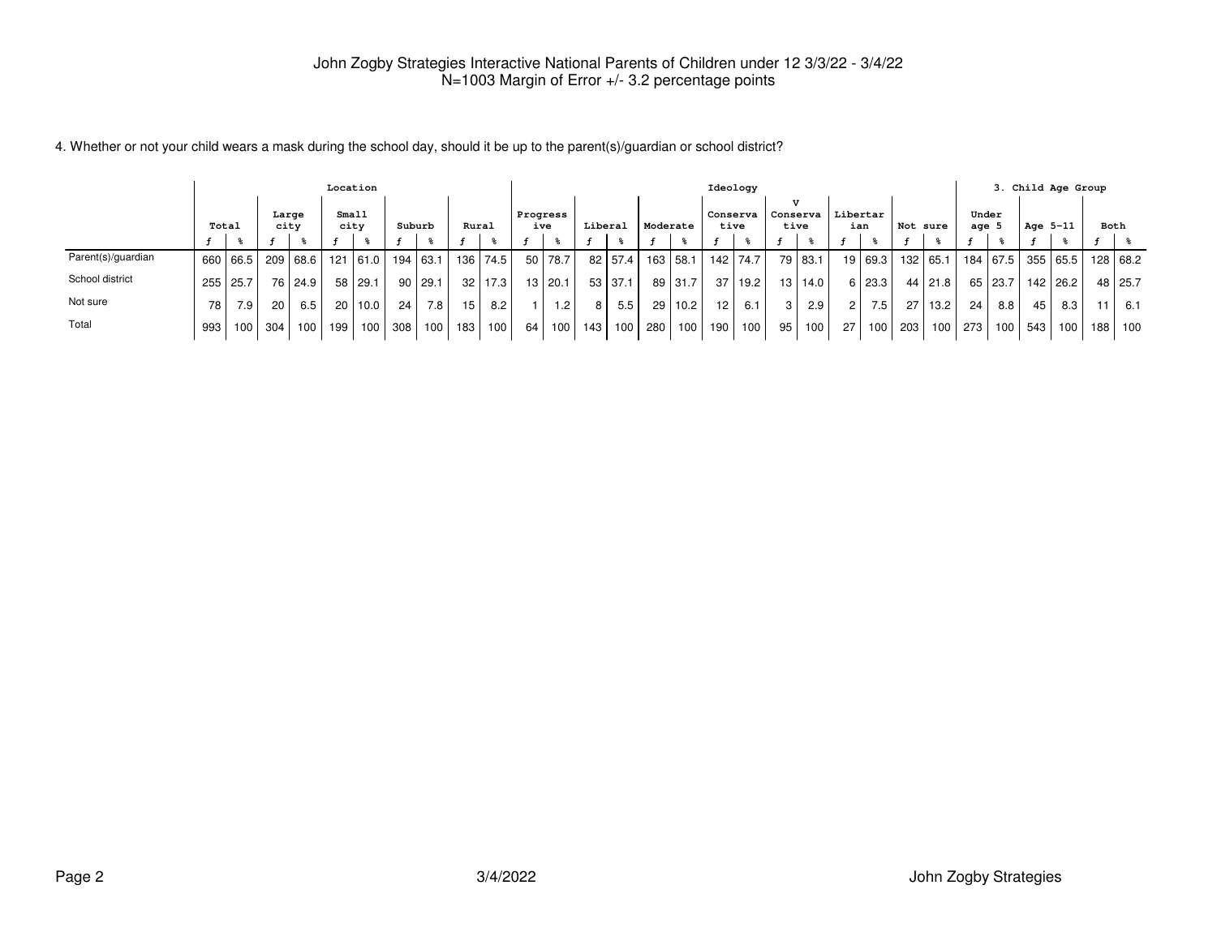| 4. Whether or not your child wears a mask during the school day, should it be up to the parent(s)/guardian or school district? |  |
|--------------------------------------------------------------------------------------------------------------------------------|--|
|--------------------------------------------------------------------------------------------------------------------------------|--|

|                    |       |          |               |                  |                 | Location   |        |          |                 |             |          |                  |         |         |                 |          |          | Ideology |          |           |                      |         |          |           |         |          |          | 3. Child Age Group |     |          |
|--------------------|-------|----------|---------------|------------------|-----------------|------------|--------|----------|-----------------|-------------|----------|------------------|---------|---------|-----------------|----------|----------|----------|----------|-----------|----------------------|---------|----------|-----------|---------|----------|----------|--------------------|-----|----------|
|                    | Total |          | Large<br>city |                  | Small<br>city   |            | Suburb |          | Rural           |             | Progress | ive              | Liberal |         | Moderate        |          | Conserva | tive     | Conserva | tive      | Libertar<br>ian      |         | Not sure |           | age $5$ | Under    | Age 5-11 |                    |     | Both     |
|                    |       |          |               |                  |                 |            |        |          |                 |             |          |                  |         |         |                 |          |          |          |          |           |                      |         |          |           |         |          |          |                    |     |          |
| Parent(s)/guardian |       | 660 66.5 |               | 209   68.6       |                 | $121$ 61.0 |        | 194 63.1 | 136 L           | 74.5        | 50       | 78.7             |         | 82 57.4 |                 | 163 58.1 | 142      | 74.7     |          | 79 83.1   |                      | 19 69.3 |          | 132 65.1  |         | 184 67.5 |          | 355 65.5           |     | 128 68.2 |
| School district    |       | 255 25.7 |               | 76   24.9        |                 | 58 29.1    | 90     | 29.1     |                 | $32$   17.3 | 13       | 120.1            | 53 I    | 37.1    |                 | 89 31.7  | -37      | 19.2     |          | 13   14.0 |                      | 6 23.3  |          | 44   21.8 |         | 65 23.7  |          | 142   26.2         |     | 48 25.7  |
| Not sure           | 78    | 7.9      | 20            | 6.5              | 20 <sub>1</sub> | 10.0       | 24     | 7.8      | 15 <sup>1</sup> | 8.2         |          | 1.2 <sub>1</sub> | 8       | 5.5     | 29 <sub>1</sub> | 10.2     | 12       | 6.1      | 3 I      | 2.9       | $\mathbf{2}^{\circ}$ | 7.5     | 27 I     | 13.2      | 24      | 8.8      | 45       | 8.3                |     | - 6.1    |
| Total              | 993   | 100      | 304           | 100 <sub>1</sub> | 199             | 100        | 308    | 100      | 183 l           | 100         | 64       | 100              | 143     | 100     | 280             | 100      | 190      | 100      | 95       | 100       | 27 <sup>1</sup>      | 100     | 203      | 100       | 273     | 100      | 543      | 100                | 188 | 100      |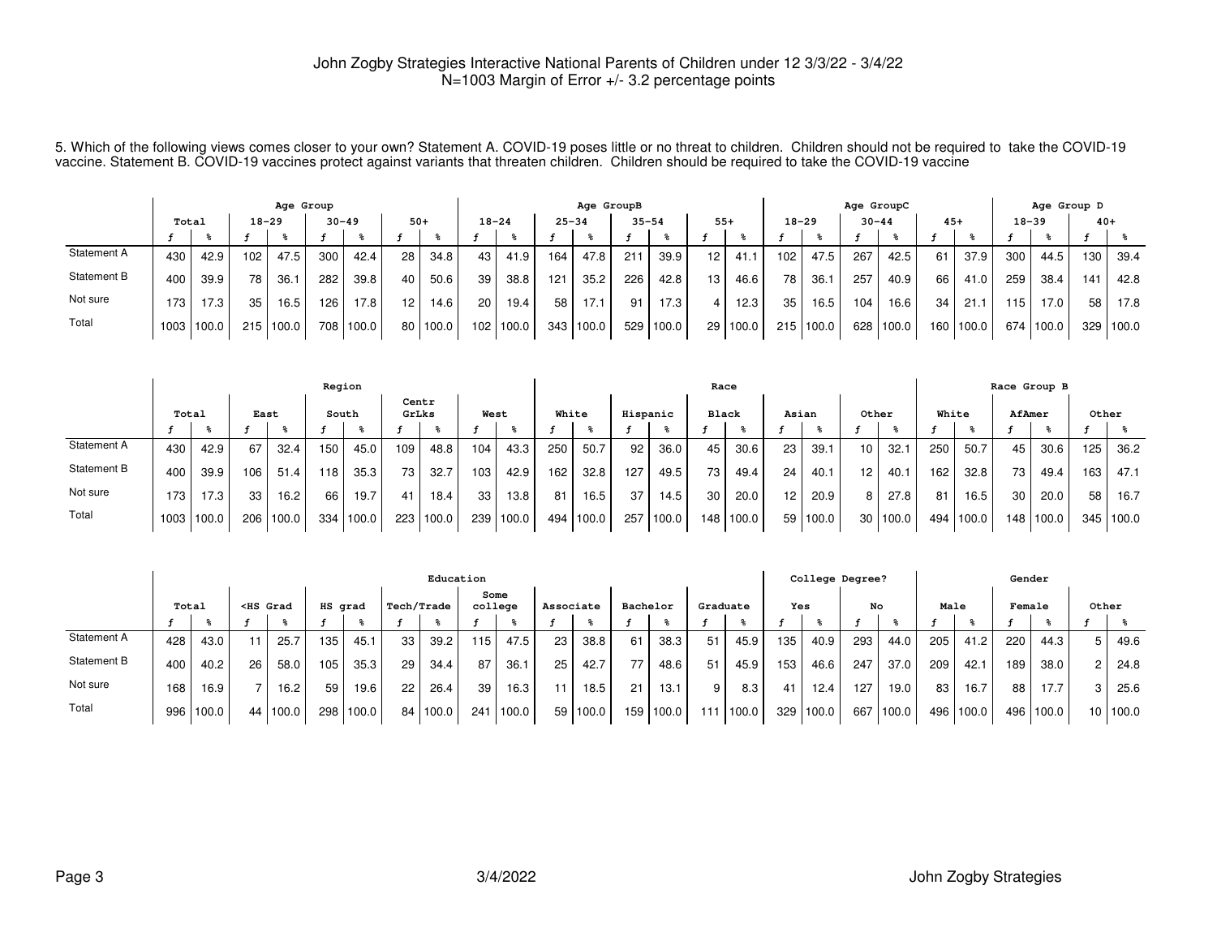5. Which of the following views comes closer to your own? Statement A. COVID-19 poses little or no threat to children. Children should not be required to take the COVID-19<br>vaccine. Statement B. COVID-19 vaccines protect

|             |       |            |           | Age Group |     |           |                 |          |           |       |           | Age GroupB |           |       |                 |          |                  |           | Age GroupC |       |       |       |           | Age Group D |       |       |
|-------------|-------|------------|-----------|-----------|-----|-----------|-----------------|----------|-----------|-------|-----------|------------|-----------|-------|-----------------|----------|------------------|-----------|------------|-------|-------|-------|-----------|-------------|-------|-------|
|             | Total |            | $18 - 29$ |           |     | $30 - 49$ | $50+$           |          | $18 - 24$ |       | $25 - 34$ |            | $35 - 54$ |       | $55+$           |          |                  | $18 - 29$ | $30 - 44$  |       | $45+$ |       | $18 - 39$ |             | $40+$ |       |
|             |       |            |           |           |     |           |                 |          |           |       |           |            |           |       |                 |          |                  |           |            |       |       |       |           |             |       |       |
| Statement A | 430   | 42.9       | 102       | 47.5      | 300 | 42.4      | 28 <sub>1</sub> | 34.8     | 43        | 41.9  | 164       | 47.8       | 211       | 39.9  | 12 <sup>1</sup> | 41.1     | 102 <sub>1</sub> | 47.5      | 267        | 42.5  | 61    | 37.9  | 300       | 44.5        | 130   | 39.4  |
| Statement B | 400   | 39.9       | 78        | 36.1      | 282 | 39.8      | 40              | 50.6     | 39        | 38.8  | 121       | 35.2       | 226       | 42.8  | 13 <sub>1</sub> | 46.6     | 78               | 36.7      | 257        | 40.9  | 66    | 41.0  | 259       | 38.4        | 141   | 42.8  |
| Not sure    | 173.  | 17.3       | 35        | 16.5      | 126 | 17.8      | 12              | 14.6     | 20        | 19.4  | 58        | 17.1       | 91        | 17.3  |                 | 12.3     | 35               | 16.5      | 104        | 16.6  | 34    | 21.   | 15        | 17.0        | 58    | 17.8  |
| Total       |       | 1003 100.0 | 215       | 100.0     | 708 | 100.0     |                 | 80 100.0 | 102       | 100.0 | 343       | 1100.0     | 529       | 100.0 |                 | 29 100.0 |                  | 215 100.0 | 628        | 100.0 | 160.  | 100.0 | 674       | 100.0       | 329   | 100.0 |

|             |       |            |                  |           | Region |       |       |       |       |       |       |       |          |       | Race         |           |       |            |       |          |       |       |     | Race Group B |       |         |
|-------------|-------|------------|------------------|-----------|--------|-------|-------|-------|-------|-------|-------|-------|----------|-------|--------------|-----------|-------|------------|-------|----------|-------|-------|-----|--------------|-------|---------|
|             | Total |            | East             |           | South  |       | GrLks | Centr | West  |       | White |       | Hispanic |       | <b>Black</b> |           | Asian |            | Other |          | White |       |     | AfAmer       | Other |         |
|             |       |            |                  |           |        |       |       |       |       |       |       |       |          |       |              |           |       |            |       |          |       |       |     |              |       |         |
| Statement A | 430   | 42.9       | 67               | 32.4      | 150    | 45.0  | 109   | 48.8  | 104   | 43.3  | 250   | 50.7  | 92       | 36.0  | 45           | 30.6      | 23    | 39.7       | 10    | 32.1     | 250   | 50.7  | 45  | 30.6         | 125   | 36.2    |
| Statement B | 400   | 39.9       | 106 <sub>1</sub> | 51.4      | 118.   | 35.3  | 73    | 32.7  | 103   | 42.9  | 162   | 32.8  | 127      | 49.5  | 73           | 49.4      | 24    | 40.1       | 12    | 40.1     | 162   | 32.8  | 73  | 49.4         | 163   | 47.1    |
| Not sure    | 173   | 17.3       | 33               | 16.2      | 66     | 19.7  | 41    | 18.4  | 33    | 13.8  | 81    | 16.5  | 37       | 14.5  | 30           | 20.0      | 12    | 20.9       |       | 27.8     | 81    | 16.5  | 30  | 20.0         | 58    | 16.7    |
| Total       |       | 1003 100.0 |                  | 206 100.0 | 334    | 100.0 | 223   | 100.0 | 239 l | 100.0 | 494   | 100.0 | 257      | 100.0 |              | 148 100.0 |       | 59   100.0 |       | 30 100.0 | 494   | 100.0 | 148 | 1100.0       | 345   | l 100.0 |

|             |       |       |                                                                                                                                                                                                                                                                                                                       |          |         |       |            | Education |                 |                 |           |       |          |        |                 |       |     | College Degree? |     |       |      |           | Gender |       |       |         |
|-------------|-------|-------|-----------------------------------------------------------------------------------------------------------------------------------------------------------------------------------------------------------------------------------------------------------------------------------------------------------------------|----------|---------|-------|------------|-----------|-----------------|-----------------|-----------|-------|----------|--------|-----------------|-------|-----|-----------------|-----|-------|------|-----------|--------|-------|-------|---------|
|             | Total |       | <hs grad<="" th=""><th></th><th>HS grad</th><th></th><th>Tech/Trade</th><th></th><th></th><th>Some<br/>college</th><th>Associate</th><th></th><th>Bachelor</th><th></th><th>Graduate</th><th></th><th>Yes</th><th></th><th>No</th><th></th><th>Male</th><th></th><th>Female</th><th></th><th>Other</th><th></th></hs> |          | HS grad |       | Tech/Trade |           |                 | Some<br>college | Associate |       | Bachelor |        | Graduate        |       | Yes |                 | No  |       | Male |           | Female |       | Other |         |
|             |       |       |                                                                                                                                                                                                                                                                                                                       |          |         |       |            |           |                 |                 |           |       |          |        |                 |       |     |                 |     |       |      |           |        |       |       |         |
| Statement A | 428   | 43.0  |                                                                                                                                                                                                                                                                                                                       | 25.7     | 135     | 45.1  | 33         | 39.2      | 15 <sub>1</sub> | 47.5            | 23        | 38.8  | 61       | 38.3   | 51              | 45.9  | 135 | 40.9            | 293 | 44.0  | 205  | 41.2      | 220    | 44.3  | b     | 49.6    |
| Statement B | 400   | 40.2  | 26                                                                                                                                                                                                                                                                                                                    | 58.0     | 105     | 35.3  | 29         | 34.4      | 87              | 36.1            | 25        | 42.7  |          | 48.6   | 51              | 45.9  | 153 | 46.6            | 247 | 37.0  | 209  | 42.1      | 189,   | 38.0  | 2     | 24.8    |
| Not sure    | 168   | 16.9  |                                                                                                                                                                                                                                                                                                                       | 16.2     | 59      | 19.6  | 22         | 26.4      | 39              | 16.3            | 11        | 18.5  | 21       | 13.1   | 9               | 8.3   | 41  | 12.4            | 127 | 19.0  | 83   | 16.7      | 88     | 17.7  | 3     | 25.6    |
| Total       | 996   | 100.0 |                                                                                                                                                                                                                                                                                                                       | 44 100.0 | 298     | 100.0 |            | 84 100.0  | 241             | 100.0           | 59        | 100.0 | 159      | ,100.0 | 11 <sup>1</sup> | 100.0 | 329 | 100.0           | 667 | 100.0 |      | 496 100.0 | 496 l  | 100.0 | 10 I  | l 100.0 |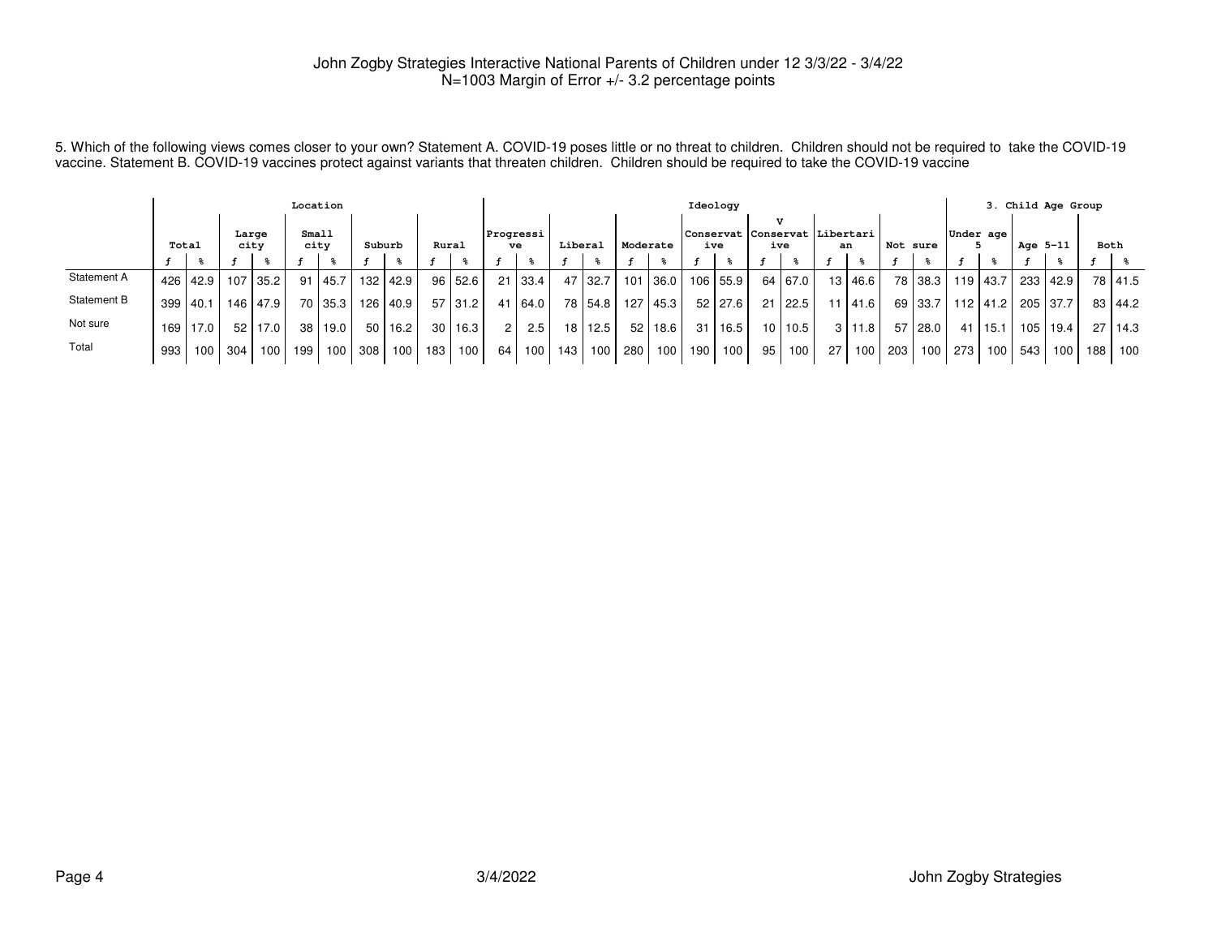5. Which of the following views comes closer to your own? Statement A. COVID-19 poses little or no threat to children. Children should not be required to take the COVID-19<br>vaccine. Statement B. COVID-19 vaccines protect

|             |            |            |               |            | Location      |                  |        |      |       |         |                 |         |         |           |          |        |                   | Ideology  |                                             |                     |                 |               |          |                  |                  |      | 3. Child Age Group      |          |      |                |
|-------------|------------|------------|---------------|------------|---------------|------------------|--------|------|-------|---------|-----------------|---------|---------|-----------|----------|--------|-------------------|-----------|---------------------------------------------|---------------------|-----------------|---------------|----------|------------------|------------------|------|-------------------------|----------|------|----------------|
|             | Total      |            | Large<br>city |            | Small<br>city |                  | Suburb |      | Rural |         | Progressi<br>ve |         | Liberal |           | Moderate |        |                   | ive       | T.Z<br>Conservat Conservat Libertari<br>ive |                     | an              |               | Not sure |                  | Under age        |      | Age 5-11                |          | Both |                |
|             |            |            |               |            |               |                  |        |      |       |         |                 |         |         |           |          |        |                   |           |                                             |                     |                 |               |          |                  |                  |      |                         |          |      |                |
| Statement A |            | 426   42.9 | 107           | l 35.2 l   |               | 91   45.7        | 132    | 42.9 |       | 96 52.6 |                 | 21 33.4 |         | 47 32.7   | 101      |        | 36.0   106   55.9 |           |                                             | 64   67.0           |                 | 13 46.6       |          |                  | 78 38.3 119 43.7 |      |                         | 233 42.9 |      | 78 41.5        |
| Statement B | 399   40.1 |            |               | 146   47.9 |               | 70 35.3          | 126    | 40.9 |       | 57 31.2 |                 | 41 64.0 |         | 78   54.8 | 127      | 45.3 l |                   | 52   27.6 |                                             | $21 \mid 22.5 \mid$ |                 | 11 41.6       |          | 69 33.7 L        |                  |      | 112   41.2   205   37.7 |          |      | 83 44.2        |
| Not sure    | 169 l      | 17.0       | 52            | 17.0       |               | 38   19.0        | 50     | 16.2 | 30 l  | 16.3    |                 | 2.5     |         | 18   12.5 | 52       | 18.6   | 31                | 16.5      |                                             | 10 10.5             |                 | $3 \mid 11.8$ |          | 57 28.0          | 41               | 15.1 |                         | 105 19.4 |      | $27 \mid 14.3$ |
| Total       | 993        | 100 L      | 304           | 100        | 199 l         | 100 <sub>1</sub> | 308    | 100  | 183   | 100     | 64              | 100     | 143 l   | 100       | 280      |        | 100   190         | 100       | 95                                          | 100 <sub>1</sub>    | 27 <sup>1</sup> | 100           | - 203 l  | 100 <sup>1</sup> | 273              | 100  | 543                     | 100      | 188  | 100            |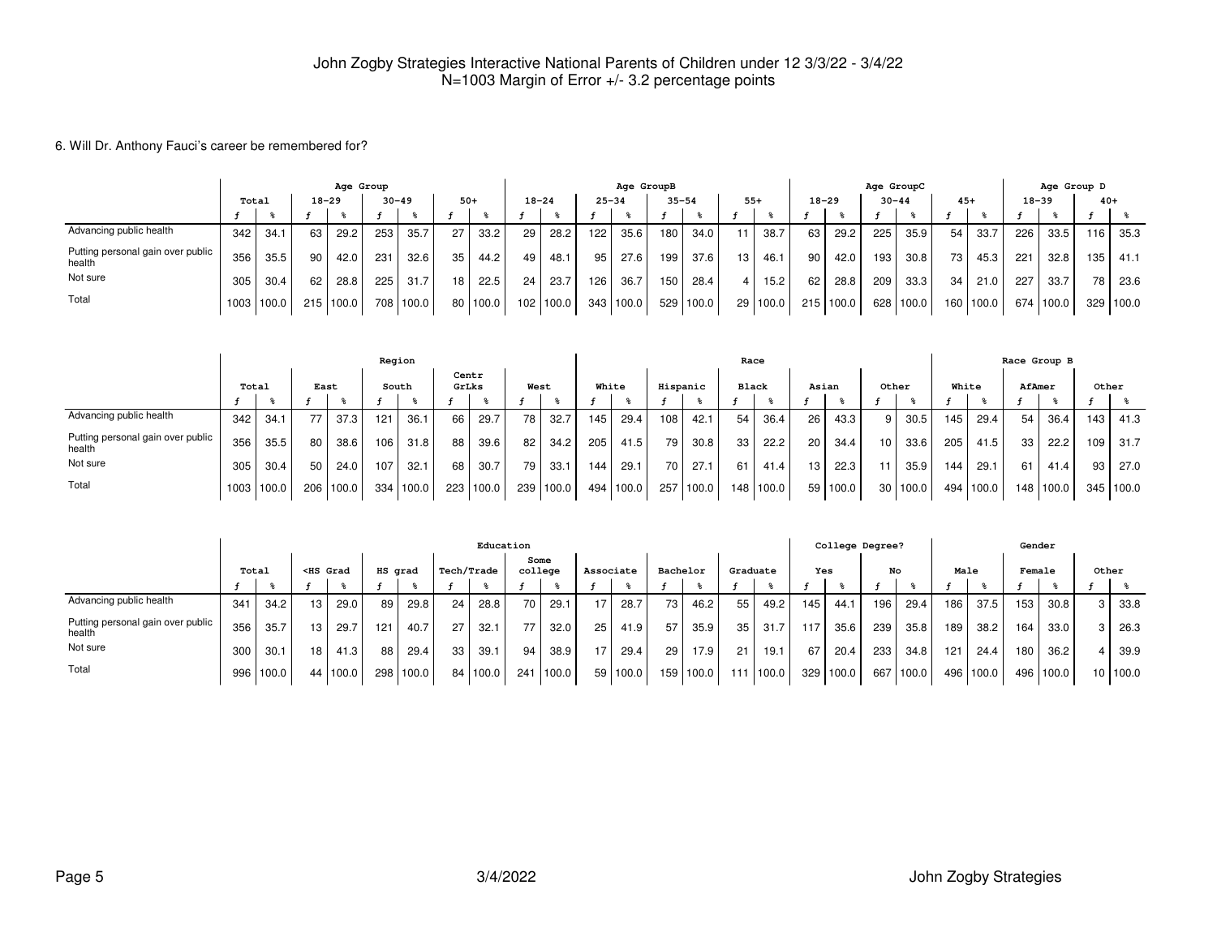#### 6. Will Dr. Anthony Fauci's career be remembered for?

|                                             |       |            |     | Age Group |     |           |       |          |                  |       |           | Age GroupB |           |           |       |          |                 |           | Age GroupC |           |       |       |           |        | Age Group D |       |
|---------------------------------------------|-------|------------|-----|-----------|-----|-----------|-------|----------|------------------|-------|-----------|------------|-----------|-----------|-------|----------|-----------------|-----------|------------|-----------|-------|-------|-----------|--------|-------------|-------|
|                                             | Total |            |     | $18 - 29$ |     | $30 - 49$ | $50+$ |          | $18 - 24$        |       | $25 - 34$ |            | $35 - 54$ |           | $55+$ |          | $18 - 29$       |           | $30 - 44$  |           | $45+$ |       | $18 - 39$ |        | $40+$       |       |
|                                             |       |            |     |           |     |           |       |          |                  |       |           |            |           |           |       |          |                 |           |            |           |       |       |           |        |             |       |
| Advancing public health                     | 342   | 34.1       | 63  | 29.2      | 253 | 35.7      | 27    | 33.2     | 29               | 28.2  | 122       | 35.6       | 180.      | 34.0      | 11    | 38.7     | 63 I            | 29.2      | 225        | 35.9      | 54    | 33.7  | 226       | 33.5   | 116         | 35.3  |
| Putting personal gain over public<br>health | 356   | 35.5       | 90  | 42.0      | 231 | 32.6      | 35    | 44.2     | 49               | 48.1  | 95l       | 27.6       | 199       | 37.6      | 13    | 46.1     | 90 <sub>1</sub> | 42.0      | 193        | 30.8      | 73    | 45.3  | 221       | 32.8   | 135         | 41.1  |
| Not sure                                    | 305   | 30.4       | 62  | 28.8      | 225 | 31.7      | 18    | 22.5     | 24               | 23.7  | 126       | 36.7       | 150       | 28.4      | 4 I   | 15.2     | 62 L            | 28.8      | 209        | 33.3      | 34    | 21.0  | 227       | 33.7   | 78          | 23.6  |
| Total                                       |       | 1003 100.0 | 215 | 1100.0    |     | 708 100.0 |       | 80 100.0 | 102 <sub>1</sub> | 100.0 |           | 343 100.0  |           | 529 100.0 |       | 29 100.0 |                 | 215 100.0 |            | 628 100.0 | 160   | 100.0 | 674       | 1100.0 | 329         | 100.0 |

|                                             |       |       |      |       | Region |       |                  |       |      |                   |                  |       |          |       | Race            |             |                 |       |     |            |       |       | Race Group B     |       |     |       |
|---------------------------------------------|-------|-------|------|-------|--------|-------|------------------|-------|------|-------------------|------------------|-------|----------|-------|-----------------|-------------|-----------------|-------|-----|------------|-------|-------|------------------|-------|-----|-------|
|                                             | Total |       | East |       |        | South | Centr<br>GrLks   |       | West |                   | White            |       | Hispanic |       | <b>Black</b>    |             | Asian           |       |     | Other      | White |       | AfAmer           |       |     | Other |
|                                             |       |       |      |       |        |       |                  |       |      |                   |                  |       |          |       |                 |             |                 |       |     |            |       |       |                  |       |     |       |
| Advancing public health                     | 342   | 34.1  |      | 37.3  | 121    | 36.1  | 66               | 29.7  | 78   | 32.7              | 145 <sub>1</sub> | 29.4  | 108      | 42.1  | 54 <sub>1</sub> | 36.4        | 26              | 43.3  | 9   | 30.5       | 145   | 29.4  | 54               | 36.4  | 143 | 41.3  |
| Putting personal gain over public<br>health | 356   | 35.5  | 80   | 38.6  | 106    | 31.8  | 88               | 39.6  | 82   | 34.2 <sub>1</sub> | 205              | 41.5  | 79       | 30.8  | 33              | 22.2        | 20 <sub>1</sub> | 34.4  | 10  | 33.6       | 205   | 41.5  | 33               | 22.2  | 109 | 31.7  |
| Not sure                                    | 305   | 30.4  | 50   | 24.0  | 107    | 32.1  | 68               | 30.7  | 79   | 33.1              | 144.             | 29.1  | 70 I     | 27.1  | 61              | 41.4        | 13              | 22.3  | 11. | 35.9       | 144   | 29.1  | 61               | 41.4  | 93  | 27.0  |
| Total                                       | 1003  | 100.0 | 206  | 100.0 | 334    | 100.0 | 223 <sub>1</sub> | 100.0 | 239  | 100.0             | 494 l            | 100.0 | 257      | 100.0 |                 | 148   100.0 | 59 <sup>°</sup> | 100.0 |     | 30   100.0 | 494   | 100.0 | 148 <sub>1</sub> | 100.0 | 345 | 100.0 |

|                                             |                                                                                                                                                                                                                                                                                                                              |       |    |       |     |         |                   | Education |                 |       |           |          |          |                   |                 |       |     | College Degree? |     |       |      |           | Gender |       |    |       |
|---------------------------------------------|------------------------------------------------------------------------------------------------------------------------------------------------------------------------------------------------------------------------------------------------------------------------------------------------------------------------------|-------|----|-------|-----|---------|-------------------|-----------|-----------------|-------|-----------|----------|----------|-------------------|-----------------|-------|-----|-----------------|-----|-------|------|-----------|--------|-------|----|-------|
|                                             | Total<br><hs grad<="" th=""><th></th><th>HS grad</th><th><b>Tech/Trade</b></th><th></th><th>Some<br/>college</th><th></th><th>Associate</th><th></th><th>Bachelor</th><th></th><th>Graduate</th><th></th><th>Yes</th><th></th><th>No</th><th></th><th>Male</th><th></th><th>Female</th><th></th><th></th><th>Other</th></hs> |       |    |       |     | HS grad | <b>Tech/Trade</b> |           | Some<br>college |       | Associate |          | Bachelor |                   | Graduate        |       | Yes |                 | No  |       | Male |           | Female |       |    | Other |
|                                             |                                                                                                                                                                                                                                                                                                                              |       |    |       |     |         |                   |           |                 |       |           |          |          |                   |                 |       |     |                 |     |       |      |           |        |       |    |       |
| Advancing public health                     | 341                                                                                                                                                                                                                                                                                                                          | 34.2  | 13 | 29.0  | 89  | 29.8    | 24                | 28.8      | 70              | 29.1  | 17        | 28.7     | 731      | 46.2              | 55              | 49.2  | 145 | 44.1            | 196 | 29.4  | 186  | 37.5      | 153    | 30.8  |    | 33.8  |
| Putting personal gain over public<br>health | 356                                                                                                                                                                                                                                                                                                                          | 35.7  | 13 | 29.7  | 121 | 40.7    | 27                | 32.1      | 77              | 32.0  | 25        | 41.9     | 57       | 35.9              | 35 <sub>1</sub> | 31.7  | 117 | 35.6            | 239 | 35.8  | 189  | 38.2      | 164    | 33.0  |    | 26.3  |
| Not sure                                    | 300                                                                                                                                                                                                                                                                                                                          | 30.1  | 18 | 41.3  | 88  | 29.4    | 33                | 39.1      | 94              | 38.9  | 17        | 29.4     | 29       | 17.9 <sub>1</sub> | 21              | 19.1  | 67  | 20.4            | 233 | 34.8  | 121  | 24.4      | 180    | 36.2  |    | 39.9  |
| Total                                       | 996                                                                                                                                                                                                                                                                                                                          | 100.0 | 44 | 100.0 | 298 | 100.0   | 84 I              | 100.0     | 241             | 100.0 |           | 59 100.0 | 159 l    | 100.0             |                 | 100.0 | 329 | 100.0           | 667 | 100.0 |      | 496 100.0 | 496    | 100.0 | 10 | 100.0 |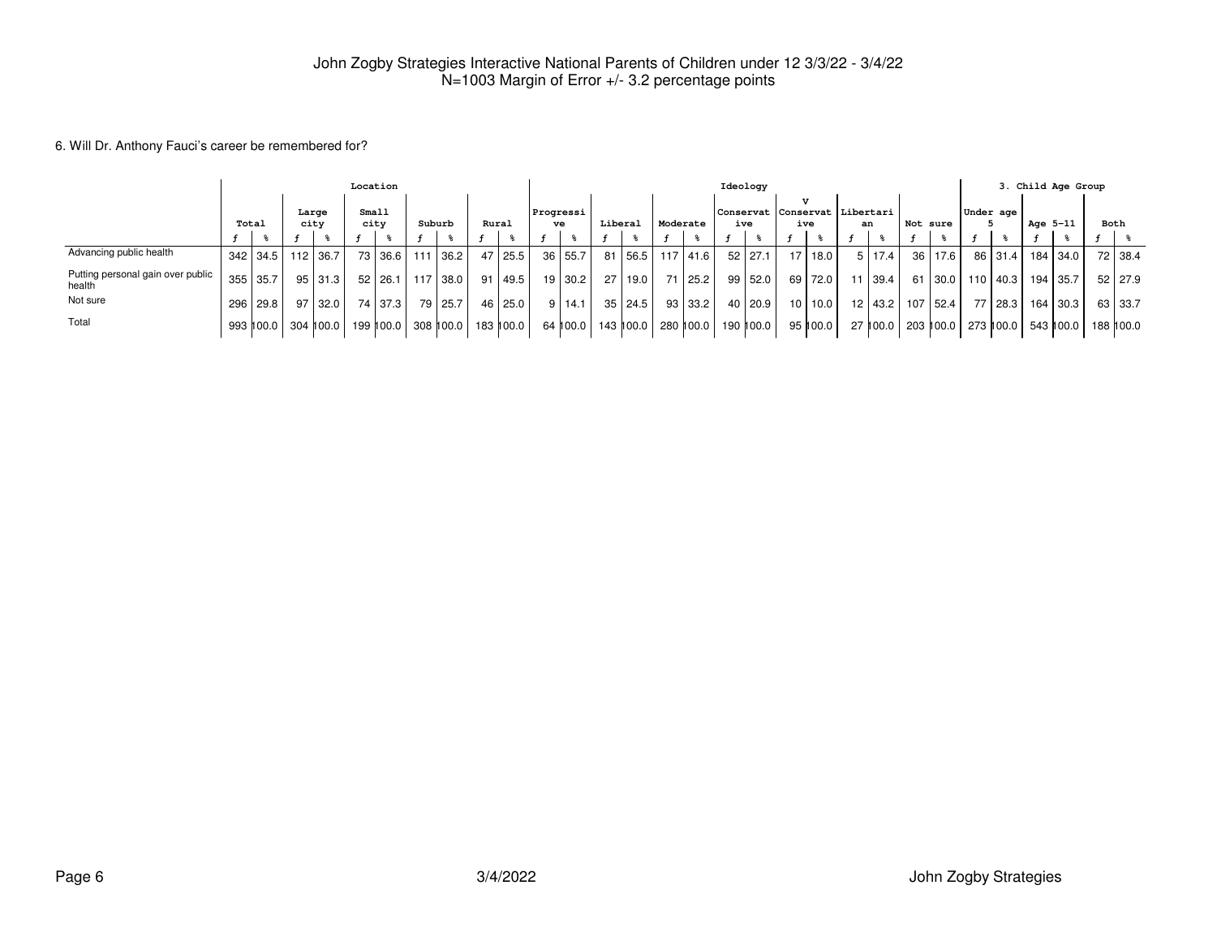#### 6. Will Dr. Anthony Fauci's career be remembered for?

|                                             |       |              |               |           | Location      |             |        |                     |       |           |                 |          |         |                       |          |           | Ideology    |    |          |                                        |           |                    |           |              |          | 3. Child Age Group    |      |         |
|---------------------------------------------|-------|--------------|---------------|-----------|---------------|-------------|--------|---------------------|-------|-----------|-----------------|----------|---------|-----------------------|----------|-----------|-------------|----|----------|----------------------------------------|-----------|--------------------|-----------|--------------|----------|-----------------------|------|---------|
|                                             | Total |              | Large<br>city |           | Small<br>city |             | Suburb |                     | Rural |           | Progressi<br>ve |          | Liberal |                       | Moderate |           | ive         |    | v<br>ive | Conservat  Conservat   Libertari<br>an |           | Not sure           | Under age |              | Age 5-11 |                       | Both |         |
|                                             |       |              |               |           |               |             |        |                     |       |           |                 |          |         |                       |          |           |             |    |          |                                        |           |                    |           |              |          |                       |      |         |
| Advancing public health                     |       | $342$   34.5 | 112           | 36.7      |               | 73 36.6     |        | 36.2                |       | 47 25.5   |                 | 36 55.7  | 81      | 56.5   117   41.6     |          |           | $52$   27.1 | 17 | 18.0     |                                        | 5 17.4    | 36 17.6            |           | 86 31.4      |          | 184   34.0            |      | 72 38.4 |
| Putting personal gain over public<br>health | 355   | 35.7         | 95            | 31.3      |               | $52$   26.1 |        | 117 38.0            | 91    | 49.5      |                 | 19 30.2  | 27      | 19.0                  |          | 71 25.2   | $99$ 52.0   | 69 | 72.0     | 11                                     | 39.4      | 61 30.0            |           | $110$   40.3 |          | 194 35.7              |      | 52 27.9 |
| Not sure                                    |       | 296 29.8     | 97            | 32.0      |               | 74   37.3   |        | 79   25.7           |       | 46 25.0   |                 | 9 14.1   |         | 35   24.5             |          | $93$ 33.2 | $40$   20.9 |    | 10 10.0  |                                        | 12   43.2 | 107 52.4           | 77        | 28.3         |          | 164   30.3            |      | 63 33.7 |
| Total                                       |       | 993 100.0    |               | 304 100.0 |               |             |        | 199 100.0 308 100.0 |       | 183 100.0 |                 | 64 100.0 |         | 143 ∥00.0   280 ∥00.0 |          |           | 190 ∥00.0   |    | 95 ∥00.0 |                                        |           | 27 100.0 203 100.0 |           | 273 ∥00.0    |          | 543 ∥00.0   188 ∥00.0 |      |         |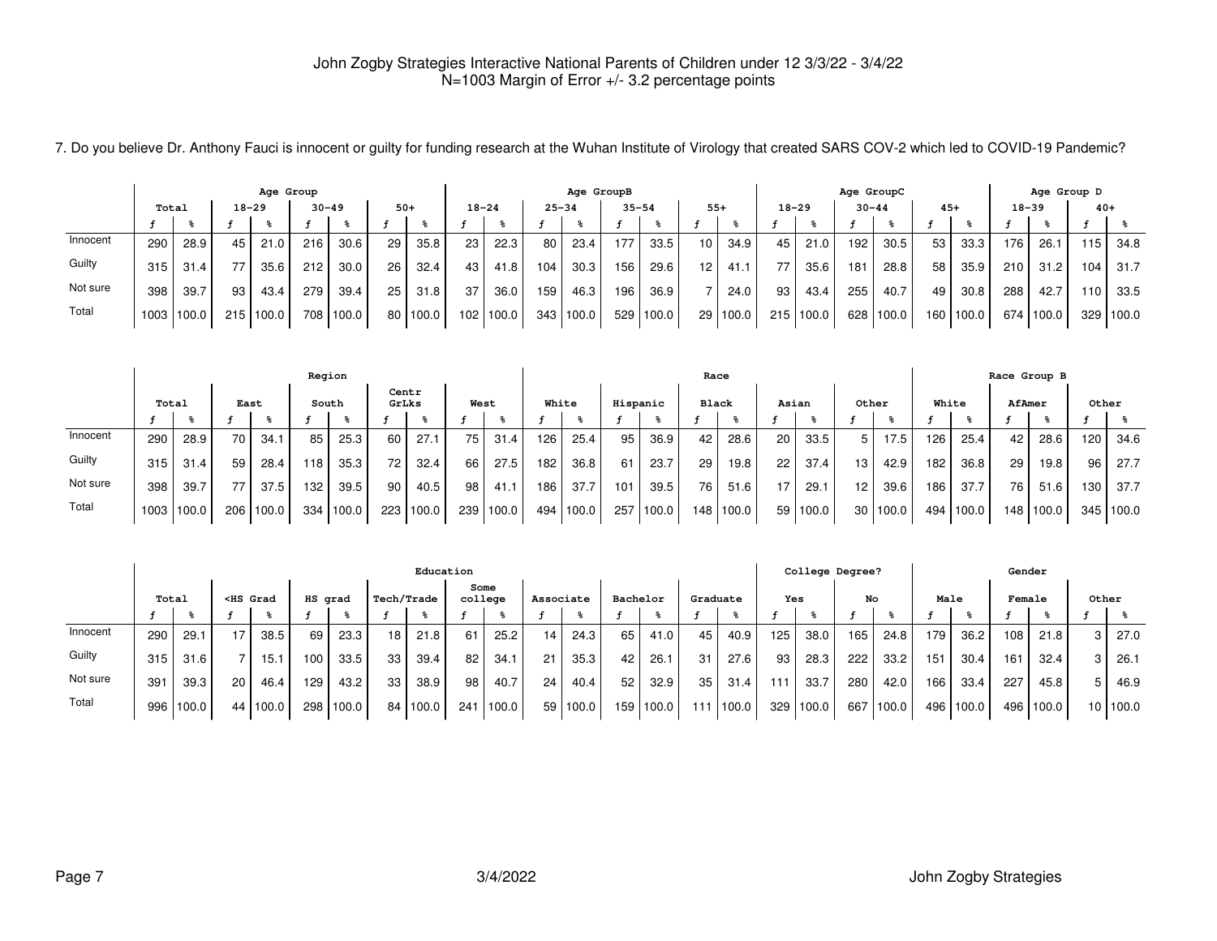|          | Age Group<br>$18 - 29$<br>$30 - 49$<br>Total |            |     |       |     |           |       |            |           |       |           | Age GroupB |           |       |    |          |           |       | Age GroupC |           |       |           |                  | Age Group D |       |           |
|----------|----------------------------------------------|------------|-----|-------|-----|-----------|-------|------------|-----------|-------|-----------|------------|-----------|-------|----|----------|-----------|-------|------------|-----------|-------|-----------|------------------|-------------|-------|-----------|
|          |                                              |            |     |       |     |           | $50+$ |            | $18 - 24$ |       | $25 - 34$ |            | $35 - 54$ |       |    | $55+$    | $18 - 29$ |       | $30 - 44$  |           | $45+$ |           | $18 - 39$        |             | $40+$ |           |
|          |                                              |            |     |       |     |           |       |            |           |       |           |            |           |       |    |          |           |       |            |           |       |           |                  |             |       |           |
| Innocent | 290                                          | 28.9       | 45  | 21.0  | 216 | 30.6      | 29    | 35.8       | 23        | 22.3  | 80        | 23.4       | 177       | 33.5  | 10 | 34.9     | 45        | 21.0  | 192        | 30.5      | 53    | 33.3      | 176.             | 26.1        | 115   | 34.8      |
| Guilty   | 315                                          | 31.4       | 77  | 35.6  | 212 | 30.0      | 26    | 32.4       | 43        | 41.8  | 104       | 30.3       | 156       | 29.6  | 12 | 41.1     | 77        | 35.6  | 181        | 28.8      | 58    | 35.9      | 210 <sub>1</sub> | 31.2        | 104   | 31.7      |
| Not sure | 398                                          | 39.7       | 93  | 43.4  | 279 | 39.4      | 25    | 31.8       | 37        | 36.0  | 159       | 46.3       | 196       | 36.9  |    | 24.0     | 93        | 43.4  | 255        | 40.7      | 49    | 30.8      | 288              | 42.7        | 110   | 33.5      |
| Total    |                                              | 1003 100.0 | 215 | 100.0 |     | 708 100.0 |       | 80   100.0 | 102       | 100.0 | 343       | 100.0      | 529       | 100.0 |    | 29 100.0 | 215       | 100.0 |            | 628 100.0 |       | 160 100.0 |                  | 674 100.0   |       | 329 100.0 |

7. Do you believe Dr. Anthony Fauci is innocent or guilty for funding research at the Wuhan Institute of Virology that created SARS COV-2 which led to COVID-19 Pandemic?

|          |       |       |                 |           |       | Region |                 |           |      |       |       |       |          |       | Race  |           |    |       |                 |          |       |       |        | Race Group B      |                  |           |
|----------|-------|-------|-----------------|-----------|-------|--------|-----------------|-----------|------|-------|-------|-------|----------|-------|-------|-----------|----|-------|-----------------|----------|-------|-------|--------|-------------------|------------------|-----------|
|          | Total |       | East            |           |       | South  | Centr<br>GrLks  |           | West |       | White |       | Hispanic |       | Black |           |    | Asian | Other           |          | White |       | AfAmer |                   | Other            |           |
|          |       |       |                 |           |       |        |                 |           |      |       |       |       |          |       |       |           |    |       |                 |          |       |       |        |                   |                  |           |
| Innocent | 290   | 28.9  | 70 <sub>1</sub> | 34.1      | 85    | 25.3   | 60              | 27.1      | 75   | 31.4  | 126   | 25.4  | 95       | 36.9  | 42    | 28.6      | 20 | 33.5  | 5               | 17.5     | 126   | 25.4  | 42     | 28.6              | 120 <sub>1</sub> | 34.6      |
| Guilty   | 315   | 31.4  | 59              | 28.4      | 118   | 35.3   | 72 <sub>1</sub> | 32.4      | 66   | 27.5  | 182   | 36.8  | -61      | 23.7  | 29    | 19.8      | 22 | 37.4  | 13 <sub>1</sub> | 42.9     | 182   | 36.8  | 29     | 19.8 <sub>1</sub> | 96 I             | 27.7      |
| Not sure | 398   | 39.7  |                 | 37.5      | 132   | 39.5   | 90 <sub>1</sub> | 40.5      | 98   | 41.1  | 186   | 37.7  | 101      | 39.5  | 76    | 51.6      | 17 | 29.1  | 12 <sub>1</sub> | 39.6     | 186   | 37.7  | 76     | 51.6              | 1301             | 37.7      |
| Total    | 1003  | 100.0 |                 | 206 100.0 | 334 i | 100.0  |                 | 223 100.0 | 239  | 100.0 | 494   | 100.0 | 257      | 100.0 |       | 148 100.0 | 59 | 100.0 |                 | 30 100.0 | 494   | 100.0 |        | 148 100.0         |                  | 345 100.0 |

|          |       |       |                                                                                                                                                                                                                                                                                                                       |            |         |       |            | Education  |                 |       |           |       |           |             |     |          |     | College Degree? |     |       |      |           | Gender |       |       |          |
|----------|-------|-------|-----------------------------------------------------------------------------------------------------------------------------------------------------------------------------------------------------------------------------------------------------------------------------------------------------------------------|------------|---------|-------|------------|------------|-----------------|-------|-----------|-------|-----------|-------------|-----|----------|-----|-----------------|-----|-------|------|-----------|--------|-------|-------|----------|
|          | Total |       | <hs grad<="" th=""><th></th><th>HS grad</th><th></th><th>Tech/Trade</th><th></th><th>Some<br/>college</th><th></th><th>Associate</th><th></th><th>Bachelor</th><th></th><th></th><th>Graduate</th><th>Yes</th><th></th><th>No</th><th></th><th>Male</th><th></th><th>Female</th><th></th><th>Other</th><th></th></hs> |            | HS grad |       | Tech/Trade |            | Some<br>college |       | Associate |       | Bachelor  |             |     | Graduate | Yes |                 | No  |       | Male |           | Female |       | Other |          |
|          |       |       |                                                                                                                                                                                                                                                                                                                       |            |         |       |            |            |                 |       |           |       |           |             |     |          |     |                 |     |       |      |           |        |       |       |          |
| Innocent | 290   | 29.1  |                                                                                                                                                                                                                                                                                                                       | 38.5       | 69      | 23.3  | 18         | 21.8       | 61              | 25.2  | 14        | 24.3  | 65 I      | 41.0        | 45  | 40.9     | 125 | 38.0            | 165 | 24.8  | 179  | 36.2      | 108    | 21.8  | 3     | 27.0     |
| Guilty   | 315   | 31.6  |                                                                                                                                                                                                                                                                                                                       | 15.1       | 100     | 33.5  | 33         | 39.4       | 82              | 34.1  | 21        | 35.3  | 42        | 26.1        | 31  | 27.6     | 93  | 28.3            | 222 | 33.2  | 151  | 30.4      | 161    | 32.4  | 3     | 26.1     |
| Not sure | 391   | 39.3  | 20 <sub>1</sub>                                                                                                                                                                                                                                                                                                       | 46.4       | 129     | 43.2  | 33         | 38.9       | 98 I            | 40.7  | 24        | 40.4  | $52 \mid$ | 32.9        | 35  | 31.4     | 111 | 33.7            | 280 | 42.0  | 166  | 33.4      | 227    | 45.8  | 5     | 46.9     |
| Total    | 996   | 100.0 |                                                                                                                                                                                                                                                                                                                       | 44   100.0 | 298     | 100.0 |            | 84   100.0 | 241             | 100.0 | 59        | 100.0 |           | 159   100.0 | 111 | 100.0    | 329 | 100.0           | 667 | 100.0 |      | 496 100.0 | 496    | 100.0 |       | 10 100.0 |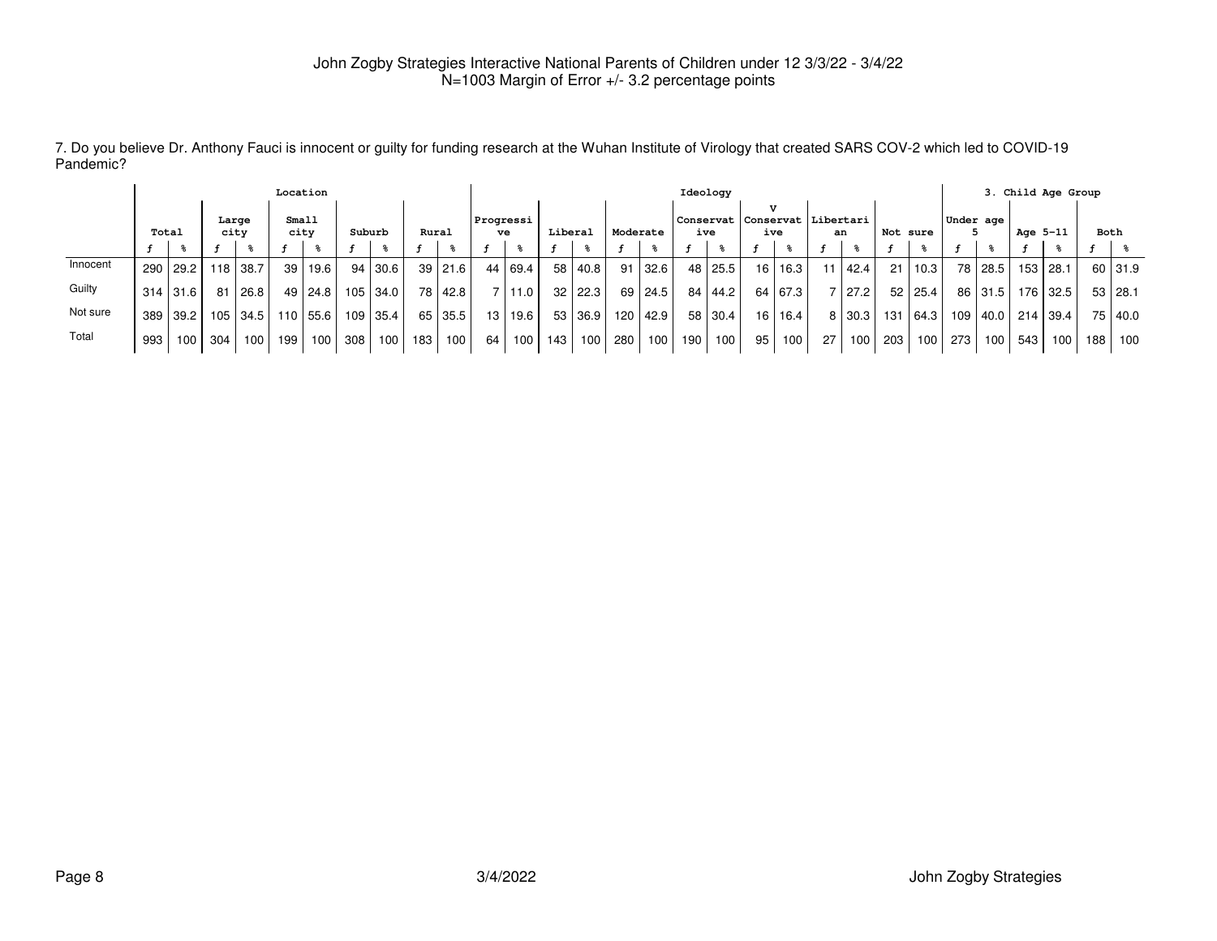|          |       |                  |                  |               | Location        |           |        |                  |       |          |                 |         |         |                  |          |      |       | Ideology  |                                   |           |      |        |          |              |           |         |          | 3. Child Age Group |     |                |
|----------|-------|------------------|------------------|---------------|-----------------|-----------|--------|------------------|-------|----------|-----------------|---------|---------|------------------|----------|------|-------|-----------|-----------------------------------|-----------|------|--------|----------|--------------|-----------|---------|----------|--------------------|-----|----------------|
|          | Total |                  |                  | Large<br>city | Small<br>city   |           | Suburb |                  | Rural |          | Progressi<br>ve |         | Liberal |                  | Moderate |      | ive   |           | Conservat   Conservat   Libertari | ive       |      | an     | Not sure |              | Under age |         | Age 5-11 |                    |     | Both           |
|          |       |                  |                  |               |                 |           |        |                  |       |          |                 |         |         |                  |          |      |       |           |                                   |           |      |        |          |              |           |         |          |                    |     |                |
| Innocent | 290   | 29.2 l           |                  | 118 38.7      | 39 <sup>°</sup> | 19.6      |        | 94 30.6          |       | 39 21.6  |                 | 44 69.4 |         | 58   40.8        | 91       | 32.6 |       | 48 25.5   | 16                                | 16.3      | 11 I | 42.4   | 21       | $\vert$ 10.3 | 78        | 28.5    |          | 153 28.1           |     | 60 31.9        |
| Guilty   |       | 314 31.6         | 81               | 26.8          |                 | 49   24.8 |        | 105 34.0         | 78 l  | l 42.8 l | 7 <sup>1</sup>  | 11.0    |         | 32 22.3          | 69       | 24.5 |       | 84   44.2 | 64 l                              | 67.3      |      | 7 27.2 |          | 52   25.4    |           | 86 31.5 |          | 176 32.5           |     | $53 \mid 28.1$ |
| Not sure | 389   | 39.2             | 105 <sub>1</sub> | l 34.5        |                 | 110 55.6  |        | 109 35.4         | 65    | 35.5     | 13 I            | 19.6    |         | 53 36.9          | 120      | 42.9 |       | 58 30.4   |                                   | 16   16.4 |      | 8 30.3 | 131      | 64.3         | 109       | 40.0    |          | 214 39.4           |     | 75 40.0        |
| Total    | 993   | 100 <sub>l</sub> | 304              | 100           | 199             | 100       | 308    | 100 <sub>l</sub> | 183   | 100      | 64 I            | 100     | 143     | 100 <sup>1</sup> | 280      | 100  | 190 l | 100       | 95                                | 100       | 271  | 100    | 203 l    | 100          | 273       | 100     | 543      | 100                | 188 | 100            |

7. Do you believe Dr. Anthony Fauci is innocent or guilty for funding research at the Wuhan Institute of Virology that created SARS COV-2 which led to COVID-19Pandemic?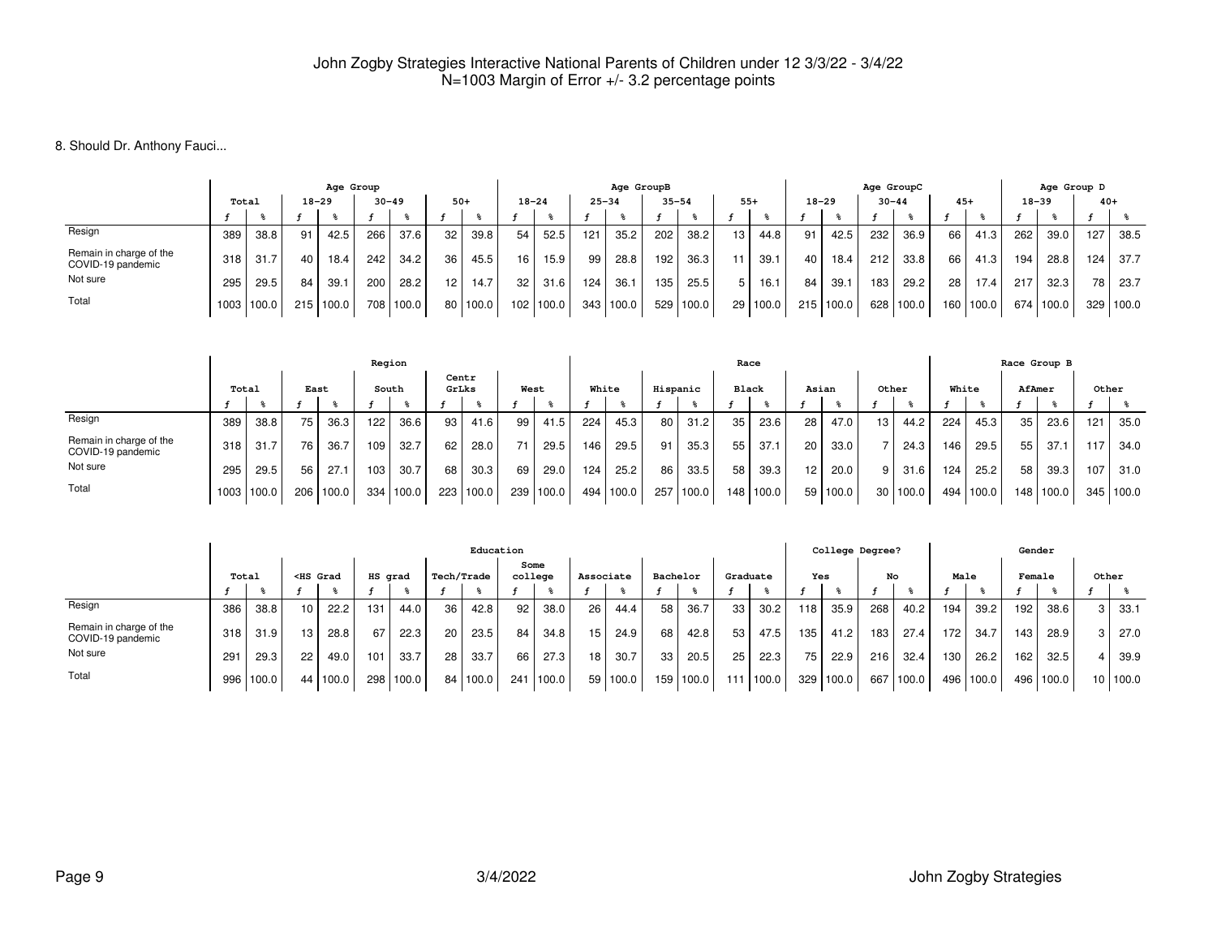8. Should Dr. Anthony Fauci...

|                                              |       |            |       | Age Group |           |       |                 |          |                 |           |           | Age GroupB |           |       |    |       |           |       | Age GroupC |                   |       |       |           | Age Group D |       |       |
|----------------------------------------------|-------|------------|-------|-----------|-----------|-------|-----------------|----------|-----------------|-----------|-----------|------------|-----------|-------|----|-------|-----------|-------|------------|-------------------|-------|-------|-----------|-------------|-------|-------|
|                                              | Total |            | 18-29 |           | $30 - 49$ |       | $50+$           |          |                 | $18 - 24$ | $25 - 34$ |            | $35 - 54$ |       |    | $55+$ | $18 - 29$ |       | $30 - 44$  |                   | $45+$ |       | $18 - 39$ |             | $40+$ |       |
|                                              |       |            |       |           |           |       |                 |          |                 |           |           |            |           |       |    |       |           |       |            |                   |       |       |           |             |       |       |
| Resign                                       | 389   | 38.8       | 91    | 42.5      | 266       | 37.6  | 32              | 39.8     | 54              | 52.5      | 121       | 35.2       | 202       | 38.2  | 13 | 44.8  | 91        | 42.5  | 232        | 36.9              | 66    | 41.3  | 262       | 39.0        | 127   | 38.5  |
| Remain in charge of the<br>COVID-19 pandemic | 318   | 31.7       | 40    | 18.4      | 242       | 34.2  | 36              | 45.5     | 16 <sub>1</sub> | 15.9      | 99        | 28.8       | 192       | 36.3  |    | 39.1  | 40        | 18.4  | 212        | 33.8              | 66    | 41.3  | 194       | 28.8        | 124   | 37.7  |
| Not sure                                     | 295   | 29.5       | 84    | 39.1      | 200       | 28.2  | 12 <sub>1</sub> | 14.7     | 32 <sub>1</sub> | 31.6      | 124       | 36.1       | 135       | 25.5  |    | 16.1  | 84        | 39.1  | 183        | 29.2 <sub>1</sub> | 28    | 17.4  | 217       | 32.3        | 78    | 23.7  |
| Total                                        |       | 1003 100.0 | 215   | 100.0     | 708       | 100.0 |                 | 80 100.0 | 102             | 100.0     | 343       | 100.0      | 529       | 100.0 | 29 | 100.0 | 215       | 100.0 | 628        | 100.0             | 160   | 100.0 | 674       | 100.0       | 329   | 100.0 |

|                                              |       |            |      |       | Region |       |                 |       |     |       |       |           |     |          |    | Race         |       |          |                 |                   |       |       | Race Group B |             |       |       |
|----------------------------------------------|-------|------------|------|-------|--------|-------|-----------------|-------|-----|-------|-------|-----------|-----|----------|----|--------------|-------|----------|-----------------|-------------------|-------|-------|--------------|-------------|-------|-------|
|                                              | Total |            | East |       |        | South | Centr<br>GrLks  |       |     | West  | White |           |     | Hispanic |    | <b>Black</b> | Asian |          | Other           |                   | White |       | AfAmer       |             | Other |       |
|                                              |       |            |      |       |        |       |                 |       |     |       |       |           |     |          |    |              |       |          |                 |                   |       |       |              |             |       |       |
| Resign                                       | 389   | 38.8       | 75 l | 36.3  | 122    | 36.6  | 93              | 41.6  | 99  | 41.5  | 224   | 45.3      | 80  | 31.2     | 35 | 23.6         | 28    | 47.0     | 13 <sub>1</sub> | 44.2 <sub>1</sub> | 224   | 45.3  | 35           | 23.6        | 121   | 35.0  |
| Remain in charge of the<br>COVID-19 pandemic | 318   | 31.7       | 76   | 36.7  | 109    | 32.7  | 62 <sub>1</sub> | 28.0  |     | 29.5  | 146   | 29.5      | 91  | 35.3     | 55 | 37.1         | 20    | 33.0     |                 | 24.3              | 146   | 29.5  | 55           | 37.1        | 117.  | 34.0  |
| Not sure                                     | 295   | 29.5       | 56   | 27.1  | 103    | 30.7  | 68              | 30.3  | 69  | 29.0  | 124   | 25.2      | 86  | 33.5     | 58 | 39.3         | 12.   | 20.0     | 9               | 31.6              | 124   | 25.2  | 58           | 39.3        | 107   | 31.0  |
| Total                                        |       | 1003 100.0 | 206  | 100.0 | 334    | 100.0 | 223             | 100.0 | 239 | 100.0 |       | 494 100.0 | 257 | 100.0    |    | 148 100.0    |       | 59 100.0 | 30 I            | 100.0             | 494   | 100.0 |              | 148   100.0 | 345   | 100.0 |

|                                              |       |           |                                                                                                                                                                                                                                                                                                                         |          |         |       |                   | Education |                 |       |                 |            |     |          |     |          |     | College Degree? |     |       |      |       | Gender |       |   |          |
|----------------------------------------------|-------|-----------|-------------------------------------------------------------------------------------------------------------------------------------------------------------------------------------------------------------------------------------------------------------------------------------------------------------------------|----------|---------|-------|-------------------|-----------|-----------------|-------|-----------------|------------|-----|----------|-----|----------|-----|-----------------|-----|-------|------|-------|--------|-------|---|----------|
|                                              | Total |           | <hs grad<="" th=""><th></th><th>HS grad</th><th></th><th><b>Tech/Trade</b></th><th></th><th>college</th><th>Some</th><th>Associate</th><th></th><th></th><th>Bachelor</th><th></th><th>Graduate</th><th>Yes</th><th></th><th></th><th>No</th><th>Male</th><th></th><th>Female</th><th></th><th></th><th>Other</th></hs> |          | HS grad |       | <b>Tech/Trade</b> |           | college         | Some  | Associate       |            |     | Bachelor |     | Graduate | Yes |                 |     | No    | Male |       | Female |       |   | Other    |
|                                              |       |           |                                                                                                                                                                                                                                                                                                                         |          |         |       |                   |           |                 |       |                 |            |     |          |     |          |     |                 |     |       |      |       |        |       |   |          |
| Resign                                       | 386   | 38.8      | 10 <sub>1</sub>                                                                                                                                                                                                                                                                                                         | 22.2     | 131     | 44.0  | 36                | 42.8      | 92              | 38.0  | 26              | 44.4       | 58  | 36.7     | 33  | 30.2     | 118 | 35.9            | 268 | 40.2  | 194  | 39.2. | 192    | 38.6  | 3 | 33.1     |
| Remain in charge of the<br>COVID-19 pandemic | 318   | 31.9      | -13 -                                                                                                                                                                                                                                                                                                                   | 28.8     | 67      | 22.3  | -20               | 23.5      | 84 <sub>1</sub> | 34.8  | 15              | 24.9       | 68  | 42.8     | 53  | 47.5     | 135 | 41.2            | 183 | 27.4  | 172  | 34.7  | 143    | 28.9  |   | 27.0     |
| Not sure                                     | 291   | 29.3      | 22                                                                                                                                                                                                                                                                                                                      | 49.0     | 101     | 33.7  | 28                | 33.7      | 66              | 27.3  | 18 <sub>1</sub> | 30.7       | 33  | 20.5     | 25  | 22.3     | 75  | 22.9            | 216 | 32.4  | 130  | 26.2  | 162    | 32.5  |   | 39.9     |
| Total                                        |       | 996 100.0 |                                                                                                                                                                                                                                                                                                                         | 44 100.0 | 298     | 100.0 |                   | 84 100.0  | 241             | 100.0 |                 | 59   100.0 | 159 | 100.0    | 111 | 1100.0   | 329 | 100.0           | 667 | 100.0 | 496  | 100.0 | 496    | 100.0 |   | 10 100.0 |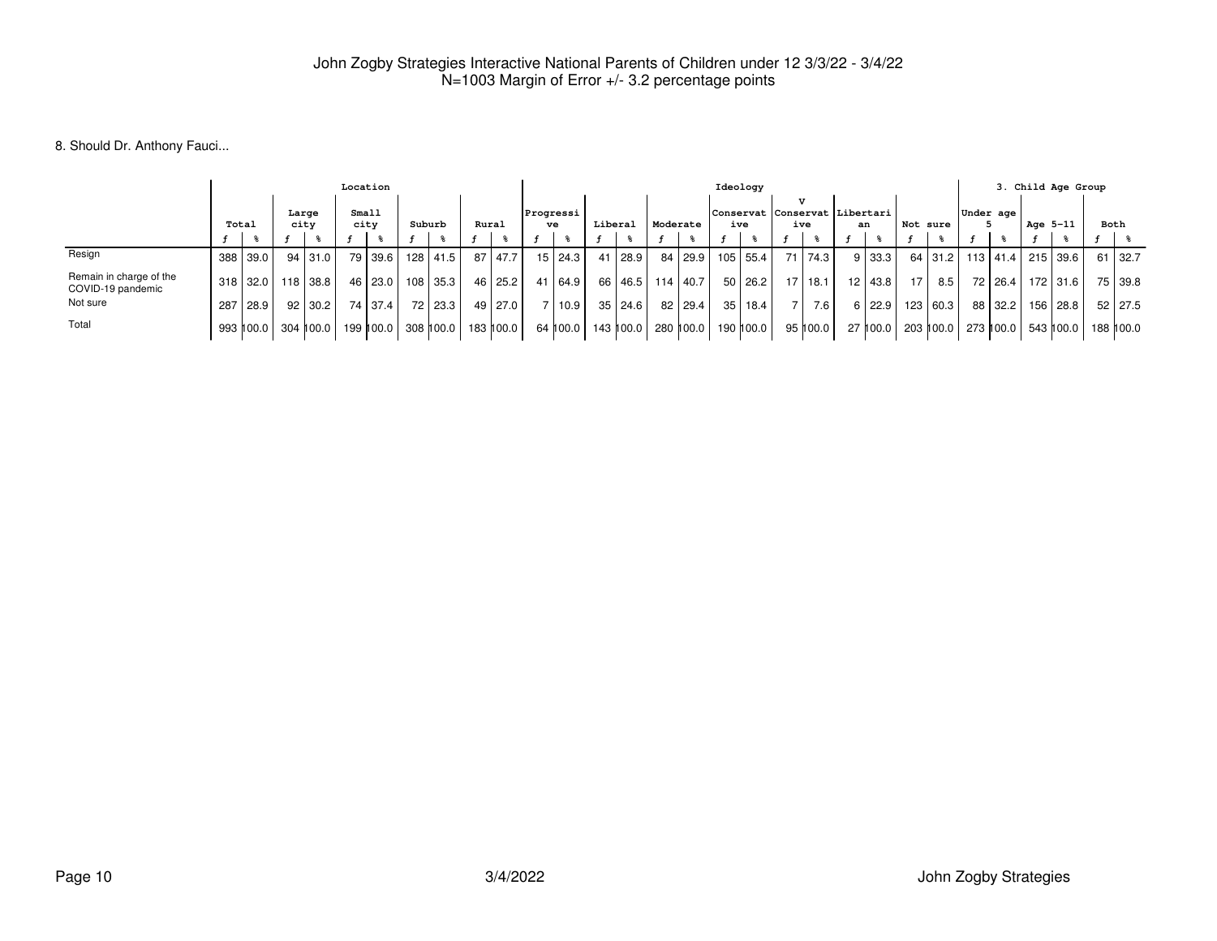### 8. Should Dr. Anthony Fauci...

|                                              |       |           |               | Location      |           |        |           |       |           |                 |           |         |           |          |                  |     | Ideology  |                                                    |          |           |                 |                              |           |           |          | 3. Child Age Group |      |             |
|----------------------------------------------|-------|-----------|---------------|---------------|-----------|--------|-----------|-------|-----------|-----------------|-----------|---------|-----------|----------|------------------|-----|-----------|----------------------------------------------------|----------|-----------|-----------------|------------------------------|-----------|-----------|----------|--------------------|------|-------------|
|                                              | Total |           | Large<br>city | Small<br>city |           | Suburb |           | Rural |           | Progressi<br>ve |           | Liberal |           | Moderate |                  | ive |           | $\overline{U}$<br> Conservat  Conservat  Libertari | ive      | an        | Not sure        |                              | Under age |           | Age 5-11 |                    | Both |             |
|                                              |       |           |               |               |           |        |           |       |           |                 |           |         |           |          |                  |     |           |                                                    |          |           |                 |                              |           |           |          |                    |      |             |
| Resign                                       | 388   | 39.0      | 94   31.0     |               | 79   39.6 | 128    | 41.5      | 87    | 47.7      |                 | 15   24.3 | 41      | 28.9      |          | 84   29.9        |     | 105 55.4  | 71                                                 | 74.3     | 9 33.3    |                 | 64 31.2 113 41.4             |           |           |          | 215 39.6           | 61   | 132.7       |
| Remain in charge of the<br>COVID-19 pandemic | 318 l | l 32.0 l  | 118 38.8 1    |               | 46 23.0   |        | 108 35.3  |       | 46 25.2   |                 | 41 64.9   |         |           |          | 66 46.5 114 40.7 |     | 50 26.2   | 17 I                                               | l 18.1   | 12   43.8 | 17 <sup>1</sup> | 8.5                          |           | 72   26.4 |          | 172 31.6           |      | 75 39.8     |
| Not sure                                     | 287   | 28.9      | $92$   30.2   |               | 74 37.4   |        | 72   23.3 |       | 49 27.0   |                 | 7 10.9    | 35 I    | 24.6      |          | 82   29.4        |     | 35   18.4 |                                                    | 7.6      | 6 22.9    |                 | 123   60.3                   |           | 88 32.2   |          | 156   28.8         |      | 52 27.5     |
| Total                                        |       | 993 100.0 | 304 ∥00.0     |               | 199 ∥00.0 |        | 308 100.0 |       | 183 100.0 |                 | 64 100.0  |         | 143 100.0 |          | 280 100.0        |     | 190 100.0 |                                                    | 95 100.0 |           |                 | 27 100.0 203 100.0 273 100.0 |           |           |          | 543 100.0          |      | 188    00.0 |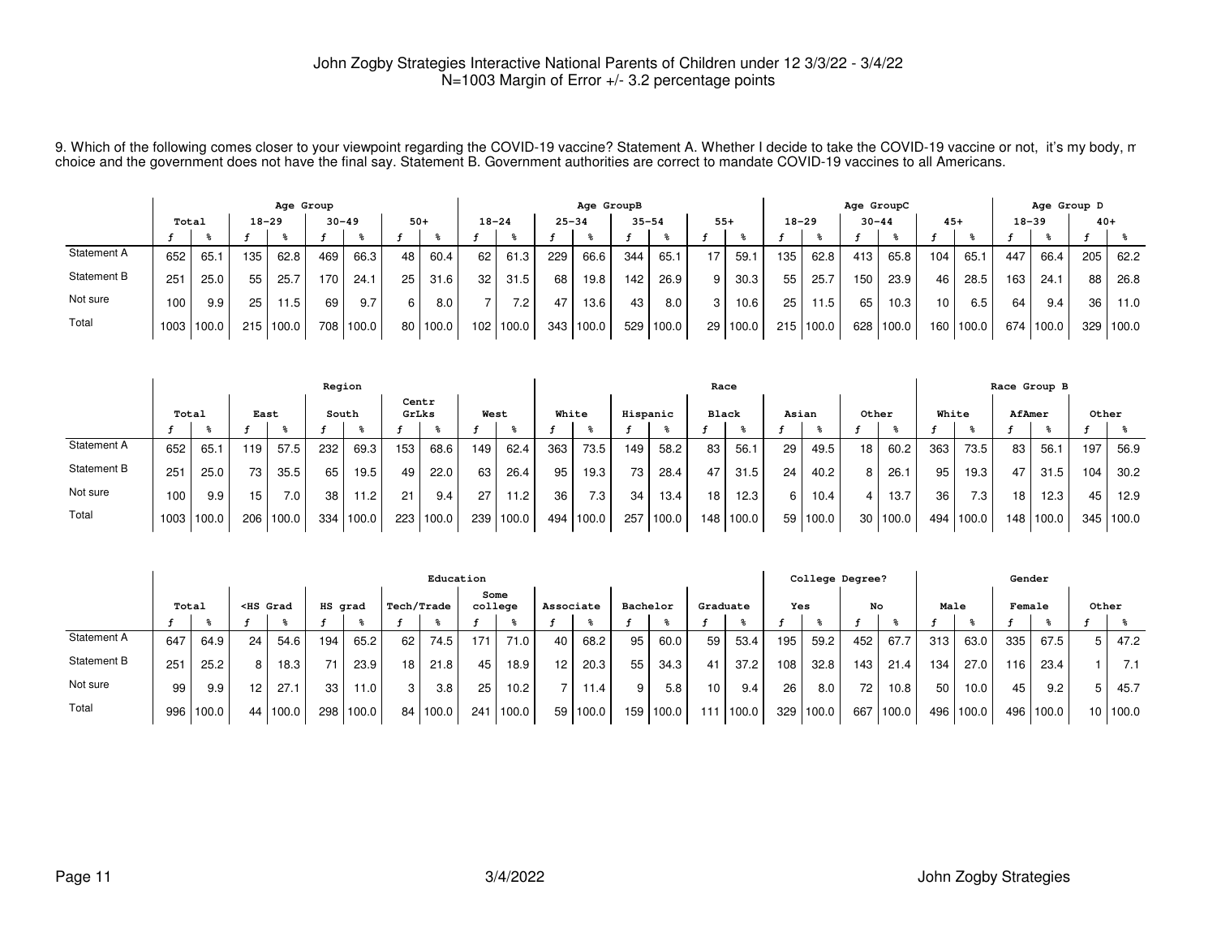9. Which of the following comes closer to your viewpoint regarding the COVID-19 vaccine? Statement A. Whether I decide to take the COVID-19 vaccine or not, it's my body, m<br>choice and the government does not have the final

|             |       |            |           | Age Group |     |           |       |       |           |       |           | Age GroupB |           |       |       |          |     |           | Age GroupC |       |       |       |           | Age Group D |       |       |
|-------------|-------|------------|-----------|-----------|-----|-----------|-------|-------|-----------|-------|-----------|------------|-----------|-------|-------|----------|-----|-----------|------------|-------|-------|-------|-----------|-------------|-------|-------|
|             | Total |            | $18 - 29$ |           |     | $30 - 49$ | $50+$ |       | $18 - 24$ |       | $25 - 34$ |            | $35 - 54$ |       | $55+$ |          |     | $18 - 29$ | $30 - 44$  |       | $45+$ |       | $18 - 39$ |             | $40+$ |       |
|             |       |            |           |           |     |           |       |       |           |       |           |            |           |       |       |          |     |           |            |       |       |       |           |             |       |       |
| Statement A | 652   | 65.1       | 135       | 62.8      | 469 | 66.3      | 48    | 60.4  | 62        | 61.3  | 229       | 66.6       | 344       | 65.1  | 17    | 59.1     | 135 | 62.8      | 413        | 65.8  | 104   | 65.   | 447       | 66.4        | 205   | 62.2  |
| Statement B | 251   | 25.0       | 55        | 25.7      | 170 | 24.1      | 25    | 31.6  | 32        | 31.5  | 68        | 19.8       | 142       | 26.9  | 9     | 30.3     | 55  | 25.7      | 150        | 23.9  | 46    | 28.5  | 163       | 24.7        | 88    | 26.8  |
| Not sure    | 100   | 9.9        | 25        | 11.5      | 69  | 9.7       | 6     | 8.0   |           | 7.2   | 47        | 13.6       | 43        | 8.0   | 3     | 10.6     | 25  | 11.5      | 65         | 10.3  | 10    | 6.5   | 64        | 9.4         | 36    | 11.0  |
| Total       |       | 1003 100.0 | 215       | 100.0     | 708 | 100.0     | 80 I  | 100.0 | 102       | 100.0 | 343       | 100.0      | 529       | 100.0 |       | 29 100.0 |     | 215 100.0 | 628        | 100.0 | 160   | 100.0 | 674       | 100.0       | 329 l | 100.0 |

|             |              |            |       |                  | Region |       |       |       |      |       |       |                  |          |       | Race             |       |       |            |       |          |       |       |        | Race Group B |       |       |
|-------------|--------------|------------|-------|------------------|--------|-------|-------|-------|------|-------|-------|------------------|----------|-------|------------------|-------|-------|------------|-------|----------|-------|-------|--------|--------------|-------|-------|
|             | Total        |            | East  |                  | South  |       | GrLks | Centr | West |       | White |                  | Hispanic |       | <b>Black</b>     |       | Asian |            | Other |          | White |       | AfAmer |              | Other |       |
|             |              |            |       |                  |        |       |       |       |      |       |       |                  |          |       |                  |       |       |            |       |          |       |       |        |              |       |       |
| Statement A | 652          | 65.1       | 119   | 57.5             | 232    | 69.3  | 153   | 68.6  | 149  | 62.4  | 363   | 73.5             | 149      | 58.2  | 83               | 56.1  | 29    | 49.5       | 18    | 60.2     | 363   | 73.5  | 83     | 56.1         | 197   | 56.9  |
| Statement B | $25^{\circ}$ | 25.0       | 73    | 35.5             | 65     | 19.5  | 49    | 22.0  | 63   | 26.4  | 95    | 19.3             | 73       | 28.4  | 47               | 31.5  | 24    | 40.2       |       | 26.1     | 95    | 19.3  | 47     | 31.5         | 104.  | 30.2  |
| Not sure    | 100          | 9.9        | 15    | 7.0 <sub>1</sub> | 38     | 1.2   | 21    | 9.4   | 27   | 11.2  | 36    | 7.3 <sub>1</sub> | 34       | 13.4  | 18               | 12.3  | 6     | 10.4       |       | 13.7     | 36    | 7.3   | 18     | 12.3         | 45    | 12.9  |
| Total       |              | 1003 100.0 | 206 l | 100.0            | 334    | 100.0 | 223   | 100.0 | 239  | 100.0 | 494   | 100.0            | 257      | 100.0 | 148 <sub>1</sub> | 100.0 |       | 59   100.0 |       | 30 100.0 | 494   | 100.0 |        | 148 100.0    | 345   | 100.0 |

|             |                                                     |       |                 |          |     |       |    | Education  |                 |                   |           |       |          |       |                 |          |     | College Degree?       |     |       |      |       | Gender |       |                 |       |
|-------------|-----------------------------------------------------|-------|-----------------|----------|-----|-------|----|------------|-----------------|-------------------|-----------|-------|----------|-------|-----------------|----------|-----|-----------------------|-----|-------|------|-------|--------|-------|-----------------|-------|
|             | Tech/Trade<br><hs grad<br="">HS grad<br/>Total</hs> |       |                 |          |     |       |    |            | Some<br>college |                   | Associate |       | Bachelor |       |                 | Graduate | Yes |                       | No  |       | Male |       | Female |       | Other           |       |
|             |                                                     |       |                 |          |     |       |    |            |                 |                   |           |       |          |       |                 |          |     |                       |     |       |      |       |        |       |                 |       |
| Statement A | 647                                                 | 64.9  | 24 <sub>1</sub> | 54.6     | 194 | 65.2  | 62 | 74.5       | 171             | 71.0              | 40        | 68.2  | 95       | 60.0  | 59 I            | 53.4     | 195 | 59.2                  | 452 | 67.,  | 313  | 63.0  | 335    | 67.5  | 5               | 47.2  |
| Statement B | 251                                                 | 25.2  | 8               | 18.3     | 71  | 23.9  | 18 | 21.8       | 45              | 18.9              | 12        | 20.3  | 55       | 34.3  |                 | 37.2     | 108 | 32.8                  | 143 | 21.4  | 134  | 27.0  | '16    | 23.4  |                 |       |
| Not sure    | 99                                                  | 9.9   | 12 <sup>2</sup> | 27.1     | 33  | 11.0  | 3  | 3.8        | 25              | 10.2 <sub>1</sub> |           | 11.4  | 9        | 5.8   | 10 <sup>1</sup> | 9.4      | 26  | 8.0                   | 72  | 10.8  | 50   | 10.0  | 45     | 9.2   |                 | 45.7  |
| Total       | 996                                                 | 100.0 |                 | 44 100.0 | 298 | 100.0 |    | 84   100.0 | 241             | 1100.0            | 59        | 100.0 | 159      | 100.0 | 11              | 100.0    | 329 | $^{\backprime}$ 100.0 | 667 | 100.0 | 496  | 100.0 | 496    | 100.0 | 10 <sub>1</sub> | 100.0 |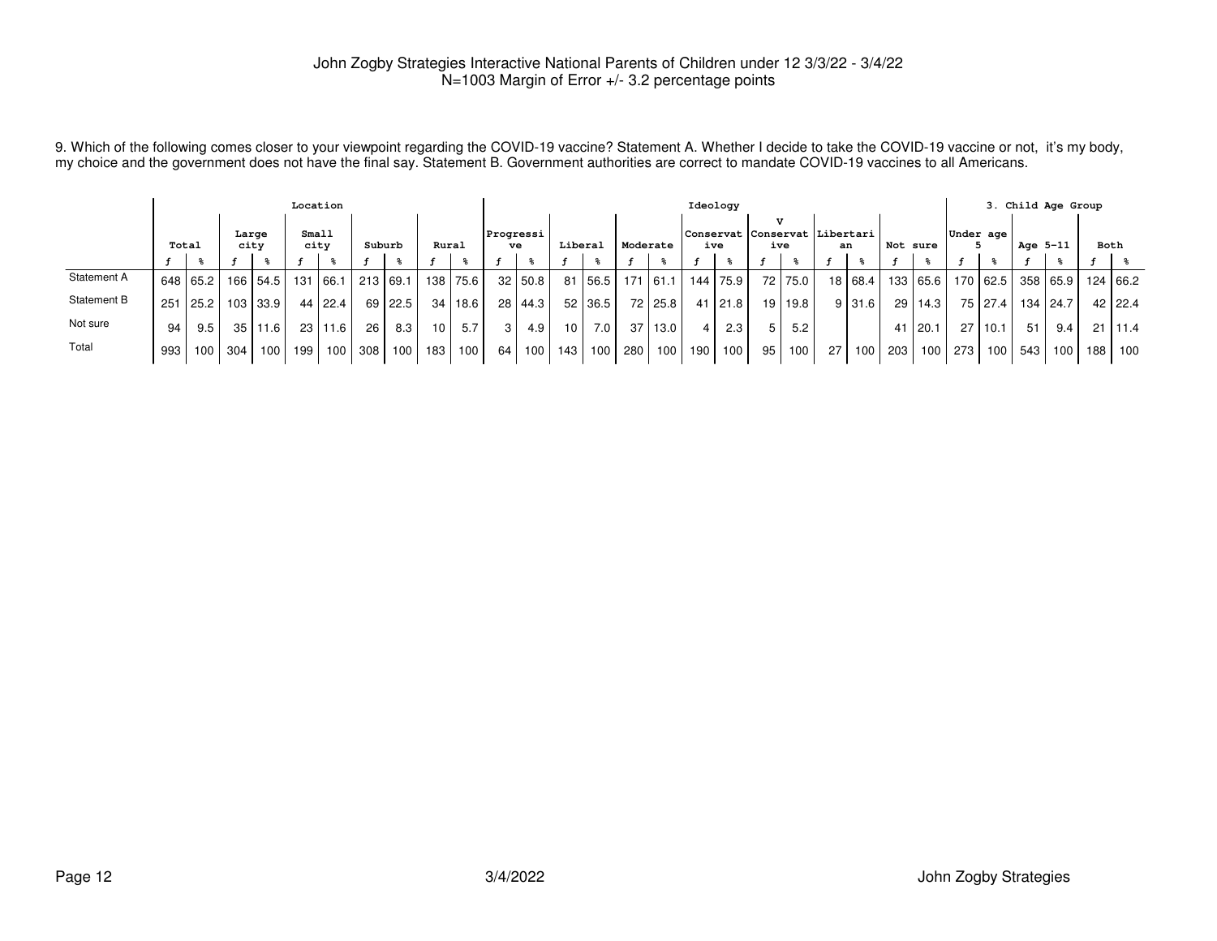9. Which of the following comes closer to your viewpoint regarding the COVID-19 vaccine? Statement A. Whether I decide to take the COVID-19 vaccine or not, it's my body,<br>my choice and the government does not have the fina

|             |       |            |               |          | Location      |                  |        |            |                 |           |                 |           |         |           |          |                  |     | Ideology   |                                            |           |    |         |          |                  |           |                  |          | 3. Child Age Group |      |          |
|-------------|-------|------------|---------------|----------|---------------|------------------|--------|------------|-----------------|-----------|-----------------|-----------|---------|-----------|----------|------------------|-----|------------|--------------------------------------------|-----------|----|---------|----------|------------------|-----------|------------------|----------|--------------------|------|----------|
|             | Total |            | Large<br>city |          | Small<br>city |                  | Suburb |            | Rural           |           | Progressi<br>ve |           | Liberal |           | Moderate |                  | ive |            | v<br> Conservat Conservat Libertari<br>ive |           | an |         | Not sure |                  | Under age |                  | Age 5-11 |                    | Both |          |
|             |       |            |               |          |               |                  |        |            |                 |           |                 |           |         |           |          |                  |     |            |                                            |           |    |         |          |                  |           |                  |          |                    |      |          |
| Statement A |       | 648 65.2   |               | 166 54.5 | 131           | 166.1            |        | 213   69.1 |                 | 138 75.6  |                 | 32   50.8 |         | 81   56.5 |          | $171$ 61.1       |     | 144   75.9 |                                            | 72   75.0 |    | 18 68.4 |          | 133 65.6         |           |                  |          | 170 62.5 358 65.9  |      | 124 66.2 |
| Statement B |       | 251   25.2 |               | 103 33.9 |               | 44   22.4        |        | 69   22.5  |                 | 34   18.6 |                 | 28   44.3 |         | 52 36.5   |          | 72   25.8        |     | 41   21.8  |                                            | 19   19.8 |    | 9 31.6  |          | $29$   14.3      |           | 75   27.4        |          | 134   24.7         |      | 42 22.4  |
| Not sure    | 94    | 9.5        | 35            | 11.6     |               | 23 11.6          | 26     | 8.3        | 10 <sup>1</sup> | 5.7       |                 | 4.9       | 10 l    | 7.0       | 37       | 13.0             |     | 2.3        |                                            | 5.2       |    |         |          | 41 20.1          | 27        | 10.1             | 51       | 9.4                | 21   | 11.4     |
| Total       | 993   | 100 l      | 304           | 100      | 199           | 100 <sup>1</sup> | 308    | 100        | 183 I           | 100       | 64              | 100       | 143 l   | 100       | 280      | 100 <sup>1</sup> | 190 | 100        | 95                                         | 100       | 27 | 100.    | 203 l    | 100 <sub>l</sub> | 273       | 100 <sup>1</sup> | 543      | 100                | 188  | 100      |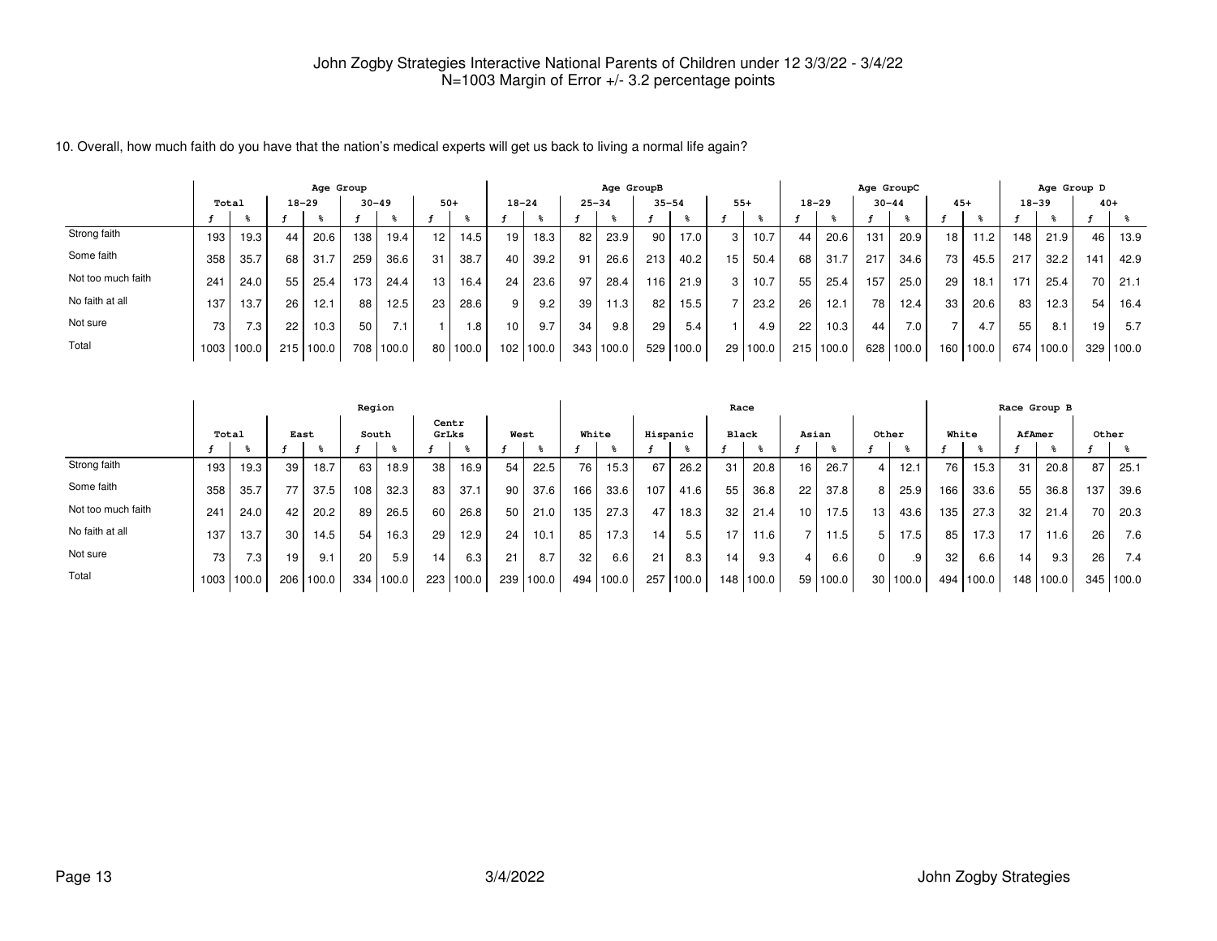|                    |        |        |     | Age Group |      |           |                 |                   |                  |       |           | Age GroupB |      |           |                 |       |     |           |           | Age GroupC |       |       |     | Age Group D |       |       |
|--------------------|--------|--------|-----|-----------|------|-----------|-----------------|-------------------|------------------|-------|-----------|------------|------|-----------|-----------------|-------|-----|-----------|-----------|------------|-------|-------|-----|-------------|-------|-------|
|                    | Total  |        |     | $18 - 29$ |      | $30 - 49$ | $50+$           |                   | $18 - 24$        |       | $25 - 34$ |            |      | $35 - 54$ | $55+$           |       |     | $18 - 29$ | $30 - 44$ |            | $45+$ |       |     | $18 - 39$   | $40+$ |       |
|                    |        |        |     |           |      |           |                 |                   |                  |       |           |            |      |           |                 |       |     |           |           |            |       |       |     |             |       |       |
| Strong faith       | 193    | 19.3   | 44  | 20.6      | 138  | 19.4      | 12 <sub>1</sub> | 14.5 <sub>1</sub> | 19               | 18.3  | 82        | 23.9       | 90   | 17.0      | 3               | 10.7  | 44  | 20.6      | 131       | 20.9       | 18    | 11.2  | 148 | 21.9        | 46    | 13.9  |
| Some faith         | 358    | 35.7   | 68  | 31.7      | 259  | 36.6      | 31              | 38.7              | 40               | 39.2  | 91        | 26.6       | 213  | 40.2      | 15              | 50.4  | 68  | 31.7      | 217       | 34.6       | 73    | 45.5  | 217 | 32.2        | 141   | 42.9  |
| Not too much faith | $24 -$ | 24.0   | 55  | 25.4      | 173. | 24.4      | 13              | 16.4              | 24 <sub>1</sub>  | 23.6  | 97        | 28.4       | 116. | 21.9      | 3               | 10.7  | 55  | 25.4      | 157       | 25.0       | 29    | 18.1  | 171 | 25.4        | 70    | 21.1  |
| No faith at all    | 137    | 13.7   | 26  | 12.1      | 88   | 12.5      | 23              | 28.6              | 9                | 9.2   | 39        | 11.3       | 82   | 15.5      |                 | 23.2  | 26  | 12.1      | 78        | 12.4       | 33    | 20.6  | 83  | 12.3        | 54    | 16.4  |
| Not sure           | 73     | 7.3    | 22  | 10.3      | 50   | 7.1       |                 | 1.8               | 10               | 9.7   | 34        | 9.8        | 29   | 5.4       |                 | 4.9   | 22  | 10.3      | 44        | 7.0        |       |       | 55  | 8.1         | 19    | 5.7   |
| Total              | 1003   | 1100.0 | 215 | 100.0     | 708  | 100.0     | 80              | 100.0             | 102 <sub>2</sub> | 100.0 | 343       | 100.0      | 529  | 100.0     | 29 <sub>1</sub> | 100.0 | 215 | 100.0     | 628       | 100.0      | 160   | 100.0 | 674 | 100.0       | 329   | 100.0 |

10. Overall, how much faith do you have that the nation's medical experts will get us back to living a normal life again?

|                    |       |       |                 |       | Region |           |                |       |                 |       |       |           |          |       |              | Race      |                 |       |                |          |       |       |        | Race Group B |       |                  |
|--------------------|-------|-------|-----------------|-------|--------|-----------|----------------|-------|-----------------|-------|-------|-----------|----------|-------|--------------|-----------|-----------------|-------|----------------|----------|-------|-------|--------|--------------|-------|------------------|
|                    | Total |       | East            |       |        | South     | Centr<br>GrLks |       | West            |       | White |           | Hispanic |       | <b>Black</b> |           | Asian           |       | Other          |          | White |       | AfAmer |              | Other |                  |
|                    |       |       |                 |       |        |           |                |       |                 |       |       |           |          |       |              |           |                 |       |                |          |       |       |        |              |       |                  |
| Strong faith       | 193   | 19.3  | 39              | 18.7  | 63     | 18.9      | 38             | 16.9  | 54              | 22.5  | 76    | 15.3      | 67       | 26.2  | 31           | 20.8      | 16              | 26.7  | $\overline{4}$ | 12.1     | 76    | 15.3  | 31     | 20.8         | 87    | 25.1             |
| Some faith         | 358   | 35.7  |                 | 37.5  | 108    | 32.3      | 83             | 37.1  | 90 <sub>1</sub> | 37.6  | 166   | 33.6      | 107      | 41.6  | 55           | 36.8      | 22              | 37.8  | 8              | 25.9     | 166   | 33.6  | 55     | 36.8         | 137   | 39.6             |
| Not too much faith | 241   | 24.0  | 42              | 20.2  | 89     | 26.5      | 60             | 26.8  | 50 <sub>1</sub> | 21.0  | 135   | 27.3      | 47       | 18.3  | 32           | 21.4      | 10 <sup>1</sup> | 17.5  | 13             | 43.6     | 135   | 27.3  | 32     | 21.4         | 70    | 20.3             |
| No faith at all    | 137   | 13.7  | 30              | 14.5  | 54     | 16.3      | 29             | 12.9  | 24              | 10.1  | 85    | 17.3      | 14.      | 5.5   | 17.          | 11.6      | -               | 11.5  | 5              | 17.5     | 85    | 17.3  | 17     | 11.6         | 26    | 7.6              |
| Not sure           | 73    | 7.3.  | 19 <sub>1</sub> | 9.1   | 20     | 5.9       | 14             | 6.3   | 21              | 8.7   | 32    | 6.6       | 21       | 8.3   | 14           | 9.3       | $\overline{4}$  | 6.6   | 0              | .9       | 32    | 6.6   | 14     | 9.3          | 26    | 7.4              |
| Total              | 1003  | 100.0 | 206             | 100.0 |        | 334 100.0 | 223            | 100.0 | 239             | 100.0 |       | 494 100.0 | 257      | 100.0 |              | 148 100.0 | 59 <sub>1</sub> | 100.0 |                | 30 100.0 | 494   | 100.0 | 148    | 100.0        |       | $345 \mid 100.0$ |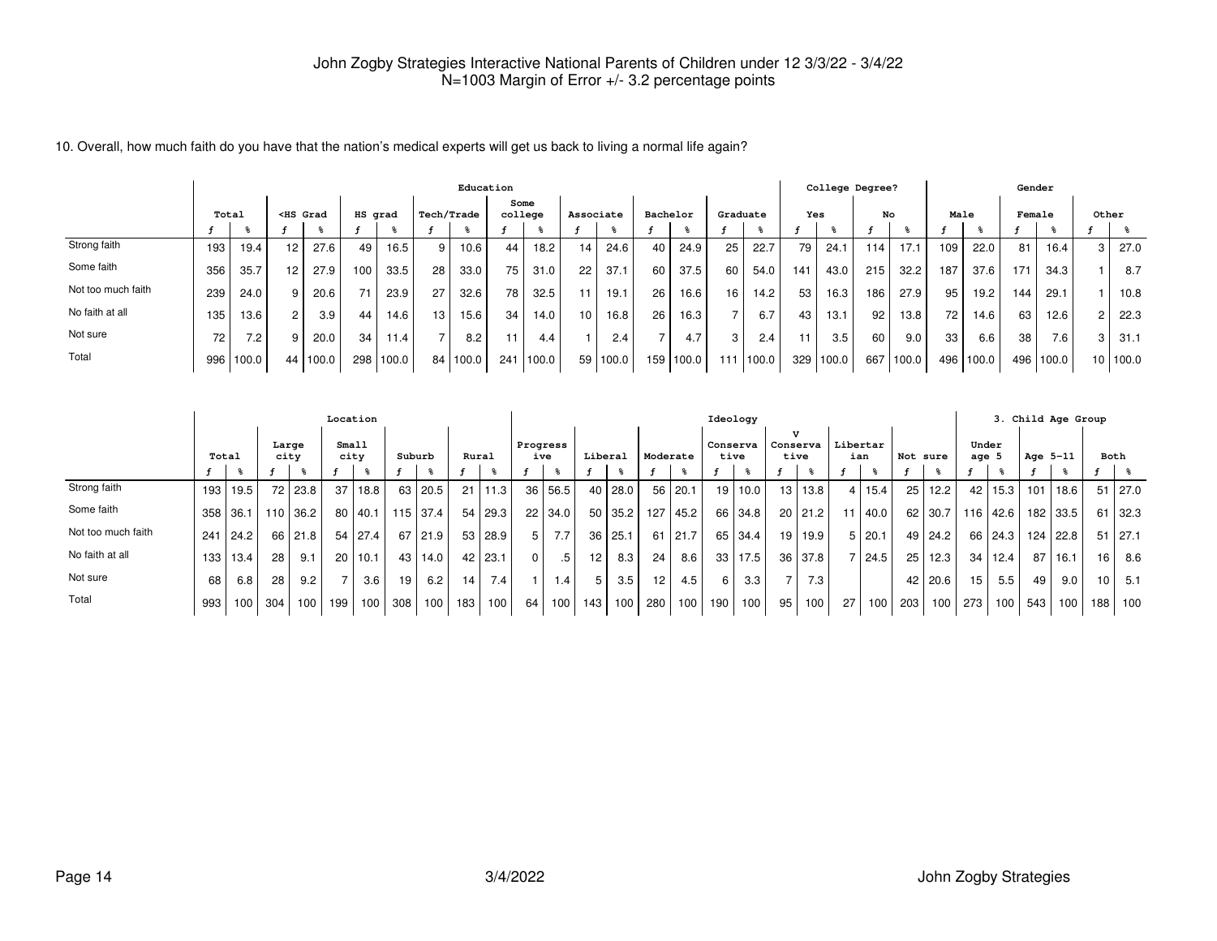| 10. Overall, how much faith do you have that the nation's medical experts will get us back to living a normal life again? |  |  |
|---------------------------------------------------------------------------------------------------------------------------|--|--|
|                                                                                                                           |  |  |

|                    |       |           |                                                                                                                                                                                                                                                                                                                       |       |         |       |            | Education |     |                 |                 |            |    |                   |          |                  |     | College Degree? |     |       |      |       | Gender |       |       |          |
|--------------------|-------|-----------|-----------------------------------------------------------------------------------------------------------------------------------------------------------------------------------------------------------------------------------------------------------------------------------------------------------------------|-------|---------|-------|------------|-----------|-----|-----------------|-----------------|------------|----|-------------------|----------|------------------|-----|-----------------|-----|-------|------|-------|--------|-------|-------|----------|
|                    | Total |           | <hs grad<="" th=""><th></th><th>HS grad</th><th></th><th>Tech/Trade</th><th></th><th></th><th>Some<br/>college</th><th>Associate</th><th></th><th></th><th>Bachelor</th><th>Graduate</th><th></th><th>Yes</th><th></th><th>No</th><th></th><th>Male</th><th></th><th>Female</th><th></th><th>Other</th><th></th></hs> |       | HS grad |       | Tech/Trade |           |     | Some<br>college | Associate       |            |    | Bachelor          | Graduate |                  | Yes |                 | No  |       | Male |       | Female |       | Other |          |
|                    |       |           |                                                                                                                                                                                                                                                                                                                       |       |         |       |            |           |     |                 |                 |            |    |                   |          |                  |     |                 |     |       |      |       |        |       |       |          |
| Strong faith       | 193   | 19.4      | 12                                                                                                                                                                                                                                                                                                                    | 27.6  | 49      | 16.5  | 9          | 10.6      | 44  | 18.2            | 14              | 24.6       | 40 | 24.9              | 25       | 22.7             | 79  | 24.1            | 114 | 17.1  | 109  | 22.0  | 81     | 16.4  |       | 27.0     |
| Some faith         | 356   | 35.7      | $12 \overline{ }$                                                                                                                                                                                                                                                                                                     | 27.9  | 100     | 33.5  | 28         | 33.0      | 75  | 31.0            | 22              | 37.1       | 60 | 37.5              | 60       | 54.0             | 141 | 43.0            | 215 | 32.2  | 187  | 37.6  | 171    | 34.3  |       | 8.7      |
| Not too much faith | 239   | 24.0      | 9                                                                                                                                                                                                                                                                                                                     | 20.6  | 71      | 23.9  | 27         | 32.6      | 78  | 32.5            |                 | 19.1       | 26 | 16.6 <sub>1</sub> | 16       | 14.2             | 53  | 16.3.           | 186 | 27.9  | 95   | 19.2  | 144    | 29.1  |       | 10.8     |
| No faith at all    | 135   | 13.6      | 2                                                                                                                                                                                                                                                                                                                     | 3.9   | 44      | 14.6  | 13         | 15.6      | 34  | 14.0            | 10 <sup>1</sup> | 16.8       | 26 | 16.3              | 7        | 6.7              | 43  | 13.1            | 92  | 13.8  | 72   | 14.6  | 63     | 12.6  |       | 22.3     |
| Not sure           | 72    | 7.2       | 9                                                                                                                                                                                                                                                                                                                     | 20.0  | 34      | 11.4  |            | 8.2       | 11  | 4.4             |                 | 2.4        | -  | 4.7               | 3        | 2.4 <sub>1</sub> | 11  | 3.5             | 60  | 9.0   | 33   | 6.6   | 38     | 7.6   | 3     | 31.1     |
| Total              |       | 996 100.0 | 44 l                                                                                                                                                                                                                                                                                                                  | 100.0 | 298     | 100.0 |            | 84 100.0  | 241 | 100.0           |                 | 59   100.0 |    | 159 100.0         | 111      | 100.0            | 329 | 100.0           | 667 | 100.0 | 496  | 100.0 | 496    | 100.0 |       | 10 100.0 |

|                    |            |      |               |                  | Location        |             |        |          |       |                  |                 |                  |                 |             |      |                  | Ideology        |         |                                 |             |                 |        |          |                |                 |          | 3. Child Age Group |          |     |                   |
|--------------------|------------|------|---------------|------------------|-----------------|-------------|--------|----------|-------|------------------|-----------------|------------------|-----------------|-------------|------|------------------|-----------------|---------|---------------------------------|-------------|-----------------|--------|----------|----------------|-----------------|----------|--------------------|----------|-----|-------------------|
|                    | Total      |      | Large<br>city |                  | Small           | city        | Suburb |          | Rural |                  | Progress<br>ive |                  | Liberal         |             |      | Moderate         | Conserva        | tive    | $\mathbf v$<br>Conserva<br>tive |             | Libertar<br>ian |        | Not sure |                | age $5$         | Under    | Age 5-11           |          |     | Both              |
|                    |            |      |               |                  |                 |             |        |          |       |                  |                 |                  |                 |             |      |                  |                 |         |                                 |             |                 |        |          |                |                 |          |                    |          |     |                   |
| Strong faith       | 193        | 19.5 |               | 72 23.8          | 37 <sup>1</sup> | 18.8        | 63     | 20.5     | 21    | 11.3             | 36              | 56.5             |                 | 40 28.0     |      | $56$   20.1      | 19              | 110.01  |                                 | 13 13.8     | 4 I             | 15.4   | 25       | 12.2           |                 | 42 15.3  | 101                | 18.6     |     | $51 \,   \, 27.0$ |
| Some faith         | $358$ 36.1 |      | 110           | 36.2             |                 | 80 40.1     |        | 115 37.4 |       | 54 29.3          | 22              | 34.0             |                 | 50 35.2     | 1271 | 45.2             |                 | 66 34.8 |                                 | $20$   21.2 | 11 <sup>1</sup> | 40.0   |          | $62$ 30.7      |                 | 116 42.6 |                    | 182 33.5 | 61  | 32.3              |
| Not too much faith | 241        | 24.2 |               | 66 21.8          |                 | 54 27.4     | 67     | 21.9     |       | 53 28.9          | 5               | 7.7              |                 | $36$   25.1 |      | $61$   21.7      |                 | 65 34.4 |                                 | 19 19.9     |                 | 5 20.1 |          | 49   24.2      |                 | 66 24.3  |                    | 124 22.8 | 51  | 27.1              |
| No faith at all    | 133        | 13.4 | 28            | 9.1              |                 | $20$   10.1 | 43     | 14.0     |       | 42 23.1          | $\Omega$        | .5               | 12 <sub>1</sub> | 8.3         | 24   | 8.6              | 33 <sup>1</sup> | 17.5    | 36                              | 37.8        |                 | 7 24.5 | 25       | 12.3           | 34 <sup>1</sup> | 12.4     | 87                 | 16.1     | 16  | 8.6               |
| Not sure           | 68         | 6.8  | 28            | 9.2              |                 | 3.6         | 19     | 6.2      | 141   | 7.4 <sub>1</sub> |                 | 1.4 <sub>1</sub> | 5               | 3.5         | 12   | 4.5              | 6               | 3.3     |                                 | 7.3         |                 |        |          | $42 \mid 20.6$ | 15 <sub>1</sub> | 5.5      | 49                 | 9.0      | 10  | 5.1               |
| Total              | 993        | 100  | 304           | 100 <sub>l</sub> | 199             | 100         | 308    | 100      | 183   | 100              | 64              | 100              | 143             | 100         | 280  | 100 <sub>l</sub> | 190             | 100     | 95                              | 100         | 27              | 100    | 203      | 100            | ا 273 ا ∕       | 100      | 543                | 100      | 188 | 100               |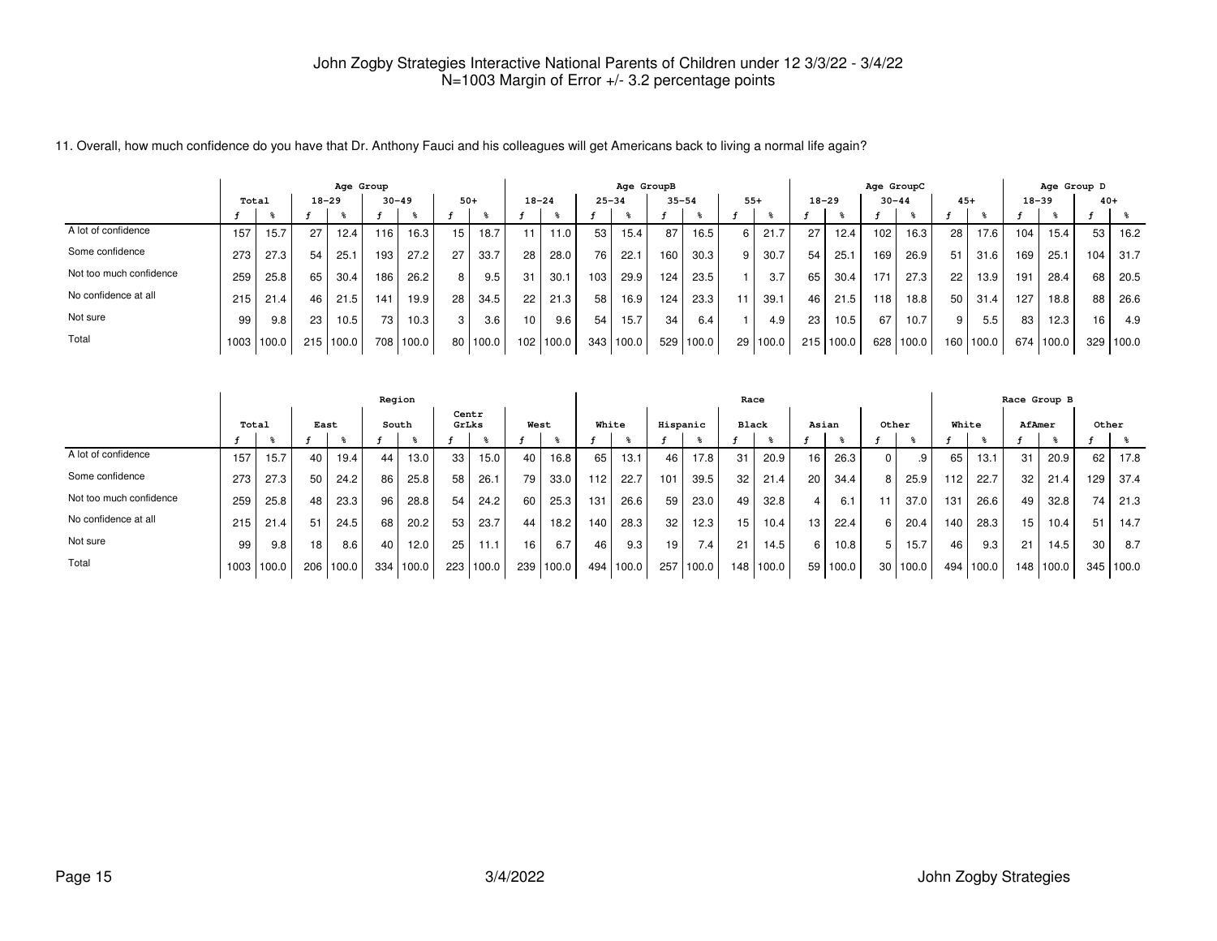11. Overall, how much confidence do you have that Dr. Anthony Fauci and his colleagues will get Americans back to living a normal life again?

|                         |       |       |     | Age Group |           |       |       |                  |           |       |            | Age GroupB |     |           |              |          |                 |           | Age GroupC |                   |       |       |           | Age Group D |       |       |
|-------------------------|-------|-------|-----|-----------|-----------|-------|-------|------------------|-----------|-------|------------|------------|-----|-----------|--------------|----------|-----------------|-----------|------------|-------------------|-------|-------|-----------|-------------|-------|-------|
|                         | Total |       |     | $18 - 29$ | $30 - 49$ |       | $50+$ |                  | $18 - 24$ |       | $25 - 34$  |            |     | $35 - 54$ | $55+$        |          | $18 - 29$       |           | $30 - 44$  |                   | $45+$ |       | $18 - 39$ |             | $40+$ |       |
|                         |       |       |     |           |           |       |       |                  |           |       |            |            |     |           |              |          |                 |           |            |                   |       |       |           |             |       |       |
| A lot of confidence     | 157   | 15.7  | 27  | 12.4      | 116       | 16.3  | 15    | 18.7             | 11        | 11.0  | 53         | 15.4       | 87  | 16.5      | 6            | 21.7     |                 | 12.4      | 102        | 16.3 <sub>1</sub> | 28    | 17.6  | 104       | 15.4        | 53    | 16.2  |
| Some confidence         | 273   | 27.3  | 54  | 25.       | 193       | 27.2  | 27    | 33.7             | 28        | 28.0  | 76         | 22.1       | 160 | 30.3      | $\mathbf{9}$ | 30.7     | 54              | 25.1      | 169        | 26.9              | 51    | 31.6  | 169       | 25.1        | 104.  | 31.7  |
| Not too much confidence | 259   | 25.8  | 65  | 30.4      | 186       | 26.2  | 8     | 9.5              | 31        | 30.1  | 103.       | 29.9       | 124 | 23.5      |              | 3.7      | 65 I            | 30.4      | 171        | 27.3              | 22    | 13.9  | 191       | 28.4        | 68    | 20.5  |
| No confidence at all    | 215   | 21.4  | 46  | 21.5      | 141       | 19.9  | 28    | 34.5             | 22        | 21.3  | 58         | 16.9       | 124 | 23.3      | 11.          | 39.1     | 46 <sup>1</sup> | 21.5      | 118        | 18.8              | 50    | 31.4  | 127       | 18.8        | 88    | 26.6  |
| Not sure                | 99    | 9.8   | 23  | 10.5      | 73        | 10.3  | 3     | 3.6 <sub>1</sub> | 10        | 9.6   | 54         | 15.7       | 34  | 6.4       |              | 4.9      | 23 <sub>1</sub> | 10.5      | 67         | 10.7              | 9     | 5.5   | 83        | 12.3        | 16    | 4.9   |
| Total                   | 1003  | 100.0 | 215 | 100.0     | 708       | 100.0 | 80 l  | 100.0            | 102       | 100.0 | $343 \mid$ | 100.0      | 529 | 100.0     |              | 29 100.0 |                 | 215 100.0 | 628        | 100.0             | 160   | 100.0 | 674       | 100.0       | 329   | 100.0 |

|                         |       |       |      |       | Region |                   |                |           |      |       |       |           |          |                  |       | Race      |       |          |       |          |       |       |        | Race Group B |       |           |
|-------------------------|-------|-------|------|-------|--------|-------------------|----------------|-----------|------|-------|-------|-----------|----------|------------------|-------|-----------|-------|----------|-------|----------|-------|-------|--------|--------------|-------|-----------|
|                         | Total |       | East |       | South  |                   | Centr<br>GrLks |           | West |       | White |           | Hispanic |                  | Black |           | Asian |          | Other |          | White |       | AfAmer |              | Other |           |
|                         |       |       |      |       |        |                   |                |           |      |       |       |           |          |                  |       |           |       |          |       |          |       |       |        |              |       |           |
| A lot of confidence     | 157   | 15.7  | 40   | 19.4  | 44     | 13.0              | 33             | 15.0      | 40   | 16.8  | 65    | 13.1      | 46       | 17.8             | 31    | 20.9      | 16    | 26.3     |       | .9       | 65    | 13.1  | 31     | 20.9         | 62    | 17.8      |
| Some confidence         | 273   | 27.3  | 50   | 24.2  | 86     | 25.8              | 58             | 26.1      | 79   | 33.0  | 112   | 22.7      | 101      | 39.5             | 32    | 21.4      | 20    | 34.4     | 8     | 25.9     | 112   | 22.7  | 32     | 21.4         | 129   | 37.4      |
| Not too much confidence | 259   | 25.8  | 48   | 23.3  | 96     | 28.8              | 54             | 24.2      | 60   | 25.3  | 131   | 26.6      | 59       | 23.0             | 49    | 32.8      |       | 6.1      |       | 37.0     | 131   | 26.6  | 49     | 32.8         | 74    | 21.3      |
| No confidence at all    | 215   | 21.4  | 51   | 24.5  | 68     | 20.2              | 53             | 23.7      | 44   | 18.2  | 140   | 28.3      | 32       | 12.3             | 15    | 10.4      | 13.   | 22.4     | 6     | 20.4     | 140   | 28.3  | 15     | 10.4         | 51    | 14.7      |
| Not sure                | 99    | 9.8   | 18   | 8.6   | 40     | 12.0 <sub>1</sub> | 25             | 11.1      | 16   | 6.7   | 46    | 9.3       | 19       | 7.4 <sub>1</sub> | 21    | 14.5      | 6     | 10.8     | 5     | 15.7     | 46    | 9.3   | 21     | 14.5         | 30    | 8.7       |
| Total                   | 1003  | 100.0 | 206  | 100.0 | 334    | 100.0             |                | 223 100.0 | 239  | 100.0 |       | 494 100.0 | 257      | 100.0            |       | 148 100.0 |       | 59 100.0 |       | 30 100.0 | 494   | 100.0 |        | 148 100.0    |       | 345 100.0 |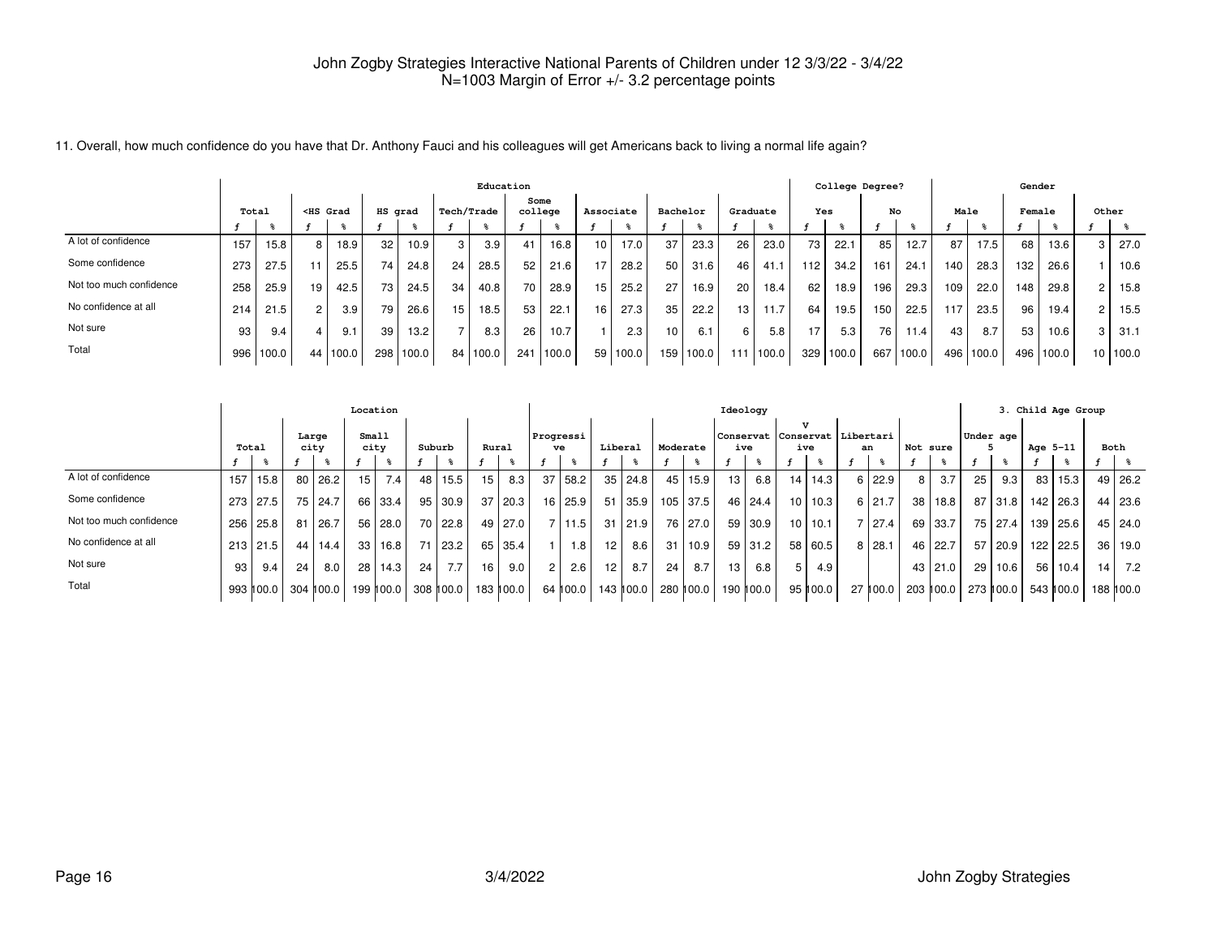|                         |     |           |    |                                                                                                                                                                                                                                                                                                              |         |       |                |            | Education |                 |           |          |                 |       |                 |           |                  | College Degree? |     |         |      |       | Gender |       |                      |          |
|-------------------------|-----|-----------|----|--------------------------------------------------------------------------------------------------------------------------------------------------------------------------------------------------------------------------------------------------------------------------------------------------------------|---------|-------|----------------|------------|-----------|-----------------|-----------|----------|-----------------|-------|-----------------|-----------|------------------|-----------------|-----|---------|------|-------|--------|-------|----------------------|----------|
|                         |     | Total     |    | <hs grad<="" th=""><th>HS grad</th><th></th><th></th><th>Tech/Trade</th><th></th><th>Some<br/>college</th><th>Associate</th><th></th><th>Bachelor</th><th></th><th></th><th>Graduate</th><th>Yes</th><th></th><th>No</th><th></th><th>Male</th><th></th><th>Female</th><th></th><th></th><th>Other</th></hs> | HS grad |       |                | Tech/Trade |           | Some<br>college | Associate |          | Bachelor        |       |                 | Graduate  | Yes              |                 | No  |         | Male |       | Female |       |                      | Other    |
|                         |     |           |    |                                                                                                                                                                                                                                                                                                              |         |       |                |            |           |                 |           |          |                 |       |                 |           |                  |                 |     |         |      |       |        |       |                      |          |
| A lot of confidence     | 157 | 15.8      | 8  | 18.9                                                                                                                                                                                                                                                                                                         | 32      | 10.9  | 3 <sup>1</sup> | 3.9        |           | 16.8            | 10        | 17.0     | 37              | 23.3  | 26 <sub>1</sub> | 23.0      | 73               | 22.1            | 85  | 12.7    | 87   | 17.5  | 68     | 13.6  | 3                    | 27.0     |
| Some confidence         | 273 | 27.5      |    | 25.5                                                                                                                                                                                                                                                                                                         | 74      | 24.8  | 24             | 28.5       | 52        | 21.6            | 17        | 28.2     | 50              | 31.6  | 46              | 41.1      | 112 <sub>1</sub> | 34.2            | 161 | 24.1    | 140  | 28.3  | 132    | 26.6  |                      | 10.6     |
| Not too much confidence | 258 | 25.9      | 19 | 42.5                                                                                                                                                                                                                                                                                                         | 73      | 24.5  | 34             | 40.8       | 70        | 28.9            | 15        | 25.2     | 27              | 16.9  | 20              | 18.4      | 62               | 18.9            | 196 | 29.3    | 109  | 22.0  | 148    | 29.8  | $\mathbf{2}^{\circ}$ | 15.8     |
| No confidence at all    | 214 | 21.5      | 2  | 3.9                                                                                                                                                                                                                                                                                                          | 79      | 26.6  | 15             | 18.5       | 53        | 22.7            | 16        | 27.3     | 35              | 22.2  | 13              | 11.7      | 64               | 19.5            | 150 | 22.5    | 117  | 23.5  | 96     | 19.4  | $\mathbf{2}^{\circ}$ | 15.5     |
| Not sure                | 93  | 9.4       |    | 9.1                                                                                                                                                                                                                                                                                                          | 39      | 13.2  |                | 8.3        | 26        | 10.7            |           | 2.3      | 10 <sup>1</sup> | 6.1   | 6               | 5.8       | 17               | 5.3             | 76  | 1.4     | 43   | 8.7   | 53     | 10.6  | 3                    | 31.1     |
| Total                   |     | 996 100.0 | 44 | 1100.0                                                                                                                                                                                                                                                                                                       | 298     | 100.0 | 84             | 100.0      | 241       | 100.0           |           | 59 100.0 | 159             | 100.0 |                 | 111 100.0 | 329              | 100.0           | 667 | l 100.0 | 496  | 100.0 | 496    | 100.0 |                      | 10 100.0 |

11. Overall, how much confidence do you have that Dr. Anthony Fauci and his colleagues will get Americans back to living a normal life again?

|                         |       |           |    |               | Location        |                  |                 |           |       |                |           |                  |                 |           |                 |               |                 | Ideology  |                 |                                                   |    |               |          |           |                 |           |          | 3. Child Age Group |                 |            |
|-------------------------|-------|-----------|----|---------------|-----------------|------------------|-----------------|-----------|-------|----------------|-----------|------------------|-----------------|-----------|-----------------|---------------|-----------------|-----------|-----------------|---------------------------------------------------|----|---------------|----------|-----------|-----------------|-----------|----------|--------------------|-----------------|------------|
|                         | Total |           |    | Large<br>city | Small<br>city   |                  | Suburb          |           | Rural |                | Progressi | ve               | Liberal         |           | Moderate        |               | ive             |           | ive             | $\mathbf{v}$<br>Conservat   Conservat   Libertari | an |               | Not sure |           | Under age       |           | Age 5-11 |                    | Both            |            |
|                         |       |           |    |               |                 |                  |                 |           |       |                |           |                  |                 |           |                 |               |                 |           |                 |                                                   |    |               |          |           |                 |           |          |                    |                 |            |
| A lot of confidence     | 157   | 15.8      | 80 | 26.2          | 15 <sub>1</sub> | 7.4 <sub>1</sub> | 48              | 15.5      | 15    | 8.3            | 37        | 58.2             | 35              | 24.8      | 45 <sub>1</sub> | 15.9          | 13              | 6.8       | 14              | 14.3                                              |    | $6 \mid 22.9$ | 8        | 3.7       | 25              | 9.3       | 83       | 15.3               |                 | 49 26.2    |
| Some confidence         |       | 273 27.5  | 75 | 24.7          | 66              | 33.4             |                 | 95 30.9   |       | $37 \mid 20.3$ | 16        | 25.9             | 51              | 35.9      |                 | 105 37.5      |                 | 46 24.4   | 10 <sub>1</sub> | 10.3                                              |    | 6 21.7        | 38 I     | 18.8      |                 | $87$ 31.8 |          | 142 26.3           |                 | 44 23.6    |
| Not too much confidence |       | 256 25.8  | 81 | 26.7          | 56              | 28.0             |                 | 70 22.8   |       | 49 27.0        |           | 711.5            | 31              | ا 21.9    |                 | 76 27.0       | 59 <sub>1</sub> | 30.9      |                 | $10$   10.1                                       |    | 7 27.4        |          | 69 33.7   |                 | 75 27.4   | 139      | 25.6               |                 | 45 24.0    |
| No confidence at all    |       | 213 21.5  | 44 | 14.4          | 33              | 16.8             |                 | 71 23.2   | 65    | 35.4           |           | 1.8 <sub>1</sub> | 12 <sub>1</sub> | 8.6       | 31 <sup>1</sup> | 10.9          | 59 <sub>1</sub> | 31.2      | 58              | 60.5                                              |    | $8 \mid 28.1$ |          | 46 22.7   | 57 l            | 20.9      | 122      | 22.5               | 36 <sup>1</sup> | l 19.0     |
| Not sure                | 93    | 9.4       | 24 | 8.0           | 28              | 14.3             | 24 <sup>1</sup> | 7.7       | 16    | 9.0            |           | 2.6              | 12              | 8.7       | 24              | 8.7           | 13              | 6.8       |                 | 4.9                                               |    |               |          | 43   21.0 | 29 <sub>1</sub> | 10.6      | 56       | 10.4               | 14 <sub>1</sub> | 7.2        |
| Total                   |       | 993 ∥00.0 |    | 304 100.0     |                 | 199   100.0      |                 | 308 100.0 |       | 183 100.0      |           | 64 100.0         |                 | 143 ∥00.0 |                 | 280 II 00.0 I |                 | 190 100.0 |                 | 95 ∥00.0                                          |    | 27 100.0      |          | 203 100.0 |                 | 273 ∥00.0 |          | 543 ∥00.0          |                 | 188 h 00.0 |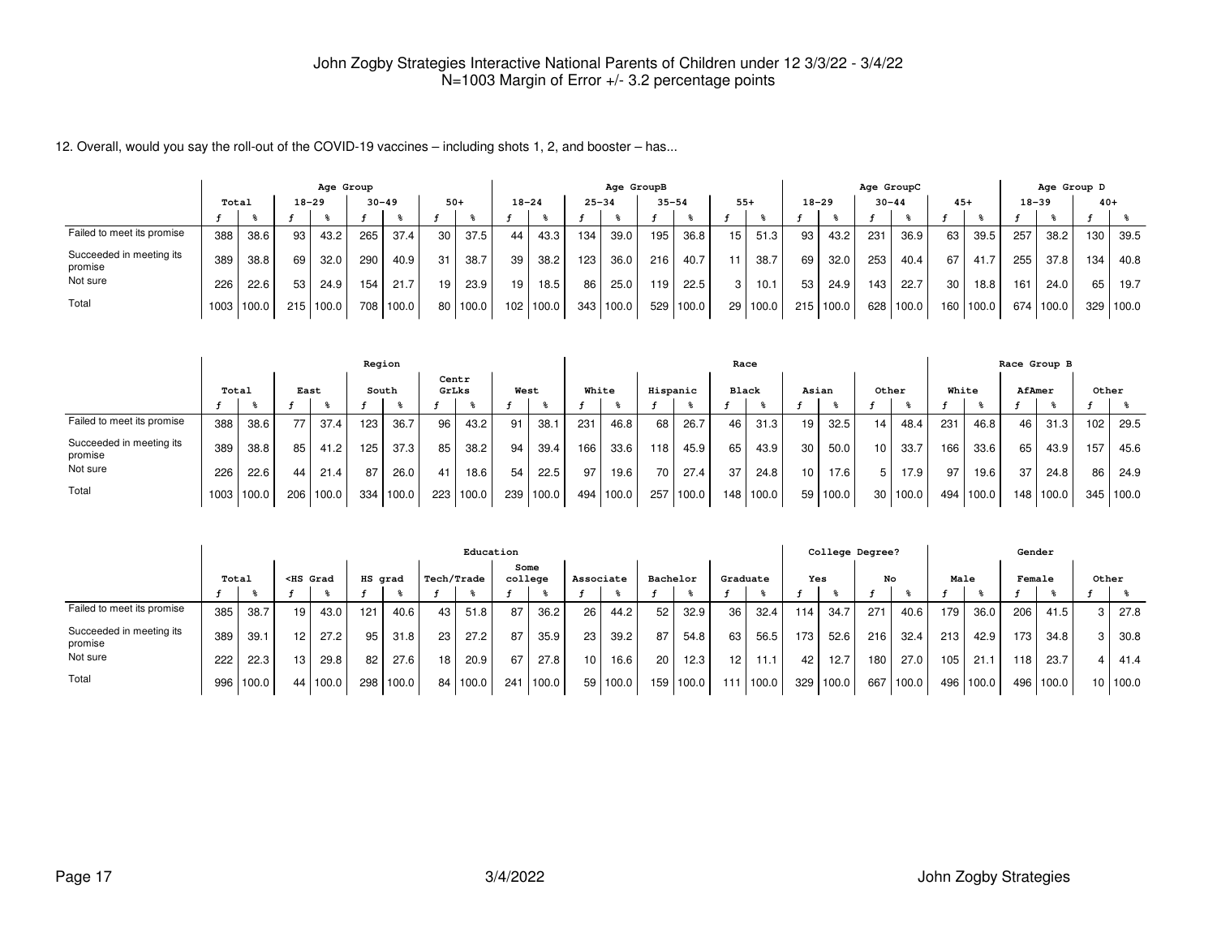12. Overall, would you say the roll-out of the COVID-19 vaccines – including shots 1, 2, and booster – has...

|                                     |       |       |           | Age Group |           |       |       |       |           |       |           | Age GroupB |           |       |       |          |           |       | Age GroupC |       |       |       |           |       | Age Group D |       |
|-------------------------------------|-------|-------|-----------|-----------|-----------|-------|-------|-------|-----------|-------|-----------|------------|-----------|-------|-------|----------|-----------|-------|------------|-------|-------|-------|-----------|-------|-------------|-------|
|                                     | Total |       | $18 - 29$ |           | $30 - 49$ |       | $50+$ |       | $18 - 24$ |       | $25 - 34$ |            | $35 - 54$ |       | $55+$ |          | $18 - 29$ |       | $30 - 44$  |       | $45+$ |       | $18 - 39$ |       | $40+$       |       |
|                                     |       |       |           |           |           |       |       |       |           |       |           |            |           |       |       |          |           |       |            |       |       |       |           |       |             |       |
| Failed to meet its promise          | 388   | 38.6  | 93        | 43.2      | 265       | 37.4  | 30    | 37.5  | 44        | 43.3  | 134       | 39.0       | 195       | 36.8  | 15    | 51.3     | 93        | 43.2  | 231        | 36.9  | 63    | 39.5  | 257       | 38.2  | 130         | 39.5  |
| Succeeded in meeting its<br>promise | 389   | 38.8  | 69        | 32.0      | 290       | 40.9  | 31    | 38.7  | 39        | 38.2  | 123       | 36.0       | 216       | 40.7  |       | 38.7     | 69        | 32.0  | 253        | 40.4  | 67    | 41.7  | 255       | 37.8  | 134         | 40.8  |
| Not sure                            | 226   | 22.6  | 53        | 24.9      | 154       | 21.7  | 19    | 23.9  | 19        | 18.5  | 86        | 25.0       | 119       | 22.5  | 3 I   | 10.1     | 53        | 24.9  | 143        | 22.7  | 30    | 18.8  | 161       | 24.0  | 65          | 19.7  |
| Total                               | 1003  | 100.0 | 215       | 100.0     | 708       | 100.0 | 80    | 100.0 | 102       | 100.0 | 343       | 100.0      | 529       | 100.0 |       | 29 100.0 | 215       | 100.0 | 628        | 100.0 | 160   | 100.0 | 674       | 100.0 | 329         | 100.0 |

|                                     |       |       |                  |        | Region |           |       |                  |      |       |       |       |          |       |     | Race  |    |       |       |          |       |       |        | Race Group B |       |       |
|-------------------------------------|-------|-------|------------------|--------|--------|-----------|-------|------------------|------|-------|-------|-------|----------|-------|-----|-------|----|-------|-------|----------|-------|-------|--------|--------------|-------|-------|
|                                     | Total |       | East             |        | South  |           | GrLks | Centr            | West |       | White |       | Hispanic |       |     | Black |    | Asian | Other |          | White |       | AfAmer |              | Other |       |
|                                     |       |       |                  |        |        |           |       |                  |      |       |       |       |          |       |     |       |    |       |       |          |       |       |        |              |       |       |
| Failed to meet its promise          | 388   | 38.6  | 77               | 37.4   | 123    | 36.7      | 96    | 43.2             | 91   | 38.   | 231   | 46.8  | 68       | 26.7  | 46  | 31.3  | 19 | 32.5  | 14    | 48.4     | 231   | 46.8  | 46     | 31.3         | 102   | 29.5  |
| Succeeded in meeting its<br>promise | 389   | 38.8  | 85               | 41.2   | 125    | 37.3      | 85    | 38.2             | 94   | 39.4  | 166   | 33.6  | 118      | 45.9  | 65  | 43.9  | 30 | 50.0  | 10    | 33.7     | 166   | 33.6  | 65     | 43.9         | 157   | 45.6  |
| Not sure                            | 226   | 22.6  | 44               | 21.4   | 87     | 26.0      | 41    | 18.6             | 54   | 22.5  | 97    | 19.6  | 70       | 27.4  | 37  | 24.8  | 10 | 17.6  |       | 17.9     | 97    | 19.6  | 37     | 24.8         | 86    | 24.9  |
| Total                               | 1003  | 100.0 | 206 <sub>1</sub> | '100.0 |        | 334 100.0 |       | $223 \mid 100.0$ | 239  | 100.0 | 494   | 100.0 | 257      | 100.0 | 148 | 100.0 | 59 | 100.0 |       | 30 100.0 | 494   | 100.0 |        | 148 100.0    | 345   | 100.0 |

|                                     |       |       |    |                                                                                                                                                                                                                                                                                                              |         |           |            | Education |                 |       |           |          |     |          |     |          |     | College Degree? |     |       |       |       | Gender |           |   |          |
|-------------------------------------|-------|-------|----|--------------------------------------------------------------------------------------------------------------------------------------------------------------------------------------------------------------------------------------------------------------------------------------------------------------|---------|-----------|------------|-----------|-----------------|-------|-----------|----------|-----|----------|-----|----------|-----|-----------------|-----|-------|-------|-------|--------|-----------|---|----------|
|                                     | Total |       |    | <hs grad<="" th=""><th>HS grad</th><th></th><th>Tech/Trade</th><th></th><th>Some<br/>college</th><th></th><th>Associate</th><th></th><th></th><th>Bachelor</th><th></th><th>Graduate</th><th>Yes</th><th></th><th>No</th><th></th><th>Male</th><th></th><th>Female</th><th></th><th></th><th>Other</th></hs> | HS grad |           | Tech/Trade |           | Some<br>college |       | Associate |          |     | Bachelor |     | Graduate | Yes |                 | No  |       | Male  |       | Female |           |   | Other    |
|                                     |       |       |    |                                                                                                                                                                                                                                                                                                              |         |           |            |           |                 |       |           |          |     |          |     |          |     |                 |     |       |       |       |        |           |   |          |
| Failed to meet its promise          | 385   | 38.7  | 19 | 43.0                                                                                                                                                                                                                                                                                                         | 121     | 40.6      | 43         | 51.8      | 87              | 36.2  | 26        | 44.2     | 52  | 32.9     | 36  | 32.4     | 114 | 34.7            | 271 | 40.6  | 179.  | 36.0  | 206    | 41.5      | 3 | 27.8     |
| Succeeded in meeting its<br>promise | 389   | 39.1  | 12 | 27.2                                                                                                                                                                                                                                                                                                         | 95      | 31.8      | 23         | 27.2      | 87              | 35.9  | 23        | 39.2     | 87  | 54.8     | 63  | 56.5     | 173 | 52.6            | 216 | 32.4  | 213   | 42.9  | 173    | 34.8      | 3 | 30.8     |
| Not sure                            | 222   | 22.3  | 13 | 29.8                                                                                                                                                                                                                                                                                                         | 82      | 27.6      | 18         | 20.9      | 67              | 27.8  | 10        | 16.6     | 20  | 12.3     | 12  | 11.1     | 42  | 12.7            | 180 | 27.0  | 105   | 21.7  | 118    | 23.7      | 4 | 41.4     |
| Total                               | 996   | 100.0 |    | 44 100.0                                                                                                                                                                                                                                                                                                     |         | 298 100.0 | 84 l       | 100.0     | 241             | 100.0 |           | 59 100.0 | 159 | 100.0    | 111 | 100.0    | 329 | 100.0           | 667 | 100.0 | 496 l | 100.0 |        | 496 100.0 |   | 10 100.0 |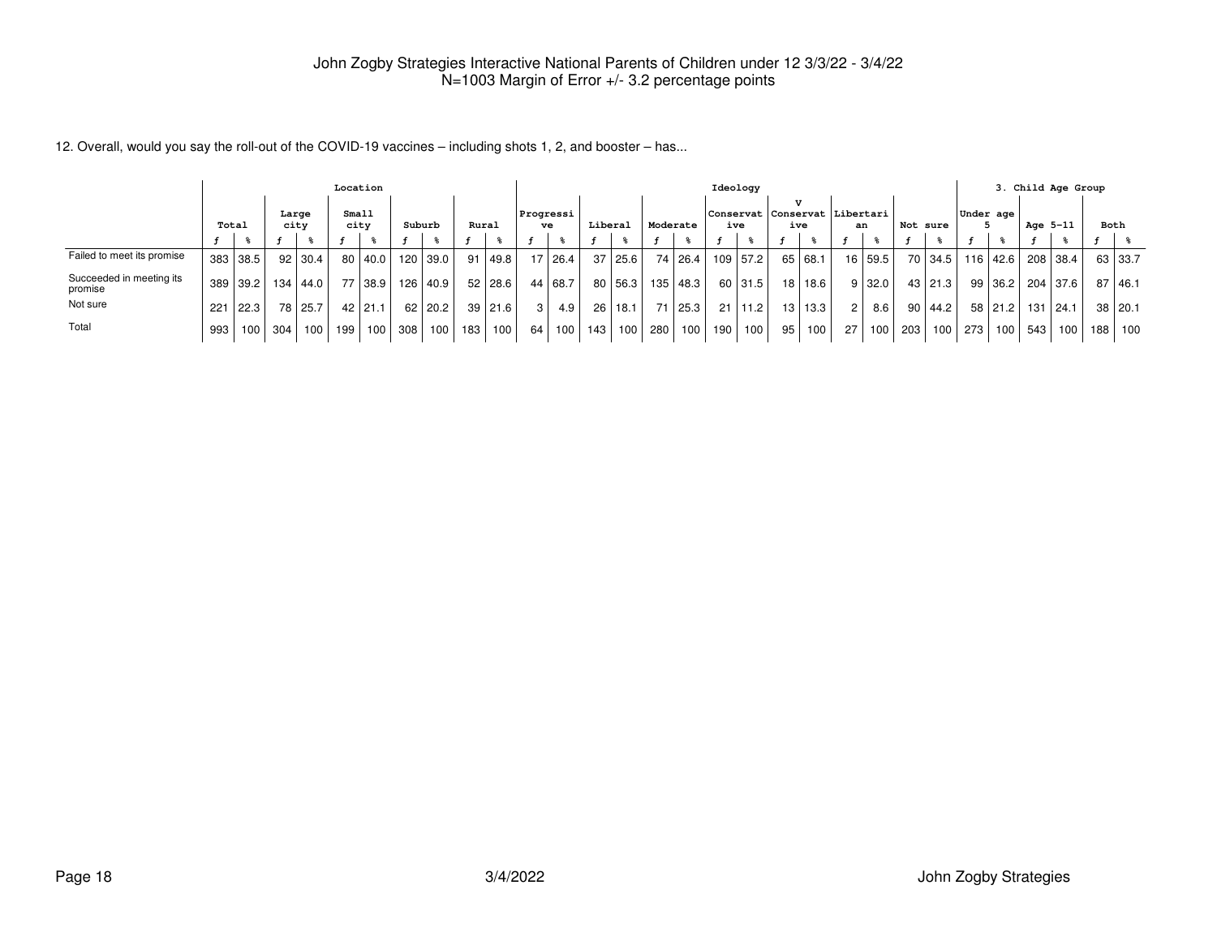12. Overall, would you say the roll-out of the COVID-19 vaccines – including shots 1, 2, and booster – has...

|                                     | Location |                  |               |                 |       |             |        |          |       |                  |                |                  |         |                  |          |            |       | Ideology |    |                                         |    |                  |                 |                  |           |         |          | 3. Child Age Group |       |           |
|-------------------------------------|----------|------------------|---------------|-----------------|-------|-------------|--------|----------|-------|------------------|----------------|------------------|---------|------------------|----------|------------|-------|----------|----|-----------------------------------------|----|------------------|-----------------|------------------|-----------|---------|----------|--------------------|-------|-----------|
|                                     | Total    |                  | Large<br>city |                 | Small | city        | Suburb |          | Rural |                  | ve             | Progressi        | Liberal |                  | Moderate |            |       | ive      |    | Conservat  Conservat   Libertari<br>ive |    | an               | Not sure        |                  | Under age |         | Age 5-11 |                    | Both  |           |
|                                     |          |                  |               |                 |       |             |        |          |       |                  |                |                  |         |                  |          |            |       |          |    |                                         |    |                  |                 |                  |           |         |          |                    |       |           |
| Failed to meet its promise          |          | 383 38.5         |               | $92$ 30.4       |       | 80   40.0   |        | 120 39.0 | 91    | l 49.8 l         |                | 17 26.4          |         | 37 25.6          |          | 74 26.4    | 109 l | 57.2     |    | 65 68.1                                 |    | 16 59.5          |                 | 70 34.5 116 42.6 |           |         |          | 208 38.4           |       | 63 33.7   |
| Succeeded in meeting its<br>promise |          | 389 39.2         |               | $134 \mid 44.0$ | 77    | 38.9        |        | 126 40.9 |       | 52 28.6          |                | 44 68.7          |         | 80 56.3          |          | 135   48.3 |       | 60 31.5  |    | $18$   18.6                             |    | $9 \mid 32.0$    |                 | 43 21.3          |           | 99 36.2 |          | 204 37.6           |       | 87   46.1 |
| Not sure                            | 221      | 122.3            |               | 78 25.7         |       | $42$   21.1 |        | 62 20.2  |       | 39   21.6        | 3 <sup>1</sup> | 4.9 <sub>1</sub> |         | 26   18.1        |          | 71 25.3    | 21    | 11.2     |    | 13 13.3                                 |    | 8.6              | 90 <sub>1</sub> | 44.2             |           | 58 21.2 | 131      | 124.1              |       | 38 20.1   |
| Total                               | 993      | 100 <sub>1</sub> | 304           | 100             | 199   | 100         | 308    | 100      | 183   | 100 <sub>1</sub> | 64             | 100 <sub>l</sub> | 143     | 100 <sub>1</sub> | 280      | 100        | 190   | 100      | 95 | 100                                     | 27 | 100 <sup>1</sup> | 203             |                  | 100 273   | 100     | 543      | 100                | 188 I | 100       |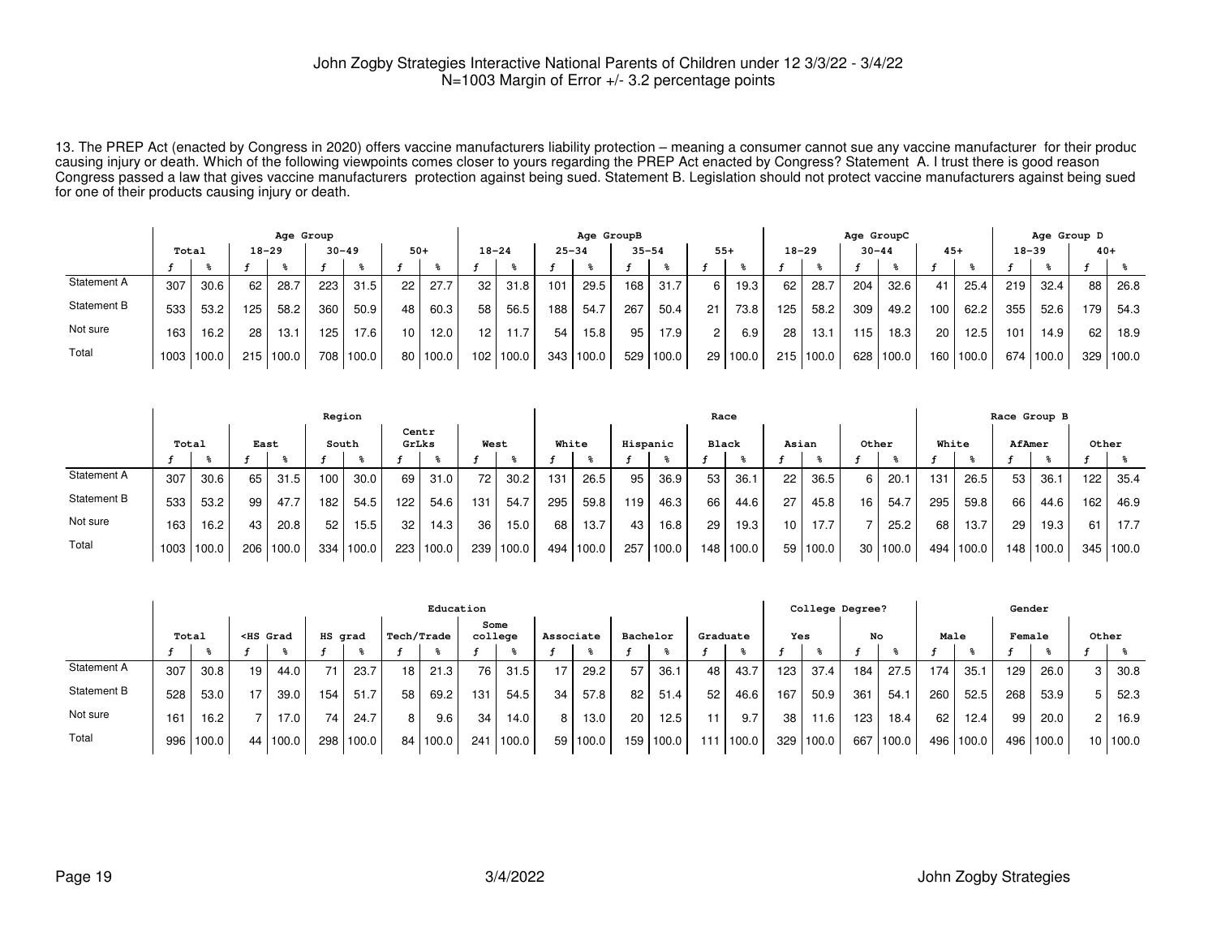13. The PREP Act (enacted by Congress in 2020) offers vaccine manufacturers liability protection – meaning a consumer cannot sue any vaccine manufacturer for their produc causing injury or death. Which of the following viewpoints comes closer to yours regarding the PREP Act enacted by Congress? Statement A. I trust there is good reason<br>Congress passed a law that gives vaccine manufacturers for one of their products causing injury or death.

|             | Age Group |                    |       |       |           |       |                 |          |    |           |           | Age GroupB |           |       |       |          |           |       | Age GroupC |           |                  |       |           | Age Group D |       |           |
|-------------|-----------|--------------------|-------|-------|-----------|-------|-----------------|----------|----|-----------|-----------|------------|-----------|-------|-------|----------|-----------|-------|------------|-----------|------------------|-------|-----------|-------------|-------|-----------|
|             |           | $18 - 29$<br>Total |       |       | $30 - 49$ |       | $50+$           |          |    | $18 - 24$ | $25 - 34$ |            | $35 - 54$ |       | $55+$ |          | $18 - 29$ |       |            | $30 - 44$ | $45+$            |       | $18 - 39$ |             | $40+$ |           |
|             |           |                    |       |       |           |       |                 |          |    |           |           |            |           |       |       |          |           |       |            |           |                  |       |           |             |       |           |
| Statement A | 307       | 30.6               | 62    | 28.7  | 223       | 31.5  | 22              | 27.7     | 32 | 31.8      | 101       | 29.5       | 168       | 31.7  | 6.    | 19.3     | 62        | 28.7  | 204        | 32.6      | 41               | 25.4  | 219       | 32.4        | 88    | 26.8      |
| Statement B | 533       | 53.2               | 125   | 58.2  | 360       | 50.9  | 48              | 60.3     | 58 | 56.5      | 188       | 54.7       | 267       | 50.4  | 21    | 73.8     | 125       | 58.2  | 309        | 49.2      | 100              | 62.2  | 355       | 52.6        | 179   | 54.3      |
| Not sure    | 163       | 16.2               | 28    | 13.1  | 125       | 17.6  | 10 <sub>1</sub> | 12.0     | 12 | 11.7      | 54        | 15.8       | 95        | 17.9  | റ     | 6.9      | 28        | 13.1  | 115        | 18.3      | 20 <sub>1</sub>  | 12.5  | 101       | 14.9        | 62    | 18.9      |
| Total       |           | 1003 100.0         | 215 l | 100.0 | 708       | 100.0 |                 | 80 100.0 |    | 102 100.0 | 343       | 100.0      | 529       | 100.0 |       | 29 100.0 | 215       | 100.0 | 628        | 100.0     | 160 <sub>1</sub> | 100.0 |           | 674 100.0   |       | 329 100.0 |

|             | Region |       |       |       |       |       |                |       |      |       |       |       |          |       | Race            |           |                 |            |                 |       |       |           |        | Race Group B |       |       |
|-------------|--------|-------|-------|-------|-------|-------|----------------|-------|------|-------|-------|-------|----------|-------|-----------------|-----------|-----------------|------------|-----------------|-------|-------|-----------|--------|--------------|-------|-------|
|             | Total  |       | East  |       | South |       | Centr<br>GrLks |       | West |       | White |       | Hispanic |       | <b>Black</b>    |           | Asian           |            | Other           |       | White |           | AfAmer |              | Other |       |
|             |        |       |       |       |       |       |                |       |      |       |       |       |          |       |                 |           |                 |            |                 |       |       |           |        |              |       |       |
| Statement A | 307    | 30.6  | 65    | 31.5  | 100   | 30.0  | 69             | 31.0  | 72   | 30.2  | 131   | 26.5  | 95       | 36.9  | 53              | 36.1      | 22              | 36.5       | 6               | 20.1  | 131   | 26.5      | 53     | 36.1         | 122   | 35.4  |
| Statement B | 533    | 53.2  | 99    | 47.7  | 182   | 54.5  | 122            | 54.6  | 131  | 54.7  | 295   | 59.8  | 119      | 46.3  | 66 l            | 44.6      | 27              | 45.8       | 16              | 54.7  | 295   | 59.8      | 66     | 44.6         | 162   | 46.9  |
| Not sure    | 163    | 16.2  | 43    | 20.8  | 52    | 15.5  | 32             | 14.3  | 36   | 15.0  | 68    | 13.7  | 43       | 16.8  | 29 <sub>1</sub> | 19.3      | 10 <sup>1</sup> | 17.7       |                 | 25.2  | 68    | 13.7      | 29     | 19.3         | 61    | 17.7  |
| Total       | 1003   | 100.0 | 206 l | 100.0 | 334   | 100.0 | 223            | 100.0 | 239  | 100.0 | 494   | 100.0 | 257      | 100.0 |                 | 148 100.0 |                 | 59   100.0 | 30 <sub>1</sub> | 100.0 | 494   | ⊦   100.0 | 148 I  | 100.0        | 345 l | 100.0 |

|             |       |       |    |                                                                                                                                                                                                                                                                                                              |         |       |            | Education |                 |        |           |          |     |          |          |       |     | College Degree? |     |       |      |        | Gender |        |       |          |
|-------------|-------|-------|----|--------------------------------------------------------------------------------------------------------------------------------------------------------------------------------------------------------------------------------------------------------------------------------------------------------------|---------|-------|------------|-----------|-----------------|--------|-----------|----------|-----|----------|----------|-------|-----|-----------------|-----|-------|------|--------|--------|--------|-------|----------|
|             | Total |       |    | <hs grad<="" th=""><th>HS grad</th><th></th><th>Tech/Trade</th><th></th><th>Some<br/>college</th><th></th><th>Associate</th><th></th><th></th><th>Bachelor</th><th>Graduate</th><th></th><th>Yes</th><th></th><th>No</th><th></th><th>Male</th><th></th><th>Female</th><th></th><th>Other</th><th></th></hs> | HS grad |       | Tech/Trade |           | Some<br>college |        | Associate |          |     | Bachelor | Graduate |       | Yes |                 | No  |       | Male |        | Female |        | Other |          |
|             |       |       |    |                                                                                                                                                                                                                                                                                                              |         |       |            |           |                 |        |           |          |     |          |          |       |     |                 |     |       |      |        |        |        |       |          |
| Statement A | 307   | 30.8  | 19 | 44.0                                                                                                                                                                                                                                                                                                         |         | 23.7  | 18         | 21.3      | 76              | 31.5   | 17        | 29.2     | 57  | 36.7     | 48       | 43.7  | 123 | 37.4            | 184 | 27.5  | 174  | 35.1   | 129    | 26.0   | 3     | 30.8     |
| Statement B | 528   | 53.0  | 17 | 39.0                                                                                                                                                                                                                                                                                                         | 154     | 51.7  | 58         | 69.2      | 131             | 54.5   | 34        | 57.8     | 82  | 51.4     | 52       | 46.6  | 167 | 50.9            | 361 | 54.7  | 260  | 52.5   | 268    | 53.9   | 5     | 52.3     |
| Not sure    | 161   | 16.2  |    | 17.0                                                                                                                                                                                                                                                                                                         | 74      | 24.7  | 8          | 9.6       | 34              | 14.0 l | 8         | 13.0     | 20  | 12.5     |          | 9.7   | 38  | 11.6            | 123 | 18.4  | 62   | 12.4   | 99     | 20.0   | 2     | 16.9     |
| Total       | 996   | 100.0 |    | 44 100.0                                                                                                                                                                                                                                                                                                     | 298     | 100.0 |            | 84 100.0  | 241             | 100.0  |           | 59 100.0 | 159 | 100.0    | 111      | 100.0 | 329 | 1100.0          | 667 | 100.0 | 496  | '100.0 | 496 l  | 1100.0 |       | 10 100.0 |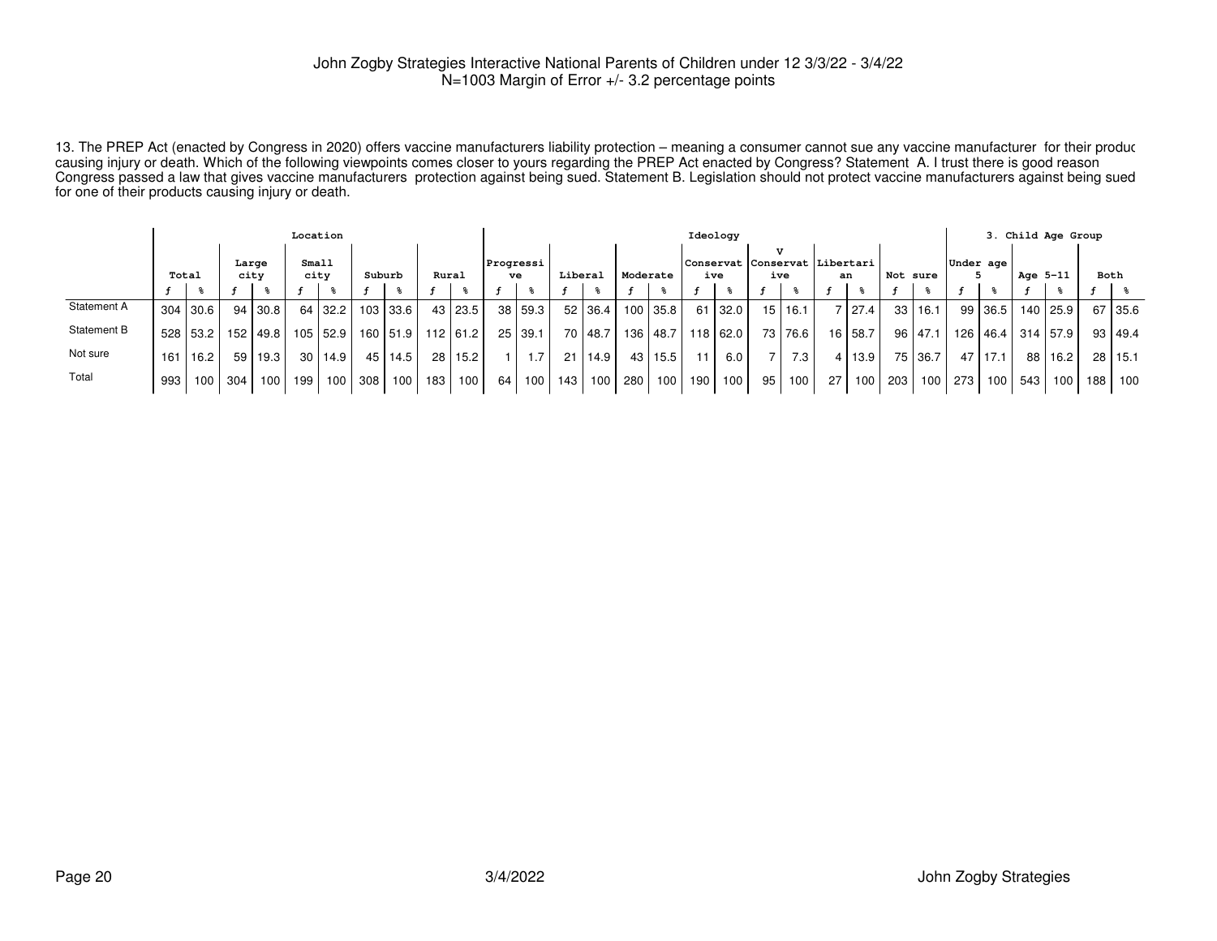13. The PREP Act (enacted by Congress in 2020) offers vaccine manufacturers liability protection – meaning a consumer cannot sue any vaccine manufacturer for their produc causing injury or death. Which of the following viewpoints comes closer to yours regarding the PREP Act enacted by Congress? Statement A. I trust there is good reason Congress passed a law that gives vaccine manufacturers protection against being sued. Statement B. Legislation should not protect vaccine manufacturers against being suedfor one of their products causing injury or death.

|             |                                                            |                  |     |            | Location |            |     |            |                 |                 |      |         |       |           |      |            |     | Ideology                                        |    |                  |    |          |       |             |     |                   |     | 3. Child Age Group |     |                |
|-------------|------------------------------------------------------------|------------------|-----|------------|----------|------------|-----|------------|-----------------|-----------------|------|---------|-------|-----------|------|------------|-----|-------------------------------------------------|----|------------------|----|----------|-------|-------------|-----|-------------------|-----|--------------------|-----|----------------|
|             | Small<br>Large<br>city<br>Suburb<br>Total<br>city<br>Rural |                  |     |            |          |            |     |            |                 | Progressi<br>ve |      | Liberal |       | Moderate  |      |            | ive | $\tau$<br> Conservat Conservat Libertari<br>ive |    | an               |    | Not sure |       | Under age   |     | Age 5-11          |     | Both               |     |                |
|             |                                                            |                  |     |            |          |            |     |            |                 |                 |      |         |       |           |      |            |     |                                                 |    |                  |    |          |       |             |     |                   |     |                    |     |                |
| Statement A |                                                            | 304 30.6         |     | 94 30.8    |          | 64 32.2    |     | 103 33.6   |                 | 43 23.5         | 38 l | 59.3    |       | 52 36.4   |      | $100$ 35.8 |     | 61 32.0                                         |    | 15   16.1        |    | 27.4     |       | 33 16.1     |     | 99 36.5           |     | 140 25.9           |     | 67 35.6        |
| Statement B |                                                            | 528 53.2         |     | 152   49.8 |          | $105$ 52.9 |     | 160   51.9 |                 | $112$ 61.2      | 25   | 39.1    |       | 70   48.7 |      | 136 48.7   |     | 118 62.0                                        |    | 73   76.6        |    | 16 58.7  |       | $96$   47.1 | 126 | 46.4   314   57.9 |     |                    |     | $93 \mid 49.4$ |
| Not sure    | 161                                                        | 16.2             | 59  | 19.3       |          | 30   14.9  |     | 45   14.5  | 28 <sub>1</sub> | 15.2            |      | 1.7     |       | 21 14.9   | 43 l | 15.5       | 11  | 6.0                                             |    | 7.3 <sub>1</sub> |    | 4 13.9   |       | 75 36.7     | 47  | 17.1              |     | 88 16.2            |     | 28 15.1        |
| Total       | 993                                                        | 100 <sub>1</sub> | 304 | 100        | 199      | 100        | 308 | 100        | 183             | 100             | 64   | 100     | 143 l | 100       | 280  | 100 L      | 190 | 100                                             | 95 | 100              | 27 | 100      | 203 l | 100         | 273 | 100 <sub>l</sub>  | 543 | 100                | 188 | 100            |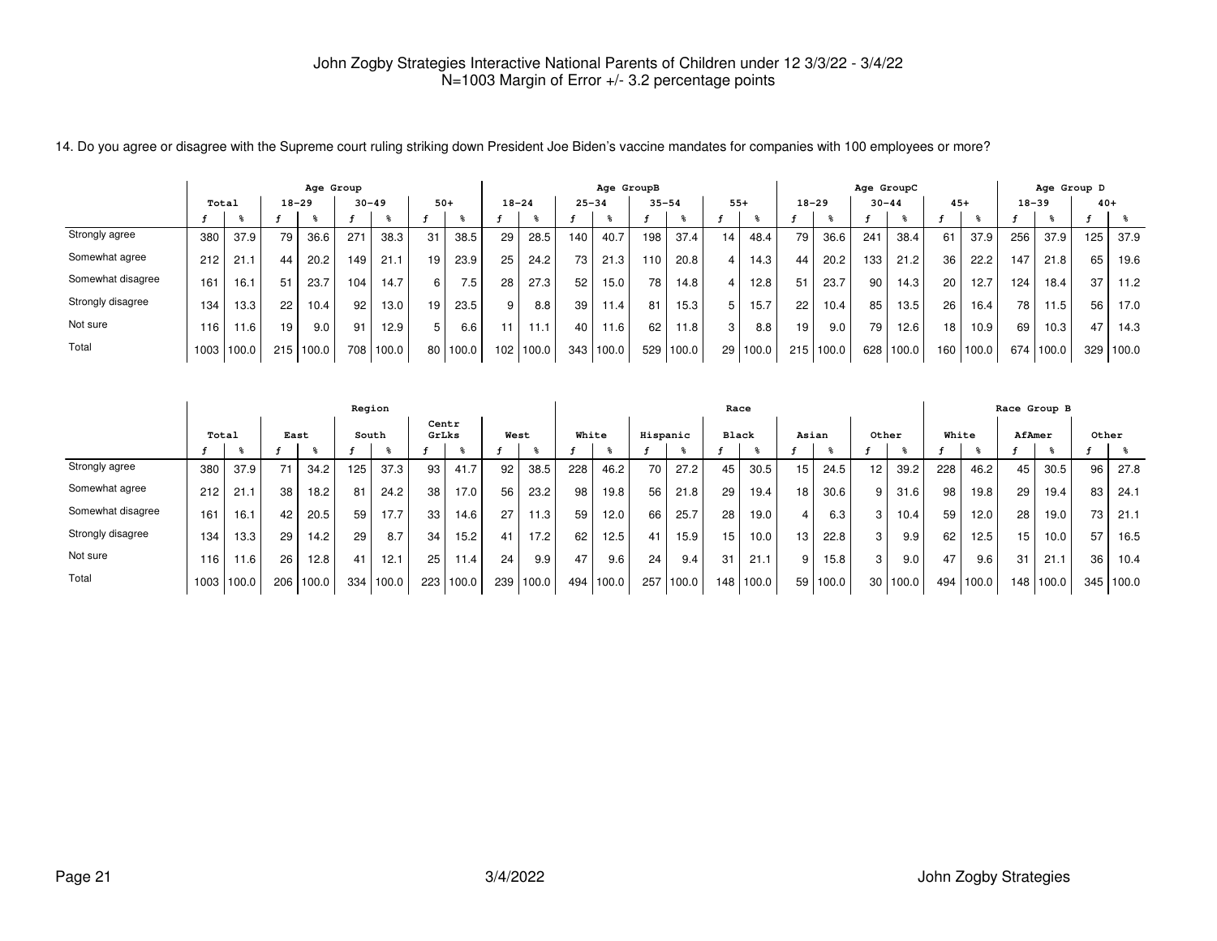|                   | Age Group |       |           |                  |     |           |                 |                  |           |               |           | Age GroupB |           |       |                 |       |                 |           | Age GroupC      |       |                 |       |           | Age Group D |       |       |
|-------------------|-----------|-------|-----------|------------------|-----|-----------|-----------------|------------------|-----------|---------------|-----------|------------|-----------|-------|-----------------|-------|-----------------|-----------|-----------------|-------|-----------------|-------|-----------|-------------|-------|-------|
|                   | Total     |       | $18 - 29$ |                  |     | $30 - 49$ | $50+$           |                  | $18 - 24$ |               | $25 - 34$ |            | $35 - 54$ |       | $55+$           |       | $18 - 29$       |           | $30 - 44$       |       | $45+$           |       | $18 - 39$ |             | $40+$ |       |
|                   |           |       |           |                  |     |           |                 |                  |           |               |           |            |           |       |                 |       |                 |           |                 |       |                 |       |           |             |       |       |
| Strongly agree    | 380       | 37.9  | 79        | 36.6             | 271 | 38.3      | 31              | 38.5             | 29        | 28.5          | 140       | 40.7       | 198       | 37.4  | 14              | 48.4  | 79 <sub>1</sub> | 36.6      | 241             | 38.4  | 61              | 37.9  | 256       | 37.9        | 125   | 37.9  |
| Somewhat agree    | 212       | 21    | 44        | 20.2             | 149 | 21.1      | 19 <sub>1</sub> | 23.9             | 25        | 24.2          | 73.       | 21.3       | 110       | 20.8  | 4               | 14.3  | 44              | 20.2      | 133             | 21.2  | 36 <sub>1</sub> | 22.2  | 147       | 21.8        | 65    | 19.6  |
| Somewhat disagree | 161       | 16.1  | 51        | 23.7             | 104 | 14.7      | $6 \mid$        | 7.5 <sub>1</sub> | 28        | 27.3          | 52        | 15.0       | 78        | 14.8  | $\overline{4}$  | 12.8  | 51              | 23.7      | 90 <sub>1</sub> | 14.3  | 20              | 12.7  | 124       | 18.4        | 37    | 11.2  |
| Strongly disagree | 134       | 13.3  | 22        | $10.4$ .         | 92  | 13.0      | 19              | 23.5             | 9         | 8.8           | 39        | 11.4       | 81        | 15.3  | 5               | 15.7  | 22              | 10.4      | 85              | 13.5  | 26 <sub>1</sub> | 16.4  | 78        | 11.5        | 56    | 17.0  |
| Not sure          | 116       | 11.6  | 19        | 9.0 <sub>1</sub> | 91  | 12.9      | 5               | 6.6              | 11        | 11.1          | 40        | 11.6       | 62        | 11.8  | 3               | 8.8   | 19              | 9.0       | 79              | 12.6  | 18              | 10.9  | 69        | 10.3        | 47    | 14.3  |
| Total             | 1003      | 100.0 | 215       | 100.0            | 708 | 100.0     |                 | 80   100.0       |           | $102$   100.0 | 343       | 100.0      | 529       | 100.0 | 29 <sub>1</sub> | 100.0 |                 | 215 100.0 | 628             | 100.0 | 160             | 100.0 | 674 l     | '100.0      | 329   | 100.0 |

14. Do you agree or disagree with the Supreme court ruling striking down President Joe Biden's vaccine mandates for companies with 100 employees or more?

|                   |                   |       |      |           | Region |       |                |       |      |       |       |       |          |       | Race             |       |                 |          |                 |          |       |       |        | Race Group B |       |           |
|-------------------|-------------------|-------|------|-----------|--------|-------|----------------|-------|------|-------|-------|-------|----------|-------|------------------|-------|-----------------|----------|-----------------|----------|-------|-------|--------|--------------|-------|-----------|
|                   | Total             |       | East |           | South  |       | Centr<br>GrLks |       | West |       | White |       | Hispanic |       | <b>Black</b>     |       | Asian           |          | Other           |          | White |       | AfAmer |              | Other |           |
|                   |                   |       |      |           |        |       |                |       |      |       |       |       |          |       |                  |       |                 |          |                 |          |       |       |        |              |       |           |
| Strongly agree    | 380               | 37.9  | 71   | 34.2      | 125    | 37.3  | 93             | 41.7  | 92   | 38.5  | 228   | 46.2  | 70       | 27.2  | 45               | 30.5  | 15              | 24.5     | 12 <sup>2</sup> | 39.2     | 228   | 46.2  | 45     | 30.5         | 96    | 27.8      |
| Somewhat agree    | 212               | 21.1  | 38   | 18.2      | 81     | 24.2  | 38             | 17.0  | 56   | 23.2  | 98    | 19.8  | 56       | 21.8  | 29               | 19.4  | 18 <sub>1</sub> | 30.6     | 9               | 31.6     | 98    | 19.8  | 29     | 19.4         | 83    | 24.1      |
| Somewhat disagree | 161               | 16.1  | 42   | 20.5      | 59     | 17.7  | 33             | 14.6  | 27   | 11.3  | 59    | 12.0  | 66       | 25.7  | 28               | 19.0  |                 | 6.3      | 3 I             | 10.4     | 59    | 12.0  | 28     | 19.0         | 73    | 21.1      |
| Strongly disagree | 134               | 13.3  | 29   | 14.2      | 29     | 8.7   | 34             | 15.2  | 41   | 17.2  | 62    | 12.5  | 41       | 15.9  | 15               | 10.0  | 13 <sub>1</sub> | 22.8     | 3 <sub>1</sub>  | 9.9      | 62    | 12.5  | 15     | 10.0         | 57    | 16.5      |
| Not sure          | 116 <sub>1</sub>  | 11.6  | 26   | 12.8      | 41     | 12.1  | 25             | 11.41 | 24   | 9.9   | 47    | 9.6   | 24       | 9.4   | 31               | 21.1  | 9 I             | 15.8     | 3               | 9.0      | 47    | 9.6   | 31     | 21.1         | 36    | 10.4      |
| Total             | 1003 <sub>1</sub> | 100.0 |      | 206 100.0 | 334    | 100.0 | 223            | 100.0 | 239  | 100.0 | 494   | 100.0 | 257      | 100.0 | 148 <sub>1</sub> | 100.0 |                 | 59 100.0 |                 | 30 100.0 | 494   | 100.0 |        | 148 100.0    |       | 345 100.0 |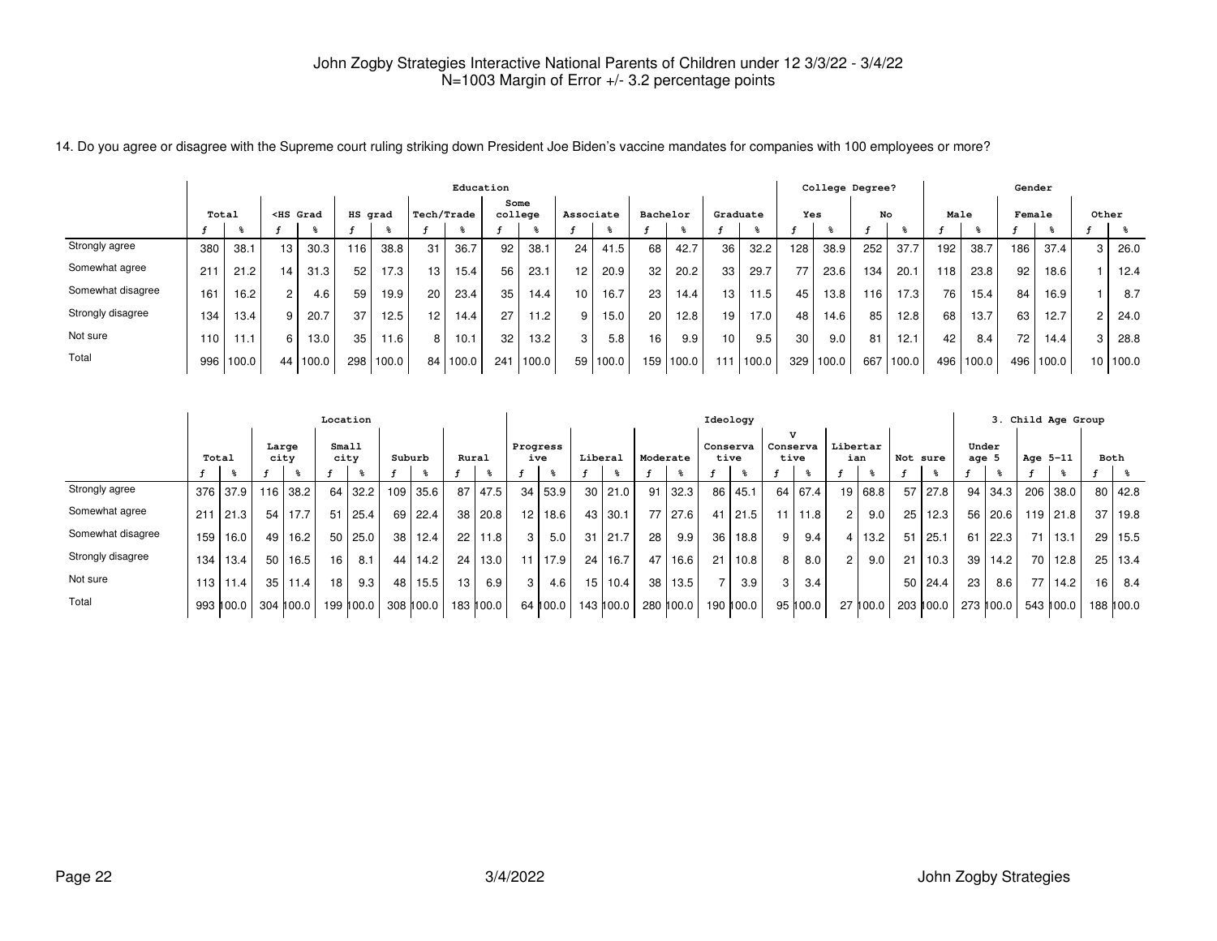|                   | Education |       |                                                                                                                                                                                                                                                                                                                  |       |         |       |                   |       |         |       |           |          |    |           |                  | College Degree?   |     |       |     |       | Gender |       |        |       |       |       |
|-------------------|-----------|-------|------------------------------------------------------------------------------------------------------------------------------------------------------------------------------------------------------------------------------------------------------------------------------------------------------------------|-------|---------|-------|-------------------|-------|---------|-------|-----------|----------|----|-----------|------------------|-------------------|-----|-------|-----|-------|--------|-------|--------|-------|-------|-------|
|                   | Total     |       | <hs grad<="" th=""><th></th><th>HS grad</th><th></th><th>Tech/Trade</th><th></th><th>college</th><th>Some</th><th>Associate</th><th></th><th></th><th>Bachelor</th><th>Graduate</th><th></th><th>Yes</th><th></th><th>No</th><th></th><th>Male</th><th></th><th>Female</th><th></th><th>Other</th><th></th></hs> |       | HS grad |       | Tech/Trade        |       | college | Some  | Associate |          |    | Bachelor  | Graduate         |                   | Yes |       | No  |       | Male   |       | Female |       | Other |       |
| Strongly agree    | 380       | 38.1  | 13                                                                                                                                                                                                                                                                                                               | 30.3  | 116     | 38.8  | 31                | 36.7  | 92      | 38.1  | 24        | 41.5     | 68 | 42.7      | 36               | 32.2              | 128 | 38.9  | 252 | 37.7  | 192    | 38.7  | 186    | 37.4  | 3     | 26.0  |
| Somewhat agree    | 211       | 21.2  | 14                                                                                                                                                                                                                                                                                                               | 31.3  | 52      | 17.3  | 13                | 15.4  | 56      | 23.1  | 12        | 20.9     | 32 | 20.2      | 33               | 29.7              | 77  | 23.6  | 134 | 20.1  | 118    | 23.8  | 92     | 18.6  |       | 12.4  |
| Somewhat disagree | 161       | 16.2  | $\sim$                                                                                                                                                                                                                                                                                                           | 4.6   | 59      | 19.9  | 20                | 23.4  | 35      | 14.4  | 10        | 16.7     | 23 | 14.4      | 13 <sup>13</sup> | 11.5              | 45  | 13.8  | 116 | 17.3  | 76     | 15.4  | 84     | 16.9  |       | 8.7   |
| Strongly disagree | 134       | 13.4  |                                                                                                                                                                                                                                                                                                                  | 20.7  | 37      | 12.5  | $12 \overline{ }$ | 14.4  | 27      | 11.2  | 9         | 15.0     | 20 | 12.8      | 19               | 17.0 <sub>1</sub> | 48  | 14.6  | 85  | 12.8  | 68     | 13.7  | 63     | 12.7  |       | 24.0  |
| Not sure          | 110       | 11.1  | 6.                                                                                                                                                                                                                                                                                                               | 13.0  | 35      | 11.6  | 8                 | 10.1  | 32      | 13.2  | 3         | 5.8      | 16 | 9.9       | 10 <sup>10</sup> | 9.5               | 30  | 9.0   | 81  | 12.1  | 42     | 8.4   | 72     | 14.4  | p     | 28.8  |
| Total             | 996       | 100.0 | 44                                                                                                                                                                                                                                                                                                               | 100.0 | 298     | 100.0 | 84                | 100.0 | 241     | 100.0 |           | 59 100.0 |    | 159 100.0 |                  | 100.0             | 329 | 100.0 | 667 | 100.0 | 496    | 100.0 | 496    | 100.0 | 10.   | 100.0 |

14. Do you agree or disagree with the Supreme court ruling striking down President Joe Biden's vaccine mandates for companies with 100 employees or more?

|                   |       |             |                 |           | Location        |           |        |           |    |           |                |             |      |           |          |                     |                 | Ideology         |          |           |                 |          |          |             |                  |           |          | 3. Child Age Group |    |             |
|-------------------|-------|-------------|-----------------|-----------|-----------------|-----------|--------|-----------|----|-----------|----------------|-------------|------|-----------|----------|---------------------|-----------------|------------------|----------|-----------|-----------------|----------|----------|-------------|------------------|-----------|----------|--------------------|----|-------------|
|                   | Total |             | Large<br>city   |           | Small           | city      | Suburb |           |    | Rural     | Progress       | ive         |      | Liberal   | Moderate |                     |                 | Conserva<br>tive | Conserva | v<br>tive | Libertar<br>ian |          | Not sure |             | Under<br>age $5$ |           | Age 5-11 |                    |    | Both        |
|                   |       |             |                 |           |                 |           |        |           |    |           |                |             |      |           |          |                     |                 |                  |          |           |                 |          |          |             |                  |           |          |                    |    |             |
| Strongly agree    | 376   | l 37.9 l    |                 | 116 38.2  |                 | 64 32.2   |        | 109 35.6  | 87 | 47.5      |                | 34 53.9     | 30 I | 21.0      |          | $91 \mid 32.3 \mid$ |                 | 86 45.1          | 64       | 67.4      |                 | 19 68.8  | 57       | 27.8        | 94 l             | 34.3      |          | 206 38.0           | 80 | l 42.8      |
| Somewhat agree    | 211   | 21.3        | 54              | 17.7      | 51              | 25.4      |        | 69 22.4   | 38 | 20.8      |                | $12$ 18.6   | 43   | 30.1      |          | 77 27.6             |                 | $41$   21.5      | 11       | 11.8      | 2 <sup>1</sup>  | 9.0      | 25       | 12.3        | 56               | 20.6      |          | 119 21.8           | 37 | 19.8        |
| Somewhat disagree | 159   | 16.0        | 49              | 16.2      |                 | 50 25.0   |        | 38 12.4   | 22 | 11.8      | 3 <sup>1</sup> | 5.0         | 31   | 21.7      | 28       | 9.9                 | 36 <sup>1</sup> | 18.8             | 9        | 9.4       |                 | 4 13.2   | 51       | 25.1        | 61               | 22.3      |          | 71 13.1            | 29 | 15.5        |
| Strongly disagree | 134   | 13.4        | 50 <sub>1</sub> | 16.5      | 16 <sub>1</sub> | 8.1       |        | 44   14.2 | 24 | 13.0      |                | $11$   17.9 | 24   | 16.7      |          | 47 16.6             | 21              | 10.8             | 8        | 8.0       | 2 <sup>1</sup>  | 9.0      | 21       | 10.3        | 39 <sup>1</sup>  | 14.2      |          | 70 12.8            | 25 | 13.4        |
| Not sure          |       | 113   11.4  | 35              | 11.4      | 18 <sub>1</sub> | 9.3       |        | 48   15.5 | 13 | 6.9       | $\overline{3}$ | 4.6         | 15   | 10.4      |          | 38 13.5             | $\overline{7}$  | 3.9              | 3        | 3.4       |                 |          |          | $50$   24.4 | 23               | 8.6       | 77 I     | 14.2               | 16 | 8.4         |
| Total             |       | 993    00.0 |                 | 304 100.0 |                 | 199 100.0 |        | 308 100.0 |    | 183 ∥00.0 |                | 64 1100.0 L |      | 143 100.0 |          | 280 ∥00.0           |                 | 190 100.0        |          | 95 100.0  |                 | 27 100.0 |          | 203 100.0   |                  | 273 100.0 |          | 543 100.0          |    | 188   100.0 |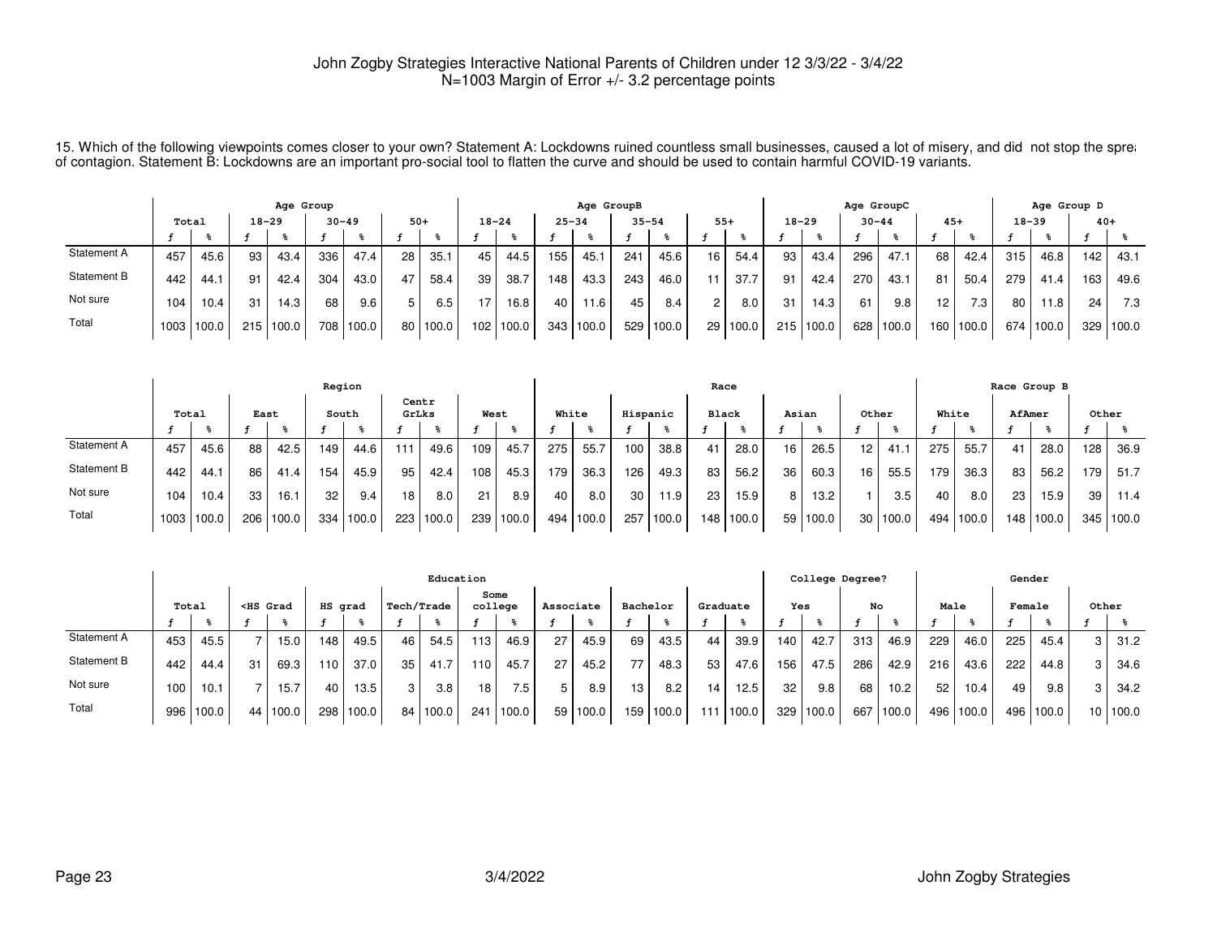15. Which of the following viewpoints comes closer to your own? Statement A: Lockdowns ruined countless small businesses, caused a lot of misery, and did not stop the spread to the spread to the spread to the spread to the of contagion. Statement B: Lockdowns are an important pro-social tool to flatten the curve and should be used to contain harmful COVID-19 variants.

|             | Age Group         |       |           |       |           |       |       |       |           |       |           | Age GroupB |                 |       |                 |          |           |           | Age GroupC |       |                 |           |           | Age Group D |       |       |
|-------------|-------------------|-------|-----------|-------|-----------|-------|-------|-------|-----------|-------|-----------|------------|-----------------|-------|-----------------|----------|-----------|-----------|------------|-------|-----------------|-----------|-----------|-------------|-------|-------|
|             | Total             |       | $18 - 29$ |       | $30 - 49$ |       | $50+$ |       | $18 - 24$ |       | $25 - 34$ |            | $35 - 54$       |       | $55+$           |          | $18 - 29$ |           | $30 - 44$  |       | $45+$           |           | $18 - 39$ |             | $40+$ |       |
|             |                   |       |           |       |           |       |       |       |           |       |           |            |                 |       |                 |          |           |           |            |       |                 |           |           |             |       |       |
| Statement A | 457               | 45.6  | 93        | 43.4  | 336       | 47.4  | 28    | 35.1  | 45        | 44.5  | 155       | 45.        | 24 <sup>1</sup> | 45.6  | 16 <sub>1</sub> | 54.4     | 93        | 43.4      | 296        | 47.1  | 68              | 42.4      | 315       | 46.8        | 142   | 43.1  |
| Statement B | 442               | 44.1  | 91        | 42.4  | 304       | 43.0  |       | 58.4  | 39        | 38.7  | 148       | 43.3       | 243             | 46.0  |                 | 37.7     | 91        | 42.4      | 270        | 43.1  | 81              | 50.4      | 279       | 41.4        | 163   | 49.6  |
| Not sure    | 104               | 10.4  | 31        | 14.3  | 68        | 9.6   | 5     | 6.5   | 17        | 16.8  | 40        | .6         | 45              | 8.4   | $\overline{2}$  | 8.0      | 31        | 14.3      | 61         | 9.8   | 12 <sub>1</sub> | 7.3       | 80        | 11.8        | 24    | 7.3   |
| Total       | 1003 <sub>1</sub> | 100.0 | 215       | 100.0 | 708       | 100.0 | 80    | 100.0 | 102       | 100.0 | 343       | 100.0      | 529             | 100.0 |                 | 29 100.0 |           | 215 100.0 | 628        | 100.0 |                 | 160 100.0 | 674       | 100.0       | 329   | 100.0 |

|             |            |      |      |       | Region |       |       |       |      |        |       |       |          |       | Race         |       |       |       |       |       |       |       |     | Race Group B |       |       |
|-------------|------------|------|------|-------|--------|-------|-------|-------|------|--------|-------|-------|----------|-------|--------------|-------|-------|-------|-------|-------|-------|-------|-----|--------------|-------|-------|
|             | Total      |      | East |       | South  |       | GrLks | Centr | West |        | White |       | Hispanic |       | <b>Black</b> |       | Asian |       | Other |       | White |       |     | AfAmer       | Other |       |
|             |            |      |      |       |        |       |       |       |      |        |       |       |          |       |              |       |       |       |       |       |       |       |     |              |       |       |
| Statement A | 457        | 45.6 | 88   | 42.5  | 149    | 44.6  | 111   | 49.6  | 109  | 45.7   | 275   | 55.7  | 100      | 38.8  |              | 28.0  | 16    | 26.5  | 12    | 41.1  | 275   | 55.7  | 41  | 28.0         | 128   | 36.9  |
| Statement B | 442        | 44.1 | 86   | 41.4  | 154    | 45.9  | 95    | 42.4  | 108  | 45.3   | 179   | 36.3  | 126      | 49.3  | 83           | 56.2  | 36    | 60.3  | 16    | 55.5  | 179   | 36.3  | 83  | 56.2         | 179   | 51.7  |
| Not sure    | 104        | 10.4 | 33   | 16.1  | 32     | 9.4   | 18    | 8.0   | 21   | 8.9    | 40    | 8.0   | 30       | 11.9  | 23           | 15.9  | 8     | 13.2  |       | 3.5   | 40    | 8.0   | 23  | 15.9         | 39    | 11.4  |
| Total       | 1003 100.0 |      | 206  | 100.0 | 334    | 100.0 | 223   | 100.0 | 239  | 1100.0 | 494   | 100.0 | 257      | 100.0 | 148.         | 100.0 | 59 I  | 100.0 | 30    | 100.0 | 494   | 100.0 | 148 | 100.0        | 345   | 100.0 |

|             |       |       |                                                                                                                                                                                                                                                                                                                  |          |         |                   |            | Education |                  |       |           |       |          |         |     |          |     | College Degree? |     |                   |      |       | Gender |       |       |          |
|-------------|-------|-------|------------------------------------------------------------------------------------------------------------------------------------------------------------------------------------------------------------------------------------------------------------------------------------------------------------------|----------|---------|-------------------|------------|-----------|------------------|-------|-----------|-------|----------|---------|-----|----------|-----|-----------------|-----|-------------------|------|-------|--------|-------|-------|----------|
|             | Total |       | <hs grad<="" th=""><th></th><th>HS grad</th><th></th><th>Tech/Trade</th><th></th><th>college</th><th>Some</th><th>Associate</th><th></th><th>Bachelor</th><th></th><th></th><th>Graduate</th><th>Yes</th><th></th><th>No</th><th></th><th>Male</th><th></th><th>Female</th><th></th><th>Other</th><th></th></hs> |          | HS grad |                   | Tech/Trade |           | college          | Some  | Associate |       | Bachelor |         |     | Graduate | Yes |                 | No  |                   | Male |       | Female |       | Other |          |
|             |       |       |                                                                                                                                                                                                                                                                                                                  |          |         |                   |            |           |                  |       |           |       |          |         |     |          |     |                 |     |                   |      |       |        |       |       |          |
| Statement A | 453   | 45.5  |                                                                                                                                                                                                                                                                                                                  | 15.0     | 148     | 49.5              | 46         | 54.5      | 13.              | 46.9  | 27        | 45.9  | 69       | 43.5    | 44  | 39.9     | 140 | 42.7            | 313 | 46.9              | 229  | 46.0  | 225    | 45.4  | 3     | 31.2     |
| Statement B | 442   | 44.4  | 31                                                                                                                                                                                                                                                                                                               | 69.3     | 110     | 37.0              | 35         | 41.7      | 110 <sub>1</sub> | 45.7  | 27        | 45.2  |          | 48.3    | 53  | 47.6     | 156 | 47.5            | 286 | 42.9              | 216  | 43.6  | 222    | 44.8  | 3     | 34.6     |
| Not sure    | 100   | 10.1  |                                                                                                                                                                                                                                                                                                                  | 15.7     | 40      | 13.5 <sub>1</sub> | 3          | 3.8       | 18               | 7.5   | 5         | 8.9   | 13       | 8.2     | 14  | 12.5     | 32  | 9.8             | 68  | 10.2 <sub>1</sub> | 52   | 10.4  | 49     | 9.8   | 3     | 34.2     |
| Total       | 996   | 100.0 |                                                                                                                                                                                                                                                                                                                  | 44 100.0 | 298     | 100.0             |            | 84 100.0  | 241              | 100.0 | 59        | 100.0 | 159      | , 100.0 | 111 | 100.0    | 329 | 100.0           | 667 | 100.0             | 496  | 100.0 | 496    | 100.0 |       | 10 100.0 |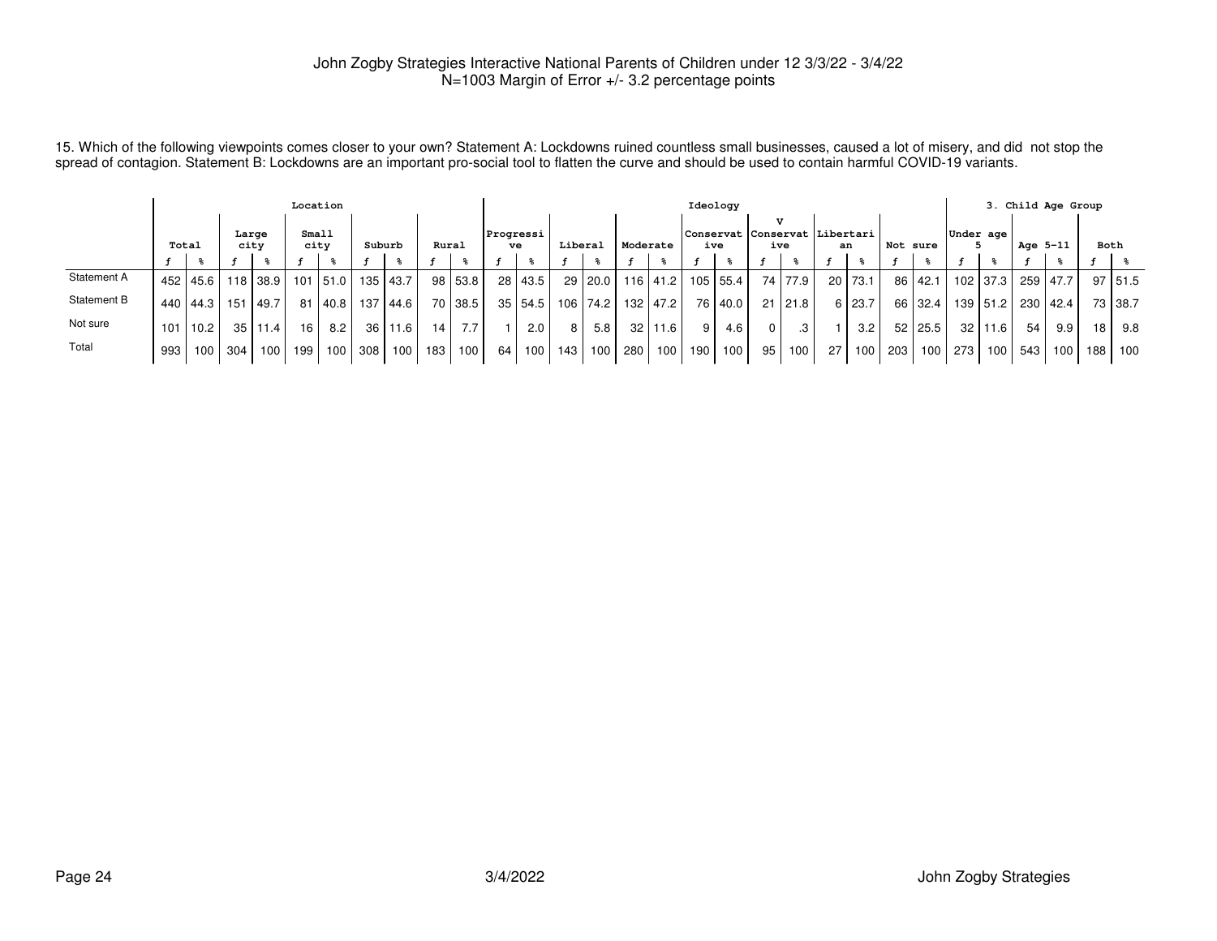15. Which of the following viewpoints comes closer to your own? Statement A: Lockdowns ruined countless small businesses, caused a lot of misery, and did not stop the<br>spread of contagion. Statement B: Lockdowns are an imp

|             |       |              |               |      | Location      |                   |                 |      |       |         |                 |           |         |          |                 |            |     | Ideology   |                                      |           |    |           |          |                  |           |            |          | 3. Child Age Group |                 |                |
|-------------|-------|--------------|---------------|------|---------------|-------------------|-----------------|------|-------|---------|-----------------|-----------|---------|----------|-----------------|------------|-----|------------|--------------------------------------|-----------|----|-----------|----------|------------------|-----------|------------|----------|--------------------|-----------------|----------------|
|             | Total |              | Large<br>city |      | Small<br>city |                   | Suburb          |      | Rural |         | Progressi<br>ve |           | Liberal |          | Moderate        |            |     | ive        | Conservat Conservat Libertari<br>ive |           |    | an        | Not sure |                  | Under age |            | Age 5-11 |                    |                 | Both           |
|             |       |              |               |      |               |                   |                 |      |       |         |                 |           |         |          |                 |            |     |            |                                      |           |    |           |          |                  |           |            |          |                    |                 |                |
| Statement A |       | 452   45.6   |               |      |               | 118 38.9 101 51.0 | 135             | 43.7 |       | 98 53.8 |                 | 28   43.5 |         | 29 20.0  |                 | 116 41.2   |     | 105   55.4 |                                      | 74   77.9 |    | $20$ 73.1 |          | 86   42.1        |           | 102 37.3   | 259 47.7 |                    |                 | $97 \mid 51.5$ |
| Statement B |       | 440   44.3   | 151           | 49.7 | 81            | 40.8              | 137             | 44.6 |       | 70 38.5 |                 | 35   54.5 |         | 106 74.2 |                 | 132   47.2 |     | 76   40.0  |                                      | 21   21.8 |    | 6 23.7    |          | 66 32.4          |           | 139   51.2 | 230 42.4 |                    |                 | 73 38.7        |
| Not sure    |       | $101$   10.2 | 35            | 11.4 | 16 I          | 8.2               | 36 <sub>1</sub> | 11.6 | 14    | 7.7     |                 | 2.0       | 8       | 5.8      | 32 <sub>1</sub> | 11.6       | 9   | 4.6        | 0 I                                  | .3        |    | 3.2       |          | 52 25.5          | 32        | l 11.6 l   | 54       | 9.9                | 18 <sub>1</sub> | 9.8            |
| Total       | 993   | 100 l        | 304           | 100. | 199           | 100 <sub>1</sub>  | 308             | 100  | 183   | 100     | 64              | 100       | 143     | 100      | 280             | 100 l      | 190 | 100        | 95 l                                 | 100       | 27 | 100       | 203 l    | 100 <sub>l</sub> | 273       | 100        | 543      | 100                | 188             | 100            |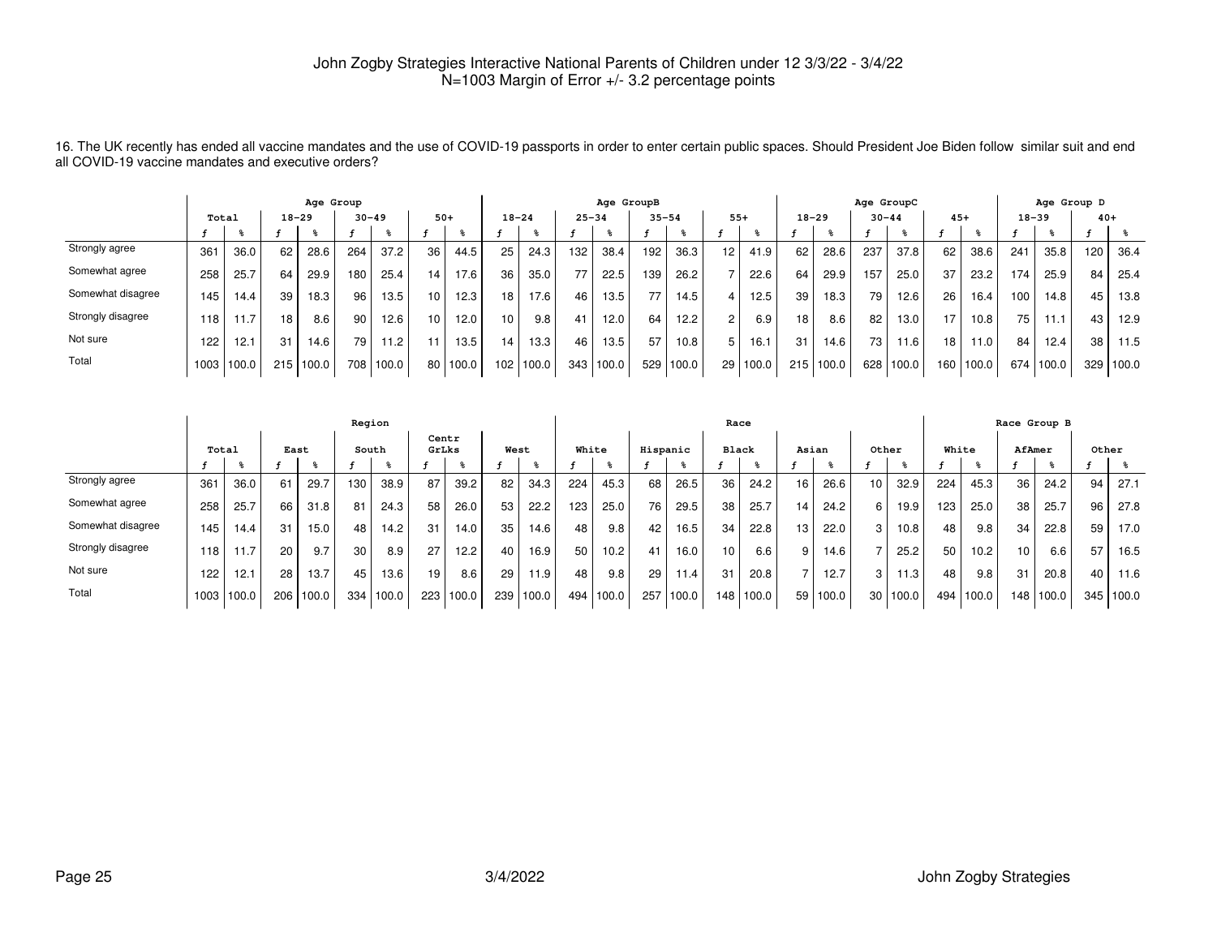16. The UK recently has ended all vaccine mandates and the use of COVID-19 passports in order to enter certain public spaces. Should President Joe Biden follow similar suit and endall COVID-19 vaccine mandates and executive orders?

|                   |       |            |     | Age Group |     |                   |                 |       |                 |           |           | Age GroupB |           |       |                 |          |           |           | Age GroupC      |                   |                 |           |           | Age Group D |       |       |
|-------------------|-------|------------|-----|-----------|-----|-------------------|-----------------|-------|-----------------|-----------|-----------|------------|-----------|-------|-----------------|----------|-----------|-----------|-----------------|-------------------|-----------------|-----------|-----------|-------------|-------|-------|
|                   | Total |            |     | $18 - 29$ |     | $30 - 49$         | $50+$           |       | $18 - 24$       |           | $25 - 34$ |            | $35 - 54$ |       | $55+$           |          | $18 - 29$ |           | $30 - 44$       |                   | $45+$           |           | $18 - 39$ |             | $40+$ |       |
|                   |       |            |     |           |     |                   |                 |       |                 |           |           |            |           |       |                 |          |           |           |                 |                   |                 |           |           |             |       |       |
| Strongly agree    | 361   | 36.0       | 62  | 28.6      | 264 | 37.2              | 36              | 44.5  | 25              | 24.3      | 132       | 38.4       | 192       | 36.3  | 12 <sup>2</sup> | 41.9     | 62        | 28.6      | 237             | 37.8              | 62              | 38.6      | 241       | 35.8        | 120   | 36.4  |
| Somewhat agree    | 258   | 25.7       | 64  | 29.9      | 180 | 25.4              | 14              | 17.6  | 36              | 35.0      | 77        | 22.5       | 139       | 26.2  |                 | 22.6     | 64        | 29.9      | 157             | 25.0              | 37              | 23.2      | 174       | 25.9        | 84    | 25.4  |
| Somewhat disagree | 145.  | 14.4       | 39  | 18.3      | 96  | 13.5.             | 10 <sup>1</sup> | 12.3  | 18 <sub>1</sub> | 17.6      | 46        | 13.5       | 77        | 14.5  |                 | 12.5     | 39        | 18.3      | 79 1            | 12.6              | 26              | 16.4      | 100       | 14.8        | 45    | 13.8  |
| Strongly disagree | 118   | 11.7       | 18  | 8.6       | 90  | 12.6              | 10 <sup>1</sup> | 12.0  | 10 <sub>1</sub> | 9.8       | 41        | 12.0       | 64        | 12.2  | $\mathcal{P}$   | 6.9      | 18        | 8.6       | 82              | 13.0 <sub>1</sub> | 17              | 10.8      | 75        | 11.1        | 43    | 12.9  |
| Not sure          | 122   | 12.1       | 31  | 14.6      | 79  | 11.2 <sub>1</sub> |                 | 13.5  | 14.             | 13.3      | 46        | 13.5       | 57        | 10.8  | 5 <sup>1</sup>  | 16.1     | 31        | 14.6      | 73 <sub>1</sub> | 11.6              | 18 <sub>1</sub> | 1.0       | 84        | 12.4        | 38    | 11.5  |
| Total             |       | 1003 100.0 | 215 | 100.0     | 708 | 100.0             | 80              | 100.0 |                 | 102 100.0 |           | 343 100.0  | 529       | 100.0 |                 | 29 100.0 |           | 215 100.0 | 628             | 100.0             |                 | 160 100.0 | 674 l     | 100.0       | 329   | 100.0 |

|                   |       |       |     |       | Region |       |       |       |      |       |       |       |          |       | Race            |       |       |       |                  |                   |       |       |                  | Race Group B |       |       |
|-------------------|-------|-------|-----|-------|--------|-------|-------|-------|------|-------|-------|-------|----------|-------|-----------------|-------|-------|-------|------------------|-------------------|-------|-------|------------------|--------------|-------|-------|
|                   | Total |       |     | East  |        | South | GrLks | Centr | West |       | White |       | Hispanic |       | Black           |       | Asian |       | Other            |                   | White |       | AfAmer           |              | Other |       |
|                   |       |       |     |       |        |       |       |       |      |       |       |       |          |       |                 |       |       |       |                  |                   |       |       |                  |              |       |       |
| Strongly agree    | 361   | 36.0  | 61  | 29.7  | 130    | 38.9  | 87    | 39.2  | 82   | 34.3  | 224   | 45.3  | 68       | 26.5  | 36              | 24.2  | 16    | 26.6  | 10 <sup>10</sup> | 32.9              | 224   | 45.3  | 36               | 24.2         | 94    | 27.1  |
| Somewhat agree    | 258   | 25.7  | 66  | 31.8  | 81     | 24.3  | 58    | 26.0  | 53   | 22.2  | 123   | 25.0  | 76       | 29.5  | 38              | 25.7  | 14    | 24.2  | 6                | 19.9              | 123   | 25.0  | 38               | 25.7         | 96    | 27.8  |
| Somewhat disagree | 145   | 14.4  | 31  | 15.0  | 48     | 14.2  | 31    | 14.0  | 35   | 14.6  | 48    | 9.8   | 42       | 16.5  | 34              | 22.8  | 13    | 22.0  | 3                | 10.8              | 48    | 9.8   | 34               | 22.8         | 59    | 17.0  |
| Strongly disagree | 118.  | 11.7  | 20  | 9.7   | 30     | 8.9   | 27    | 12.2  | 40   | 16.9  | 50    | 10.2  | 41       | 16.0  | 10 <sup>1</sup> | 6.6   | 9     | 14.6  |                  | 25.2              | 50    | 10.2  | 10 <sup>10</sup> | 6.6          | 57    | 16.5  |
| Not sure          | 122   | 12.1  | 28  | 13.7  | 45     | 13.6  | 19.   | 8.6   | 29   | 1.9   | 48    | 9.8   | 29       | 11.4  | 31              | 20.8  |       | 12.7  | 3                | 11.3 <sub>1</sub> | 48    | 9.8   | 31               | 20.8         | 40    | 11.6  |
| Total             | 1003  | 100.0 | 206 | 100.0 | 334    | 100.0 | 223   | 100.0 | 239  | 100.0 | 494   | 100.0 | 257      | 100.0 | 148             | 100.0 | 59 I  | 100.0 |                  | 30 100.0          | 494   | 100.0 | 148              | 100.0        | 345   | 100.0 |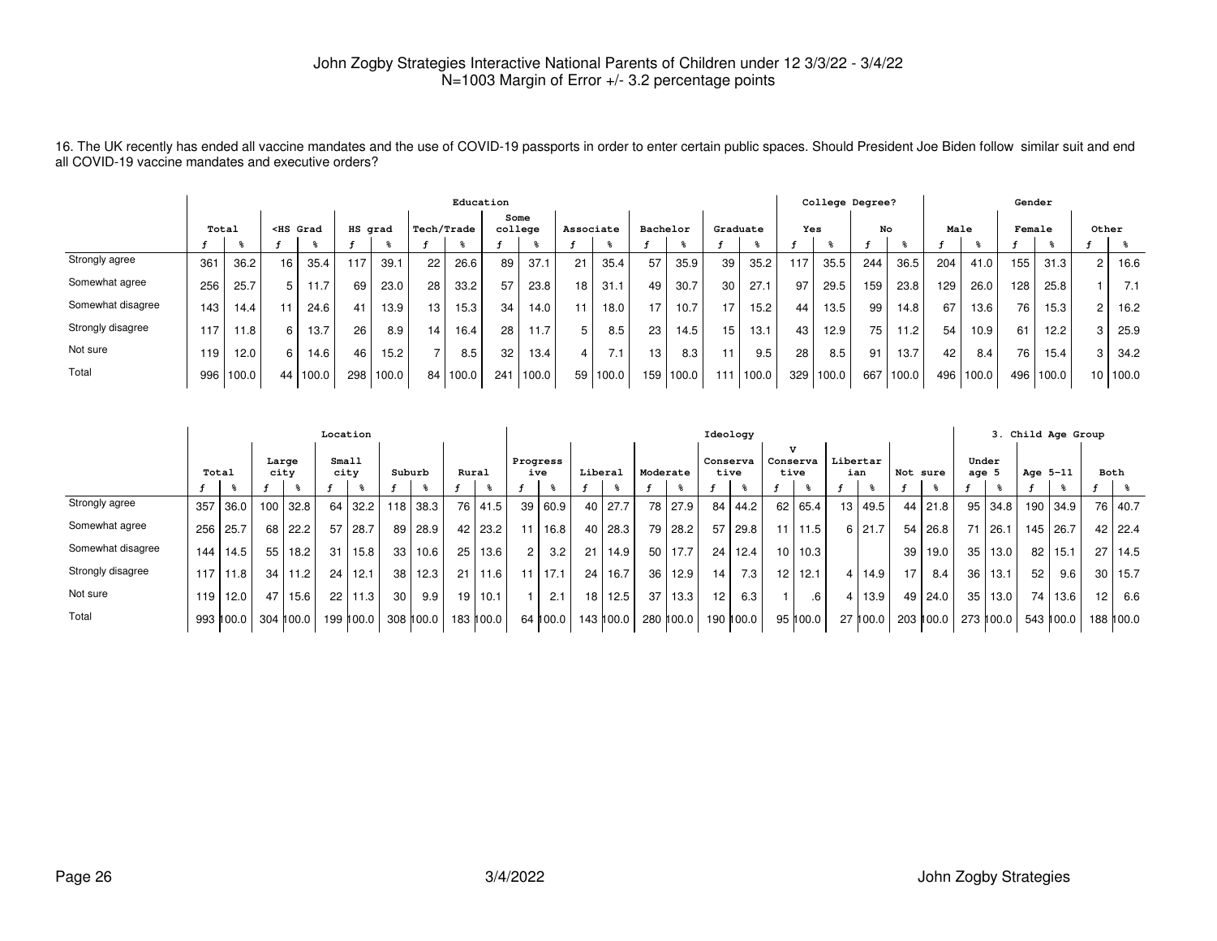16. The UK recently has ended all vaccine mandates and the use of COVID-19 passports in order to enter certain public spaces. Should President Joe Biden follow similar suit and endall COVID-19 vaccine mandates and executive orders?

|                   |       |       |                                                                                                                                                                                                                                                                                                                  |       |         |       |                 | Education  |         |        |           |          |          |           |          |       |     | College Degree? |     |       |      |       | Gender |       |                 |       |
|-------------------|-------|-------|------------------------------------------------------------------------------------------------------------------------------------------------------------------------------------------------------------------------------------------------------------------------------------------------------------------|-------|---------|-------|-----------------|------------|---------|--------|-----------|----------|----------|-----------|----------|-------|-----|-----------------|-----|-------|------|-------|--------|-------|-----------------|-------|
|                   | Total |       | <hs grad<="" th=""><th></th><th>HS grad</th><th></th><th></th><th>Tech/Trade</th><th>college</th><th>Some</th><th>Associate</th><th></th><th>Bachelor</th><th></th><th>Graduate</th><th></th><th>Yes</th><th></th><th>No</th><th></th><th>Male</th><th></th><th>Female</th><th></th><th>Other</th><th></th></hs> |       | HS grad |       |                 | Tech/Trade | college | Some   | Associate |          | Bachelor |           | Graduate |       | Yes |                 | No  |       | Male |       | Female |       | Other           |       |
|                   |       |       |                                                                                                                                                                                                                                                                                                                  |       |         |       |                 |            |         |        |           |          |          |           |          |       |     |                 |     |       |      |       |        |       |                 |       |
| Strongly agree    | 361   | 36.2  | 16                                                                                                                                                                                                                                                                                                               | 35.4  | 117     | 39.1  | 22              | 26.6       | 89      | 37.1   | 21        | 35.4     | 57       | 35.9      | 39       | 35.2  |     | 35.5            | 244 | 36.5  | 204  | 41.0  | 155    | 31.3  | 2               | 16.6  |
| Somewhat agree    | 256   | 25.7  |                                                                                                                                                                                                                                                                                                                  | .1.7  | 69      | 23.0  | 28              | 33.2       | 57      | 23.8   | 18        | 31.1     | 49       | 30.7      | 30       | 27.1  | 97  | 29.5            | 159 | 23.8  | 129  | 26.0  | 128    | 25.8  |                 | 7.1   |
| Somewhat disagree | 143   | 14.4  |                                                                                                                                                                                                                                                                                                                  | 24.6  | 41      | 13.9  | 13 <sub>1</sub> | 15.3       | 34      | 14.0   |           | 18.0     | 17       | 10.7      | 17       | 15.2  | 44  | 13.5            | 99  | 14.8  | 67   | 13.6  | 76     | 15.3  |                 | 16.2  |
| Strongly disagree | 117   | 11.8  | 6                                                                                                                                                                                                                                                                                                                | 13.7  | 26      | 8.9   | 14 <sub>1</sub> | 16.4       | 28      | 11.7   | 5         | 8.5      | 23       | 14.5      | 15       | 13.1  | 43  | 12.9            | 75  | 11.2  | 54   | 10.9  | 61     | 12.2  |                 | 25.9  |
| Not sure          | 119   | 12.0  | 6.                                                                                                                                                                                                                                                                                                               | 14.6  | 46      | 15.2  |                 | 8.5        | 32      | 13.4   |           | 7.1      | 13       | 8.3       |          | 9.5   | 28  | 8.5             | 91  | 13.7  | 42   | 8.4   | 76     | 15.4  |                 | 34.2  |
| Total             | 996   | 100.0 | 44                                                                                                                                                                                                                                                                                                               | 100.0 | 298     | 100.0 | 84              | 100.0      | 241     | 1100.0 |           | 59 100.0 |          | 159 100.0 |          | 100.0 | 329 | 100.0           | 667 | 100.0 | 496  | 100.0 | 496    | 100.0 | 10 <sup>°</sup> | 100.0 |

|                   |       |             |     |               | Location |             |                 |            |                 |           |                      |           |         |           |          |           |    | Ideology         |                          |             |                 |          |                 |           |                  |                |                 | 3. Child Age Group |                 |             |
|-------------------|-------|-------------|-----|---------------|----------|-------------|-----------------|------------|-----------------|-----------|----------------------|-----------|---------|-----------|----------|-----------|----|------------------|--------------------------|-------------|-----------------|----------|-----------------|-----------|------------------|----------------|-----------------|--------------------|-----------------|-------------|
|                   | Total |             |     | Large<br>city | city     | Small       | Suburb          |            | Rural           |           | Progress             | ive       | Liberal |           | Moderate |           |    | Conserva<br>tive | $\mathbf{v}$<br>Conserva | tive        | Libertar<br>ian |          | Not sure        |           | Under<br>age $5$ |                | Age 5-11        |                    |                 | Both        |
|                   |       |             |     |               |          |             |                 |            |                 |           |                      |           |         |           |          |           |    |                  |                          |             |                 |          |                 |           |                  |                |                 |                    |                 |             |
| Strongly agree    | 357   | 36.0        | 100 | 32.8          | 64       | 32.2        |                 | $118$ 38.3 |                 | 76 41.5   |                      | 39 60.9   | 40      | 27.7      |          | 78 27.9   | 84 | 44.2             |                          | 62 65.4     | 13 L            | 49.5     | 44              | 21.8      |                  | $95 \mid 34.8$ | 190             | 34.9               |                 | 76 40.7     |
| Somewhat agree    | 256   | 25.7        | 68  | 22.2          | 57       | 28.7        |                 | 89 28.9    |                 | 42   23.2 |                      | 16.8      | 40      | 28.3      |          | 79 28.2   | 57 | 29.8             |                          | $11$   11.5 |                 | 6 21.7   | 54              | 26.8      |                  | 71 26.1        | 145             | 26.7               |                 | 42 22.4     |
| Somewhat disagree | 144 l | 14.5        | 55  | 18.2          | 31       | 15.8        | 33              | 10.6       | 25              | 13.6      | $\mathbf{2}^{\circ}$ | 3.2       | 21      | 14.9      |          | 50   17.7 | 24 | 12.4             |                          | 10   10.3   |                 |          | 39              | 19.0      | 35               | 13.0           | 82              | 15.1               | 27 <sub>1</sub> | 114.5       |
| Strongly disagree |       | 117 11.8    | 34  | 11.2          | 24       | 12.1        | 38 l            | 12.3       | 21              | 11.6      |                      | $11$ 17.1 | 24      | 16.7      | 36 l     | 12.9      | 14 | 7.3              |                          | $12$   12.1 |                 | 4 14.9   | 17 <sub>1</sub> | 8.4       |                  | $36$   13.1    | 52              | 9.6                | 30              | 115.7       |
| Not sure          |       | 119 12.0    | 47  | 15.6          |          | $22$   11.3 | 30 <sup>1</sup> | 9.9        | 19 <sub>1</sub> | 10.1      |                      | 2.1       | 18      | 12.5      | 37 I     | 13.3      | 12 | 6.3 <sub>1</sub> |                          | .6          |                 | 4 13.9   |                 | 49 24.0   |                  | $35$   13.0    | 74 <sub>1</sub> | 13.6               | 12 <sub>1</sub> | 6.6         |
| Total             |       | 993 II 00.0 |     | $304$ 100.0   |          | 199 100.0   |                 | 308 100.0  |                 | 183 ∥00.0 |                      | 64 100.0  |         | 143 100.0 |          | 280 100.0 |    | 190 100.0        |                          | 95 100.0    |                 | 27 100.0 |                 | 203 ∥00.0 |                  | 273 100.0      |                 | 543 100.0          |                 | 188    00.0 |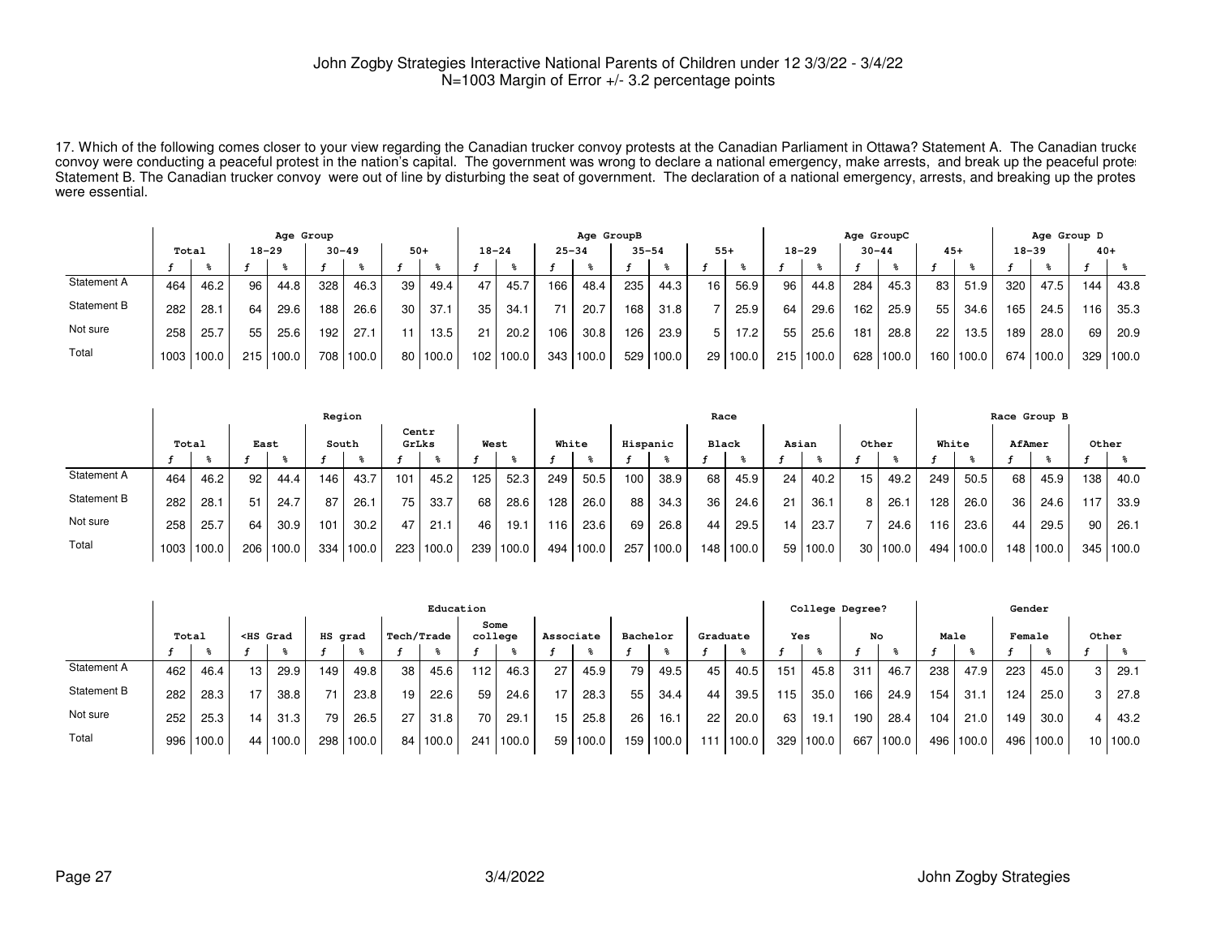17. Which of the following comes closer to your view regarding the Canadian trucker convoy protests at the Canadian Parliament in Ottawa? Statement A. The Canadian truckerconvoy were conducting a peaceful protest in the nation's capital. The government was wrong to declare a national emergency, make arrests, and break up the peaceful proter Statement B. The Canadian trucker convoy were out of line by disturbing the seat of government. The declaration of a national emergency, arrests, and breaking up the protes were essential.

|             | Age Group |            |     |       |           |       |                 |          |       |           | Age GroupB |       |           |       |       |          |     | Age GroupC |           |       |                 |       | Age Group D |           |       |         |
|-------------|-----------|------------|-----|-------|-----------|-------|-----------------|----------|-------|-----------|------------|-------|-----------|-------|-------|----------|-----|------------|-----------|-------|-----------------|-------|-------------|-----------|-------|---------|
|             | Total     |            |     | 18-29 | $30 - 49$ |       | $50+$           |          |       | $18 - 24$ | $25 - 34$  |       | $35 - 54$ |       | $55+$ |          |     | $18 - 29$  | $30 - 44$ |       | $45+$           |       | $18 - 39$   |           | $40+$ |         |
|             |           |            |     |       |           |       |                 |          |       |           |            |       |           |       |       |          |     |            |           |       |                 |       |             |           |       |         |
| Statement A | 464       | 46.2       | 96  | 44.8  | 328       | 46.3  | 39              | 49.4     | 47    | 45.7      | 166        | 48.4  | 235       | 44.3  | 16    | 56.9     | 96  | 44.8       | 284       | 45.3  | 83              | 51.9  | 320         | 47.5      | 144   | 43.8    |
| Statement B | 282       | 28.1       | 64  | 29.6  | 188       | 26.6  | 30 <sub>1</sub> | 37.1     | 35    | 34.1      | 71         | 20.7  | 168       | 31.8  |       | 25.9     | 64  | 29.6       | 162       | 25.9  | 55              | 34.6  | 165         | 24.5      | 116   | 35.3    |
| Not sure    | 258       | 25.7       | 55  | 25.6  | 192       | 27.1  | 11              | 13.5     | 21    | 20.2      | 106        | 30.8  | 126       | 23.9  | 5     | 17.2     | 55  | 25.6       | 181       | 28.8  | 22 <sub>1</sub> | 13.5  | 189         | 28.0      | 69    | 20.9    |
| Total       |           | 1003 100.0 | 215 | 100.0 | 708       | 100.0 |                 | 80 100.0 | 1021. | 100.0     | 343        | 100.0 | 529       | 100.0 |       | 29 100.0 | 215 | 100.0      | 628       | 100.0 | 160             | 100.0 |             | 674 100.0 | 329   | l 100.0 |

|             |       |            |      |           | Region |       |                 |       |      |       |       |       |          |       |     | Race         |    |            |       |       |       |       |                 | Race Group B |       |           |
|-------------|-------|------------|------|-----------|--------|-------|-----------------|-------|------|-------|-------|-------|----------|-------|-----|--------------|----|------------|-------|-------|-------|-------|-----------------|--------------|-------|-----------|
|             | Total |            | East |           | South  |       | Centr<br>GrLks  |       | West |       | White |       | Hispanic |       |     | <b>Black</b> |    | Asian      | Other |       | White |       | AfAmer          |              | Other |           |
|             |       |            |      |           |        |       |                 |       |      |       |       |       |          |       |     |              |    |            |       |       |       |       |                 |              |       |           |
| Statement A | 464   | 46.2       | 92   | 44.4      | 146    | 43.7  | 101             | 45.2  | 125  | 52.3  | 249   | 50.5  | 100      | 38.9  | 68  | 45.9         | 24 | 40.2       | 15    | 49.2  | 249   | 50.5  | 68              | 45.9         | 138   | 40.0      |
| Statement B | 282   | 28.1       | 51   | 24.7      | 87     | 26.1  | 75 <sub>1</sub> | 33.7  | 68   | 28.6  | 128   | 26.0  | 88       | 34.3  | 36  | 24.6         | 21 | 36.1       |       | 26.   | 128   | 26.0  | 36 <sup>1</sup> | 24.6         | 117   | 33.9      |
| Not sure    | 258   | 25.7       | 64   | 30.9      | 101    | 30.2  | 47              | 21.1  | 46   | 19.1  | 116   | 23.6  | 69       | 26.8  | 44  | 29.5         | 14 | 23.7       |       | 24.6  | 116.  | 23.6  | 44              | 29.5         | 90    | 26.1      |
| Total       |       | 1003 100.0 |      | 206 100.0 | 334    | 100.0 | 223             | 100.0 | 239  | 100.0 | 494   | 100.0 | 257      | 100.0 | 148 | 100.0        |    | 59   100.0 | 30    | 100.0 | 494   | 100.0 |                 | 148 100.0    |       | 345 100.0 |

|             |                                                                                                                                                                                                                                                                                                |           |    |          |     |       |    | Education  |                 |       |           |       |          |       |          |       |     | College Degree? |     |       |      |        |     | Gender    |       |          |
|-------------|------------------------------------------------------------------------------------------------------------------------------------------------------------------------------------------------------------------------------------------------------------------------------------------------|-----------|----|----------|-----|-------|----|------------|-----------------|-------|-----------|-------|----------|-------|----------|-------|-----|-----------------|-----|-------|------|--------|-----|-----------|-------|----------|
|             | Total<br>HS grad<br><hs grad<="" th=""><th>Tech/Trade</th><th>Some<br/>college</th><th></th><th>Associate</th><th></th><th>Bachelor</th><th></th><th>Graduate</th><th></th><th>Yes</th><th></th><th>No</th><th></th><th>Male</th><th></th><th></th><th>Female</th><th>Other</th><th></th></hs> |           |    |          |     |       |    | Tech/Trade | Some<br>college |       | Associate |       | Bachelor |       | Graduate |       | Yes |                 | No  |       | Male |        |     | Female    | Other |          |
|             |                                                                                                                                                                                                                                                                                                |           |    |          |     |       |    |            |                 |       |           |       |          |       |          |       |     |                 |     |       |      |        |     |           |       |          |
| Statement A | 462                                                                                                                                                                                                                                                                                            | 46.4      | 13 | 29.9     | 149 | 49.8  | 38 | 45.6       | 112.            | 46.3  | 27        | 45.9  | 79       | 49.5  | 45       | 40.5  | 151 | 45.8            | 31  | 46.7  | 238  | 47.9   | 223 | 45.0      | 3     | 29.7     |
| Statement B | 282                                                                                                                                                                                                                                                                                            | 28.3      | 17 | 38.8     | 71  | 23.8  | 19 | 22.6       | 59              | 24.6  | 17        | 28.3  | 55       | 34.4  | 44       | 39.5  | 115 | 35.0            | 166 | 24.9  | 154  | 31.1   | 124 | 25.0      | 3     | 27.8     |
| Not sure    | 252                                                                                                                                                                                                                                                                                            | 25.3      | 14 | 31.3     | 79  | 26.5  | 27 | 31.8       | 70 <sub>1</sub> | 29.1  | 15        | 25.8  | 26       | 16.1  | 22       | 20.0  | 63  | 19.1            | 190 | 28.4  | 104  | 21.0   | 149 | 30.0      | 4     | 43.2     |
| Total       |                                                                                                                                                                                                                                                                                                | 996 100.0 |    | 44 100.0 | 298 | 100.0 |    | 84 100.0   | 241             | 100.0 | 59        | 100.0 | 159      | 100.0 | 111      | 100.0 | 329 | 100.0           | 667 | 100.0 | 496  | 1100.0 |     | 496 100.0 |       | 10 100.0 |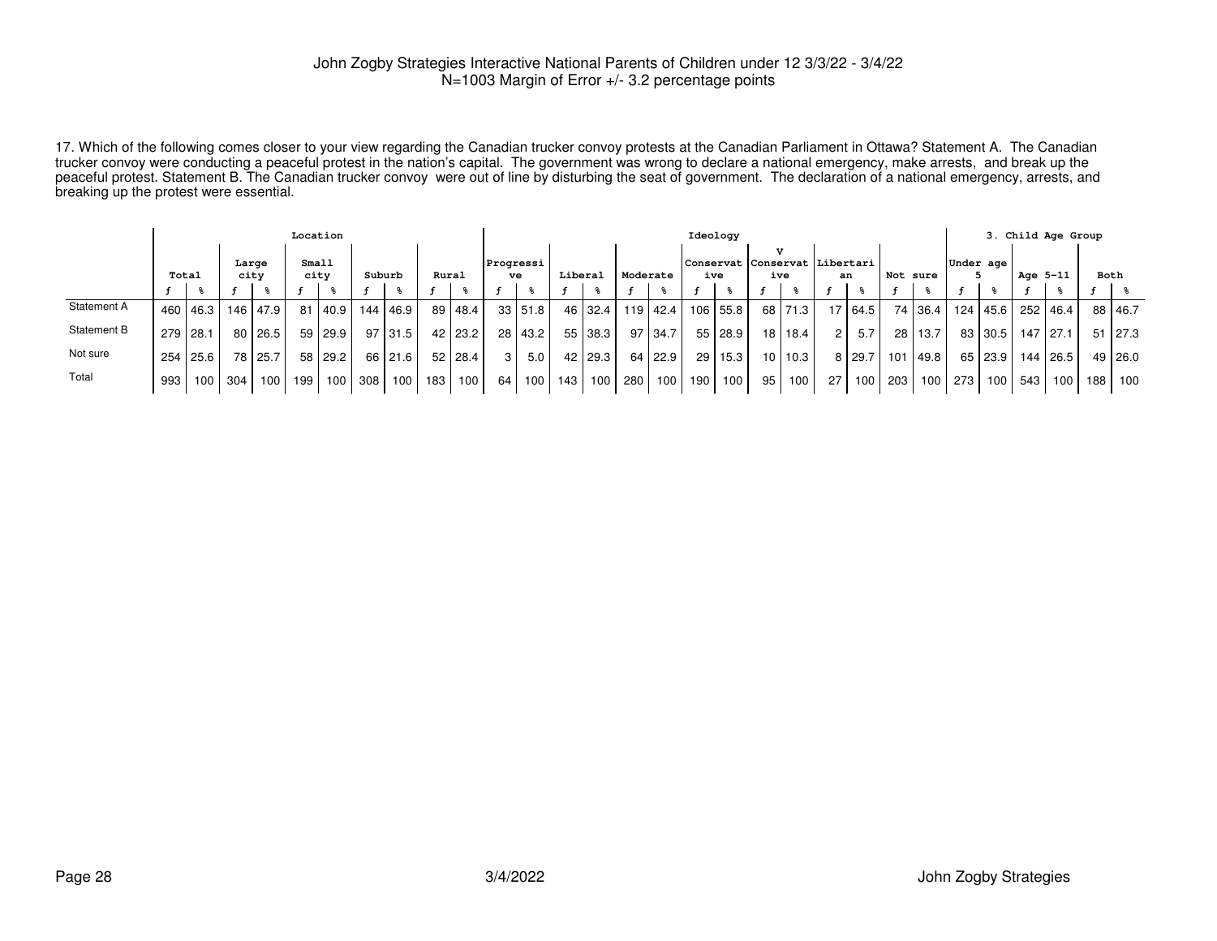17. Which of the following comes closer to your view regarding the Canadian trucker convoy protests at the Canadian Parliament in Ottawa? Statement A. The Canadian trucker convoy were conducting a peaceful protest in the nation's capital. The government was wrong to declare a national emergency, make arrests, and break up the peaceful protest. Statement B. The Canadian trucker convoy were out of line by disturbing the seat of government. The declaration of a national emergency, arrests, andbreaking up the protest were essential.

|             |                                         |            |                 |      | Location |         |     |            |       |                |                 |              |         |         |          |                |                 | Ideology |                                        |           |    |      |                  |         |           |                  |          | 3. Child Age Group |      |                |
|-------------|-----------------------------------------|------------|-----------------|------|----------|---------|-----|------------|-------|----------------|-----------------|--------------|---------|---------|----------|----------------|-----------------|----------|----------------------------------------|-----------|----|------|------------------|---------|-----------|------------------|----------|--------------------|------|----------------|
|             | Small<br>Large<br>city<br>Total<br>city |            |                 |      |          |         |     | Suburb     | Rural |                | Progressi<br>ve |              | Liberal |         | Moderate |                |                 | ive      | Conservat  Conservat  Libertari<br>ive |           |    | an   | Not sure         |         | Under age |                  | Age 5-11 |                    | Both |                |
|             |                                         |            |                 |      |          |         |     |            |       |                |                 | $\mathbf{r}$ |         |         |          |                |                 |          |                                        |           |    |      |                  |         |           |                  |          |                    |      |                |
| Statement A |                                         | 460   46.3 | 146             | 47.9 | 81       | 40.9    |     | 144   46.9 |       | 89 48.4        |                 | 33 51.8      |         | 46 32.4 |          | $119$ 42.4     |                 | 106 55.8 |                                        | 68 71.3   | 17 | 64.5 |                  | 74 36.4 | 124       | 45.6             |          | 252 46.4           |      | 88 46.7        |
| Statement B | 279 28.1                                |            | 80 <sup>1</sup> | 26.5 |          | 59 29.9 |     | 97   31.5  |       | $42 \mid 23.2$ |                 | 28 43.2      |         | 55 38.3 |          | $97 \mid 34.7$ |                 | 55 28.9  |                                        | 18   18.4 | 2  | 5.7  | 28               | 13.7    |           | 83   30.5        |          | 147 27.1           |      | $51 \mid 27.3$ |
| Not sure    | 254                                     | 25.6       | 78              | 25.7 |          | 58 29.2 |     | 66 21.6    |       | $52$   28.4    |                 | 5.0          |         | 42 29.3 |          | 64 22.9        | 29 <sub>1</sub> | 15.3     |                                        | 10 10.3   | 8  | 29.7 | 101              | 49.8    |           | 65   23.9        |          | 144 26.5           |      | 49 26.0        |
| Total       | 993                                     | 100        | 304             | 100  | 199      | 100     | 308 | 100        | 183   | 100            | 64              | 100          | 143     | 100     | 280      | 100            | 190             | 100      | 95                                     | 100       | 27 | 100  | 203 <sub>1</sub> | 100     | 273       | 100 <sub>1</sub> | 543      | 100                | 188. | 100            |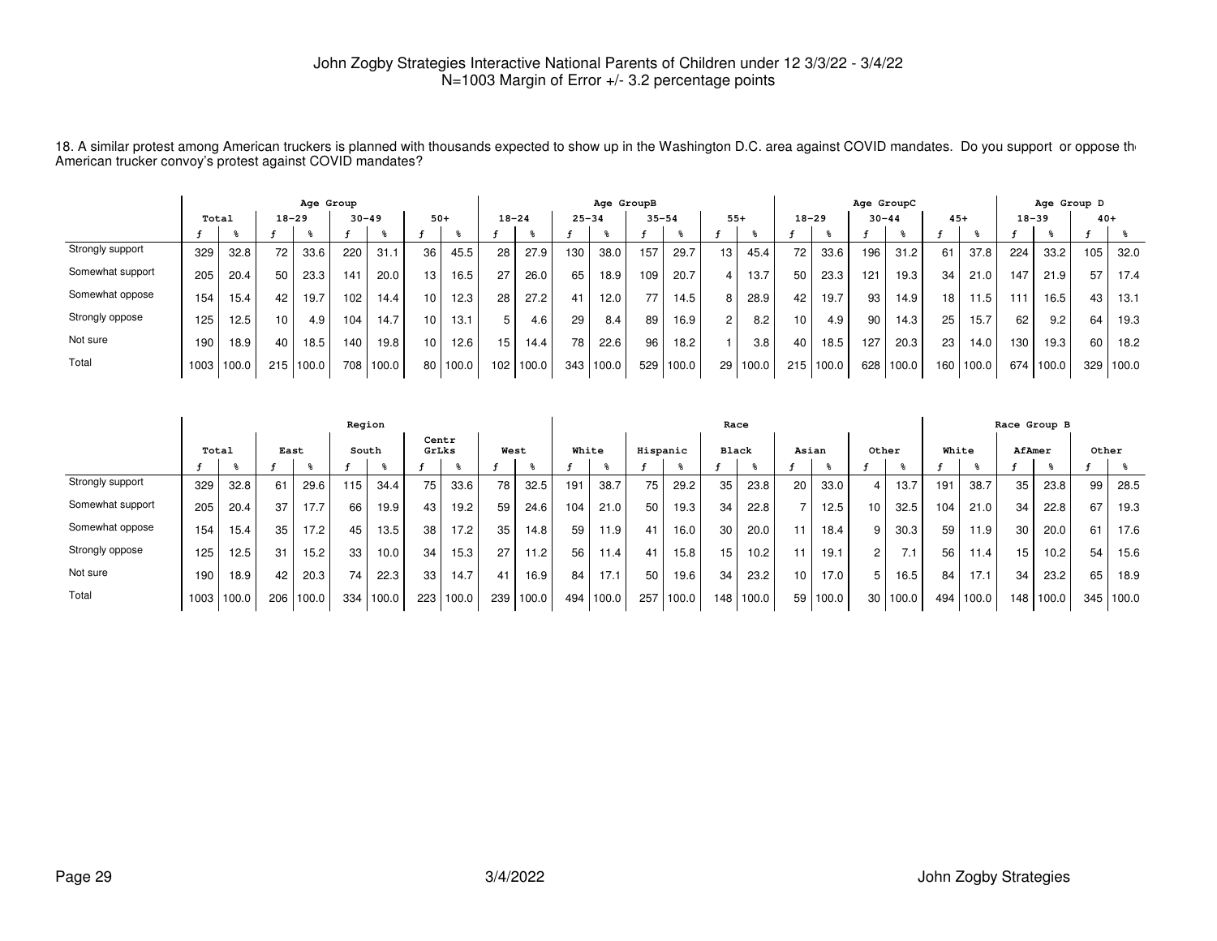18. A similar protest among American truckers is planned with thousands expected to show up in the Washington D.C. area against COVID mandates. Do you support or oppose th<br>American trucker convoy's protest against COVID

|                  |       |        |                 | Age Group |           |       |       |       |           |       |           | Age GroupB |           |       |                |       |                 |               | Age GroupC |       |                 |       |           | Age Group D |       |       |
|------------------|-------|--------|-----------------|-----------|-----------|-------|-------|-------|-----------|-------|-----------|------------|-----------|-------|----------------|-------|-----------------|---------------|------------|-------|-----------------|-------|-----------|-------------|-------|-------|
|                  | Total |        | $18 - 29$       |           | $30 - 49$ |       | $50+$ |       | $18 - 24$ |       | $25 - 34$ |            | $35 - 54$ |       | $55+$          |       | $18 - 29$       |               | $30 - 44$  |       | $45+$           |       | $18 - 39$ |             | $40+$ |       |
|                  |       |        |                 |           |           |       |       |       |           |       |           |            |           |       |                |       |                 |               |            |       |                 |       |           |             |       |       |
| Strongly support | 329   | 32.8   | 72 <sub>1</sub> | 33.6      | 220       | 31.1  | 36    | 45.5  | 28        | 27.9  | 130       | 38.0       | 157       | 29.7  | 13.            | 45.4  | 72 <sub>1</sub> | 33.6          | 196        | 31.2  | 61              | 37.8  | 224       | 33.2        | 105   | 32.0  |
| Somewhat support | 205   | 20.4   | 50              | 23.3      | 141       | 20.0  | 13    | 16.5  | 27        | 26.0  | 65        | 18.9       | 109       | 20.7  |                | 13.7  | 50              | 23.3          | 121        | 19.3  | 34 <sub>1</sub> | 21.0  | 147       | 21.9        | 57    | 17.4  |
| Somewhat oppose  | 154   | 15.4   | 42              | 19.7      | 102.      | 14.4  | 10    | 12.3  | 28        | 27.2  | 41        | 12.0       | 77        | 14.5  | 8              | 28.9  | 42              | 19.7          | 93         | 14.9  | 18 <sub>1</sub> | 11.5  | 111       | 16.5        | 43    | 13.1  |
| Strongly oppose  | 125   | 12.5   | 10              | 4.9       | 104       | 14.7  | 10    | 13.1  | 5         | 4.6   | 29        | 8.4        | 89        | 16.9  | $\overline{c}$ | 8.2   | 10 <sup>1</sup> | 4.9           | 90         | 14.3  | 25              | 15.7  | 62        | 9.2         | 64    | 19.3  |
| Not sure         | 190   | 18.9   | 40              | 18.5      | 140       | 19.8  | 10    | 12.6  | 15        | 14.4  | 78        | 22.6       | 96        | 18.2  |                | 3.8   | 40              | 18.5          | 127        | 20.3  | 23              | 14.0  | 130       | 19.3        | 60    | 18.2  |
| Total            | 1003  | 1100.0 | 215             | 100.0     | 708       | 100.0 | 80    | 100.0 | 102       | 100.0 | 343       | 100.0      | 529       | 100.0 | 29             | 100.0 |                 | $215$   100.0 | 628        | 100.0 | 160 I           | 100.0 | 674       | 100.0       | 329   | 100.0 |

|                  |       |        |      |       | Region          |       |     |                |      |       |       |       |          |       | Race         |       |                 |       |                 |       |       |       |     | Race Group B |       |           |
|------------------|-------|--------|------|-------|-----------------|-------|-----|----------------|------|-------|-------|-------|----------|-------|--------------|-------|-----------------|-------|-----------------|-------|-------|-------|-----|--------------|-------|-----------|
|                  | Total |        | East |       | South           |       |     | Centr<br>GrLks | West |       | White |       | Hispanic |       | <b>Black</b> |       | Asian           |       | Other           |       | White |       |     | AfAmer       | Other |           |
|                  |       |        |      |       |                 |       |     |                |      |       |       |       |          |       |              |       |                 |       |                 |       |       |       |     |              |       |           |
| Strongly support | 329   | 32.8   | 61   | 29.6  | 115             | 34.4  | 75  | 33.6           | 78   | 32.5  | 191   | 38.7  | 75       | 29.2  | 35           | 23.8  | 20 <sub>1</sub> | 33.0  |                 | 13.7  | 191   | 38.7  | 35  | 23.8         | 99    | 28.5      |
| Somewhat support | 205   | 20.4   | 37   | 17.7  | 66              | 19.9  | 43  | 19.2           | 59   | 24.6  | 104   | 21.0  | 50       | 19.3  | 34           | 22.8  |                 | 12.5  | 10 <sub>1</sub> | 32.5  | 104   | 21.0  | 34  | 22.8         | 67    | 19.3      |
| Somewhat oppose  | 154   | 15.4   | 35   | 17.2  | 45              | 13.5  | 38  | 17.2           | 35   | 14.8  | 59    | 11.9  | 41       | 16.0  | 30           | 20.0  |                 | 18.4  | 9               | 30.3  | 59    | 11.9  | 30  | 20.0         | 61    | 17.6      |
| Strongly oppose  | 125   | 12.5   | 31   | 15.2  | 33              | 10.0  | 34  | 15.3           | 27   | 11.2  | 56    | 11.4  | 41       | 15.8  | 15           | 10.2  |                 | 19.1  | $\overline{2}$  | 7.1   | 56    | 11.4  | 15  | 10.2         | 54    | 15.6      |
| Not sure         | 190   | 18.9   | 42   | 20.3  | 74 <sub>1</sub> | 22.3  | 33  | 14.7           | 41   | 16.9  | 84    | 17.1  | 50       | 19.6  | 34           | 23.2  | 10 <sub>1</sub> | 17.0  |                 | 16.5  | 84    | 17.1  | 34  | 23.2         | 65    | 18.9      |
| Total            | 1003  | 1100.0 | 206  | 100.0 | 334             | 100.0 | 223 | 100.0          | 239  | 100.0 | 494   | 100.0 | 257      | 100.0 | 148          | 100.0 | 59 <sub>1</sub> | 100.0 | 30 <sub>1</sub> | 100.0 | 494   | 100.0 | 148 | 100.0        |       | 345 100.0 |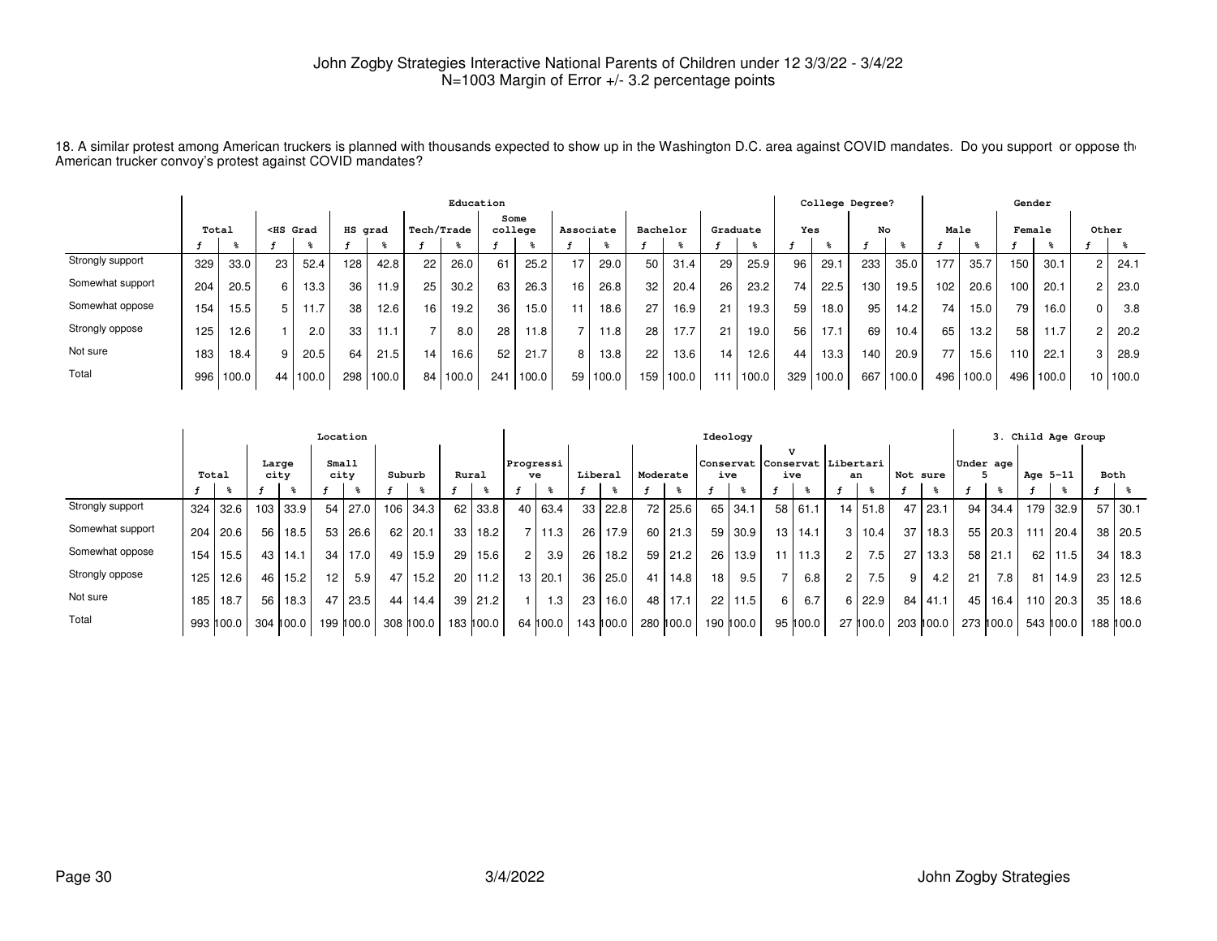18. A similar protest among American truckers is planned with thousands expected to show up in the Washington D.C. area against COVID mandates. Do you support or oppose th<br>American trucker convoy's protest against COVID

|                  |       |       |                                                                                                                                                                                                                                                                                                                       |       |     |         |    | Education  |                 |       |           |       |                 |           |                 |       |     | College Degree? |      |       |       |       | Gender |       |                 |       |
|------------------|-------|-------|-----------------------------------------------------------------------------------------------------------------------------------------------------------------------------------------------------------------------------------------------------------------------------------------------------------------------|-------|-----|---------|----|------------|-----------------|-------|-----------|-------|-----------------|-----------|-----------------|-------|-----|-----------------|------|-------|-------|-------|--------|-------|-----------------|-------|
|                  | Total |       | <hs grad<="" th=""><th></th><th></th><th>HS grad</th><th></th><th>Tech/Trade</th><th>Some<br/>college</th><th></th><th>Associate</th><th></th><th>Bachelor</th><th></th><th>Graduate</th><th></th><th>Yes</th><th></th><th>No</th><th></th><th>Male</th><th></th><th>Female</th><th></th><th>Other</th><th></th></hs> |       |     | HS grad |    | Tech/Trade | Some<br>college |       | Associate |       | Bachelor        |           | Graduate        |       | Yes |                 | No   |       | Male  |       | Female |       | Other           |       |
|                  |       |       |                                                                                                                                                                                                                                                                                                                       |       |     |         |    |            |                 |       |           |       |                 |           |                 |       |     |                 |      |       |       |       |        |       |                 |       |
| Strongly support | 329   | 33.0  | 23                                                                                                                                                                                                                                                                                                                    | 52.4  | 128 | 42.8    | 22 | 26.0       | 61              | 25.2  | 17        | 29.0  | 50              | 31.4      | 29              | 25.9  | 96  | 29.1            | 233  | 35.0  | 177   | 35.7  | 150    | 30.1  |                 | 24.1  |
| Somewhat support | 204   | 20.5  | 6                                                                                                                                                                                                                                                                                                                     | 13.3  | 36  | 11.9    | 25 | 30.2       | 63              | 26.3  | 16        | 26.8  | 32              | 20.4      | 26              | 23.2  | 74  | 22.5            | 130  | 19.5  | 102   | 20.6  | 100    | 20.1  |                 | 23.0  |
| Somewhat oppose  | 154   | 15.5  | 5                                                                                                                                                                                                                                                                                                                     | 11.7  | 38  | 12.6    | 16 | 19.2       | 36              | 15.0  |           | 18.6  | 27 <sub>1</sub> | 16.9      | 21              | 19.3  | 59  | 18.0            | 95   | 14.2  | 74    | 15.0  | 79     | 16.0  |                 | 3.8   |
| Strongly oppose  | 125   | 12.6  |                                                                                                                                                                                                                                                                                                                       | 2.0   | 33  | 11.1    |    | 8.0        | 28              | 11.8  |           | 11.8  | 28              | 17.7      | 21              | 19.0  | 56  | 17.1            | 69   | 10.4  | 65    | 13.2  | 58     | 1.7   |                 | 20.2  |
| Not sure         | 183   | 18.4  | 9                                                                                                                                                                                                                                                                                                                     | 20.5  | 64  | 21.5    | 14 | 16.6       | 52              | 21.7  | 8.        | 13.8  | 22              | 13.6      | 14 <sub>1</sub> | 12.6  | 44  | 13.3            | 140. | 20.9  | 77    | 15.6  | 110    | 22.1  | 3               | 28.9  |
| Total            | 996   | 100.0 | 44                                                                                                                                                                                                                                                                                                                    | 100.0 | 298 | 100.0   | 84 | 100.0      | 241             | 100.0 | 59        | 100.0 |                 | 159 100.0 | $11^{\circ}$    | 100.0 | 329 | 1100.0          | 667  | 100.0 | 496 l | 100.0 | 496    | 100.0 | 10 <sup>1</sup> | 100.0 |

|                  |       |           |                  |           | Location        |           |        |           |       |           |                |                 |                 |                |          |                | Ideology        |           |    |                                                      |                |                  |          |           |                 |                   |          | 3. Child Age Group |      |            |
|------------------|-------|-----------|------------------|-----------|-----------------|-----------|--------|-----------|-------|-----------|----------------|-----------------|-----------------|----------------|----------|----------------|-----------------|-----------|----|------------------------------------------------------|----------------|------------------|----------|-----------|-----------------|-------------------|----------|--------------------|------|------------|
|                  | Total |           | Large<br>city    |           | Small           | city      | Suburb |           | Rural |           |                | Progressi<br>ve | Liberal         |                | Moderate |                |                 | ive       |    | $\mathbf{v}$<br>Conservat Conservat Libertari<br>ive | an             |                  | Not sure |           | Under age       |                   | Age 5-11 |                    | Both |            |
|                  |       | - %⊳      |                  |           |                 |           |        |           |       |           |                |                 |                 |                |          |                |                 |           |    |                                                      |                |                  |          |           |                 |                   |          |                    |      |            |
| Strongly support | 324   | 32.6      | 103 <sub>1</sub> | 33.9      | 54,             | 27.0      | 106    | 34.3      |       | 62 33.8   |                | 40   63.4       |                 | $33 \mid 22.8$ |          | 72 25.6        |                 | $65$ 34.1 | 58 | 61.1                                                 |                | $14$ 51.8        | 47       | 23.1      |                 | 94   34.4         |          | 179 32.9           |      | $57$ 30.1  |
| Somewhat support | 204   | 20.6      | 56               | 18.5      |                 | 53   26.6 | 62     | 20.1      | 33    | 18.2      |                | 7 11.3          | 26 <sub>1</sub> | 17.9           |          | $60$   21.3    |                 | 59 30.9   | 13 | 14.1                                                 | 3 I            | 10.4             | 37       | 18.3      |                 | 55 20.3           | 111      | l 20.4             |      | 38 20.5    |
| Somewhat oppose  | 154   | 15.5      | 43 l             | 14.1      | 34              | $17.01$   | 49     | 15.9      | 29    | 15.6      | 2 <sup>1</sup> | 3.9             | 26 <sub>1</sub> | 18.2           |          | $59$   21.2    | 26 <sup>1</sup> | 13.9      | 11 | 11.3                                                 | 2 <sup>1</sup> | 7.5              | 27       | 13.3      |                 | 58 21.1           | 62       | 11.5               | 34   | 18.3       |
| Strongly oppose  | 125   | 12.6      | 46               | 15.2      | 12 <sup>2</sup> | 5.9       | 47     | 15.2      | 20    | 11.2      |                | 13 20.1         |                 | $36$   25.0    |          | $41 \mid 14.8$ | 18              | 9.5       |    | 6.8                                                  | 21             | 7.5 <sub>1</sub> | 9        | 4.2       | 21              | 7.8               | 81       | 14.9               |      | 23 12.5    |
| Not sure         | 185   | 18.7      | 56               | 18.3      | 47              | 23.5      | 44     | 14.4      |       | 39 21.2   |                | 1.3             | 23 <sub>1</sub> | 16.0           |          | 48 17.1        | 22              | 11.5      |    | 6.7                                                  |                | 6 22.9           | 84       | 41.1      | 45 <sup>J</sup> | 16.4 <sub>1</sub> |          | 110 20.3           | 35 I | 18.6       |
| Total            |       | 993 100.0 |                  | 304 100.0 |                 | 199 100.0 |        | 308 100.0 |       | 183 100.0 |                | 64 100.0        |                 | 143 100.0      |          | 280 100.0      |                 | 190 100.0 |    | 95 100.0                                             |                | $27$ 100.0       |          | 203 ∥00.0 |                 | 273 ∥00.0         |          | 543 ∥00.0          |      | 188 h 00.0 |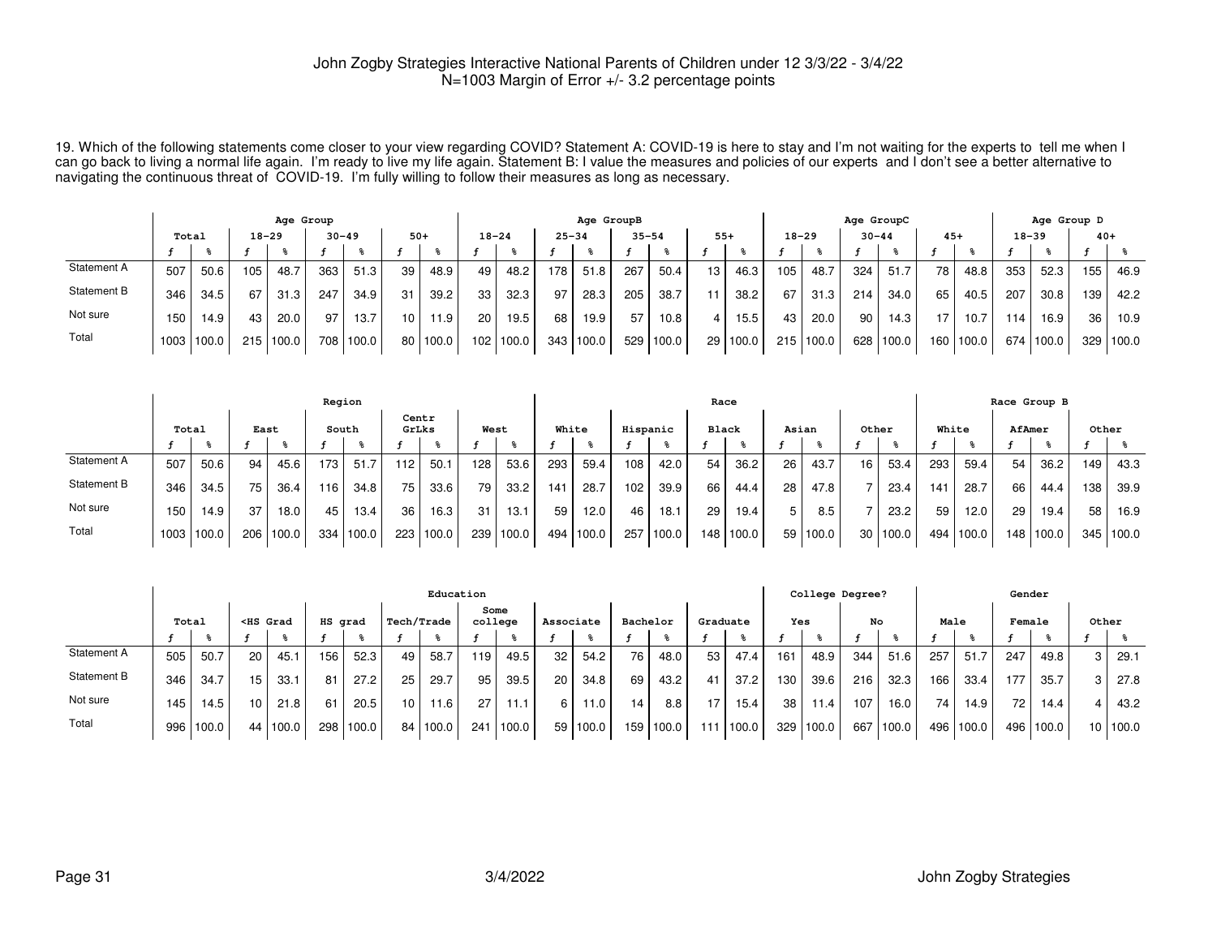19. Which of the following statements come closer to your view regarding COVID? Statement A: COVID-19 is here to stay and I'm not waiting for the experts to tell me when Ican go back to living a normal life again. I'm ready to live my life again. Statement B: I value the measures and policies of our experts and I don't see a better alternative to<br>navigating the continuous threat of COVID

|             |       |            |     | Age Group |     |           |                 |       |           |           |           | Age GroupB |           |        |                 |          |           |       | Age GroupC |       |       |        |     | Age Group D |       |       |
|-------------|-------|------------|-----|-----------|-----|-----------|-----------------|-------|-----------|-----------|-----------|------------|-----------|--------|-----------------|----------|-----------|-------|------------|-------|-------|--------|-----|-------------|-------|-------|
|             | Total |            |     | $18 - 29$ |     | $30 - 49$ | $50+$           |       | $18 - 24$ |           | $25 - 34$ |            | $35 - 54$ |        | $55+$           |          | $18 - 29$ |       | $30 - 44$  |       | $45+$ |        |     | $18 - 39$   | $40+$ |       |
|             |       |            |     |           |     |           |                 |       |           |           |           |            |           |        |                 |          |           |       |            |       |       |        |     |             |       |       |
| Statement A | 507   | 50.6       | 105 | 48.7      | 363 | 51.3      | 39              | 48.9  | 49        | 48.2      | 178       | 51.8       | 267       | 50.4   | 13 <sub>1</sub> | 46.3     | 105       | 48.7  | 324        | 51.7  | 78    | 48.8   | 353 | 52.3        | 155   | 46.9  |
| Statement B | 346   | 34.5       | 67  | 31.3      | 247 | 34.9      | 31              | 39.2  | 33        | 32.3      | 97        | 28.3       | 205       | 38.7   | 11              | 38.2     | 67        | 31.3  | 214        | 34.0  | 65    | 40.5   | 207 | 30.8        | 139   | 42.2  |
| Not sure    | 150   | 14.9       | 43  | 20.0      | 97  | 13.7      | 10 <sup>1</sup> | 11.9  | 20        | 19.5      | 68        | 19.9       | 57        | 10.8   |                 | 15.5     | 43        | 20.0  | 90         | 14.3  |       | 10.7   | 114 | 16.9        | 36    | 10.9  |
| Total       |       | 1003 100.0 | 215 | 100.0     | 708 | 100.0     | 80 <sub>1</sub> | 100.0 |           | 102 100.0 |           | 343 100.0  | 529       | 1100.0 |                 | 29 100.0 | 215       | 100.0 | 628        | 100.0 | 160   | '100.0 |     | 674 100.0   | 329   | 100.0 |

|             |                  |      |      |           | Region |       |       |       |      |           |       |       |          |       | Race         |           |       |            |       |       |                 |       |                  | Race Group B |       |       |
|-------------|------------------|------|------|-----------|--------|-------|-------|-------|------|-----------|-------|-------|----------|-------|--------------|-----------|-------|------------|-------|-------|-----------------|-------|------------------|--------------|-------|-------|
|             | Total            |      | East |           | South  |       | GrLks | Centr | West |           | White |       | Hispanic |       | <b>Black</b> |           | Asian |            | Other |       | White           |       | AfAmer           |              | Other |       |
|             |                  |      |      |           |        |       |       |       |      |           |       |       |          |       |              |           |       |            |       |       |                 |       |                  |              |       |       |
| Statement A | 507              | 50.6 | 94   | 45.6      | 173    | 51.7  | 112   | 50.1  | 128  | 53.6      | 293   | 59.4  | 108      | 42.0  | 54           | 36.2      | 26    | 43.7       | 16    | 53.4  | 293             | 59.4  | 54               | 36.2         | 149   | 43.3  |
| Statement B | 346              | 34.5 | 75   | 36.4      | 116    | 34.8  | 75    | 33.6  | 79   | 33.2      | 141   | 28.7  | 102      | 39.9  | 66           | 44.4      | 28    | 47.8       |       | 23.4  | 14 <sup>1</sup> | 28.7  | 66               | 44.4         | 138   | 39.9  |
| Not sure    | 150 <sub>1</sub> | 14.9 | 37   | 18.0      | 45     | 13.4  | 36    | 16.3  | 31   | 13.1      | 59    | 12.0  | 46       | 18.1  | 29           | 19.4      | 5     | 8.5        |       | 23.2  | 59              | 12.0  | 29               | 19.4         | 58    | 16.9  |
| Total       | 1003 100.0       |      |      | 206 100.0 | 334    | 100.0 | 223   | 100.0 |      | 239 100.0 | 494   | 100.0 | 257      | 100.0 |              | 148 100.0 |       | 59   100.0 | 30    | 100.0 | 494             | 100.0 | 148 <sup>1</sup> | 100.0        | 345   | 100.0 |

|             |       |       |                 |                                                                                                                                                                                                                                                                                                              |         |       |            | Education  |                 |       |           |       |          |       |                 |          |     | College Degree? |     |       |       |       | Gender          |       |                 |       |
|-------------|-------|-------|-----------------|--------------------------------------------------------------------------------------------------------------------------------------------------------------------------------------------------------------------------------------------------------------------------------------------------------------|---------|-------|------------|------------|-----------------|-------|-----------|-------|----------|-------|-----------------|----------|-----|-----------------|-----|-------|-------|-------|-----------------|-------|-----------------|-------|
|             | Total |       |                 | <hs grad<="" th=""><th>HS grad</th><th></th><th>Tech/Trade</th><th></th><th>Some<br/>college</th><th></th><th>Associate</th><th></th><th>Bachelor</th><th></th><th></th><th>Graduate</th><th>Yes</th><th></th><th>No</th><th></th><th>Male</th><th></th><th>Female</th><th></th><th>Other</th><th></th></hs> | HS grad |       | Tech/Trade |            | Some<br>college |       | Associate |       | Bachelor |       |                 | Graduate | Yes |                 | No  |       | Male  |       | Female          |       | Other           |       |
|             |       |       |                 |                                                                                                                                                                                                                                                                                                              |         |       |            |            |                 |       |           |       |          |       |                 |          |     |                 |     |       |       |       |                 |       |                 |       |
| Statement A | 505   | 50.7  | 20              | 45.1                                                                                                                                                                                                                                                                                                         | 156     | 52.3  | 49         | 58.7       | ، 19            | 49.5  | 32        | 54.2  | 76       | 48.0  | 53              | 47.4     | 161 | 48.9            | 344 | 51.6  | 257   | 51.7  | 247             | 49.8  | 3               | 29.1  |
| Statement B | 346   | 34.7  | 15              | 33.1                                                                                                                                                                                                                                                                                                         | 81      | 27.2  | 25         | 29.7       | 95              | 39.5  | 20        | 34.8  | 69       | 43.2  |                 | 37.2     | 130 | 39.6            | 216 | 32.3  | 166   | 33.4  | 177             | 35.7  | 3               | 27.8  |
| Not sure    | 145   | 14.5  | 10 <sup>1</sup> | 21.8                                                                                                                                                                                                                                                                                                         | 61      | 20.5  | 10.        | 11.6       | 27              | 11.1  | 6         | 11.0  | 14       | 8.8   |                 | 15.4     | 38  | 11.4            | 107 | 16.0  | 74    | 14.9  | 72 <sub>1</sub> | 14.4  | 4               | 43.2  |
| Total       | 996   | 100.0 |                 | 44 100.0                                                                                                                                                                                                                                                                                                     | 298 l   | 100.0 |            | 84   100.0 | 241             | 100.0 | 59        | 100.0 | 159      | 100.0 | 11 <sup>1</sup> | 100.0    | 329 | 100.0           | 667 | 100.0 | 496 l | 100.0 | 496             | 100.0 | 10 <sup>1</sup> | 100.0 |